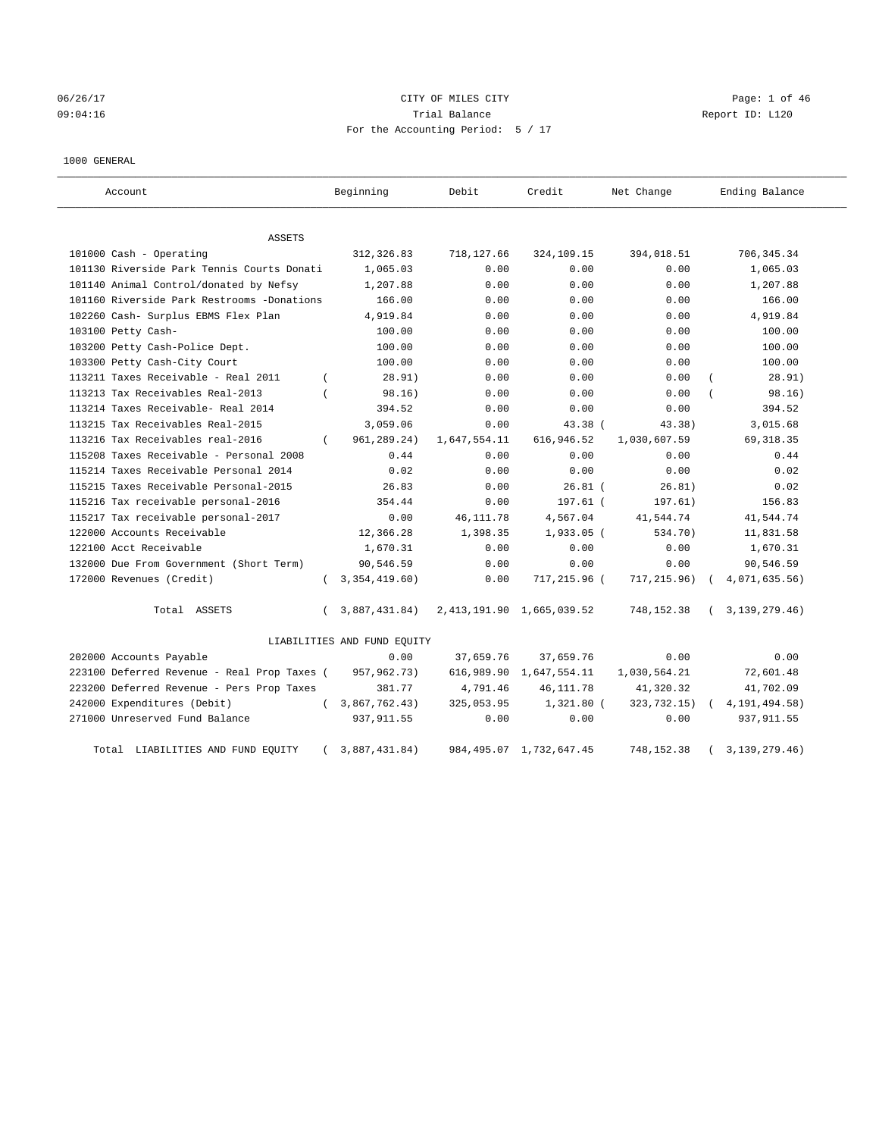# 06/26/17 Page: 1 of 46 09:04:16 COMPOSERT Report ID: L120 For the Accounting Period: 5 / 17

#### 1000 GENERAL

| Account                                     |          | Beginning                   | Debit        | Credit                        | Net Change   | Ending Balance   |
|---------------------------------------------|----------|-----------------------------|--------------|-------------------------------|--------------|------------------|
| <b>ASSETS</b>                               |          |                             |              |                               |              |                  |
| 101000 Cash - Operating                     |          | 312, 326.83                 | 718,127.66   | 324,109.15                    | 394,018.51   | 706, 345.34      |
| 101130 Riverside Park Tennis Courts Donati  |          | 1,065.03                    | 0.00         | 0.00                          | 0.00         | 1,065.03         |
| 101140 Animal Control/donated by Nefsy      |          | 1,207.88                    | 0.00         | 0.00                          | 0.00         | 1,207.88         |
| 101160 Riverside Park Restrooms -Donations  |          | 166.00                      | 0.00         | 0.00                          | 0.00         | 166.00           |
| 102260 Cash- Surplus EBMS Flex Plan         |          | 4,919.84                    | 0.00         | 0.00                          | 0.00         | 4,919.84         |
| 103100 Petty Cash-                          |          | 100.00                      | 0.00         | 0.00                          | 0.00         | 100.00           |
| 103200 Petty Cash-Police Dept.              |          | 100.00                      | 0.00         | 0.00                          | 0.00         | 100.00           |
| 103300 Petty Cash-City Court                |          | 100.00                      | 0.00         | 0.00                          | 0.00         | 100.00           |
| 113211 Taxes Receivable - Real 2011         | $\left($ | 28.91)                      | 0.00         | 0.00                          | 0.00         | 28.91)           |
| 113213 Tax Receivables Real-2013            | $\left($ | 98.16)                      | 0.00         | 0.00                          | 0.00         | 98.16)           |
| 113214 Taxes Receivable- Real 2014          |          | 394.52                      | 0.00         | 0.00                          | 0.00         | 394.52           |
| 113215 Tax Receivables Real-2015            |          | 3,059.06                    | 0.00         | 43.38 (                       | 43.38)       | 3,015.68         |
| 113216 Tax Receivables real-2016            | $\left($ | 961, 289. 24)               | 1,647,554.11 | 616,946.52                    | 1,030,607.59 | 69, 318.35       |
| 115208 Taxes Receivable - Personal 2008     |          | 0.44                        | 0.00         | 0.00                          | 0.00         | 0.44             |
| 115214 Taxes Receivable Personal 2014       |          | 0.02                        | 0.00         | 0.00                          | 0.00         | 0.02             |
| 115215 Taxes Receivable Personal-2015       |          | 26.83                       | 0.00         | $26.81$ (                     | 26.81)       | 0.02             |
| 115216 Tax receivable personal-2016         |          | 354.44                      | 0.00         | $197.61$ (                    | 197.61)      | 156.83           |
| 115217 Tax receivable personal-2017         |          | 0.00                        | 46, 111.78   | 4,567.04                      | 41,544.74    | 41,544.74        |
| 122000 Accounts Receivable                  |          | 12,366.28                   | 1,398.35     | $1,933.05$ (                  | 534.70)      | 11,831.58        |
| 122100 Acct Receivable                      |          | 1,670.31                    | 0.00         | 0.00                          | 0.00         | 1,670.31         |
| 132000 Due From Government (Short Term)     |          | 90,546.59                   | 0.00         | 0.00                          | 0.00         | 90,546.59        |
| 172000 Revenues (Credit)                    | $\left($ | 3,354,419.60                | 0.00         | 717,215.96 (                  | 717, 215.96) | 4,071,635.56)    |
| Total ASSETS                                | $\left($ | 3,887,431.84)               |              | 2, 413, 191.90 1, 665, 039.52 | 748,152.38   | (3, 139, 279.46) |
|                                             |          | LIABILITIES AND FUND EQUITY |              |                               |              |                  |
| 202000 Accounts Payable                     |          | 0.00                        | 37,659.76    | 37,659.76                     | 0.00         | 0.00             |
| 223100 Deferred Revenue - Real Prop Taxes ( |          | 957,962.73)                 |              | 616,989.90 1,647,554.11       | 1,030,564.21 | 72,601.48        |
| 223200 Deferred Revenue - Pers Prop Taxes   |          | 381.77                      | 4,791.46     | 46, 111.78                    | 41,320.32    | 41,702.09        |
| 242000 Expenditures (Debit)                 | $\left($ | 3,867,762.43)               | 325,053.95   | $1,321.80$ (                  | 323,732.15)  | 4, 191, 494.58)  |
| 271000 Unreserved Fund Balance              |          | 937, 911.55                 | 0.00         | 0.00                          | 0.00         | 937, 911.55      |
| Total LIABILITIES AND FUND EQUITY           |          | 3,887,431.84)               |              | 984, 495.07 1, 732, 647.45    | 748,152.38   | 3, 139, 279. 46) |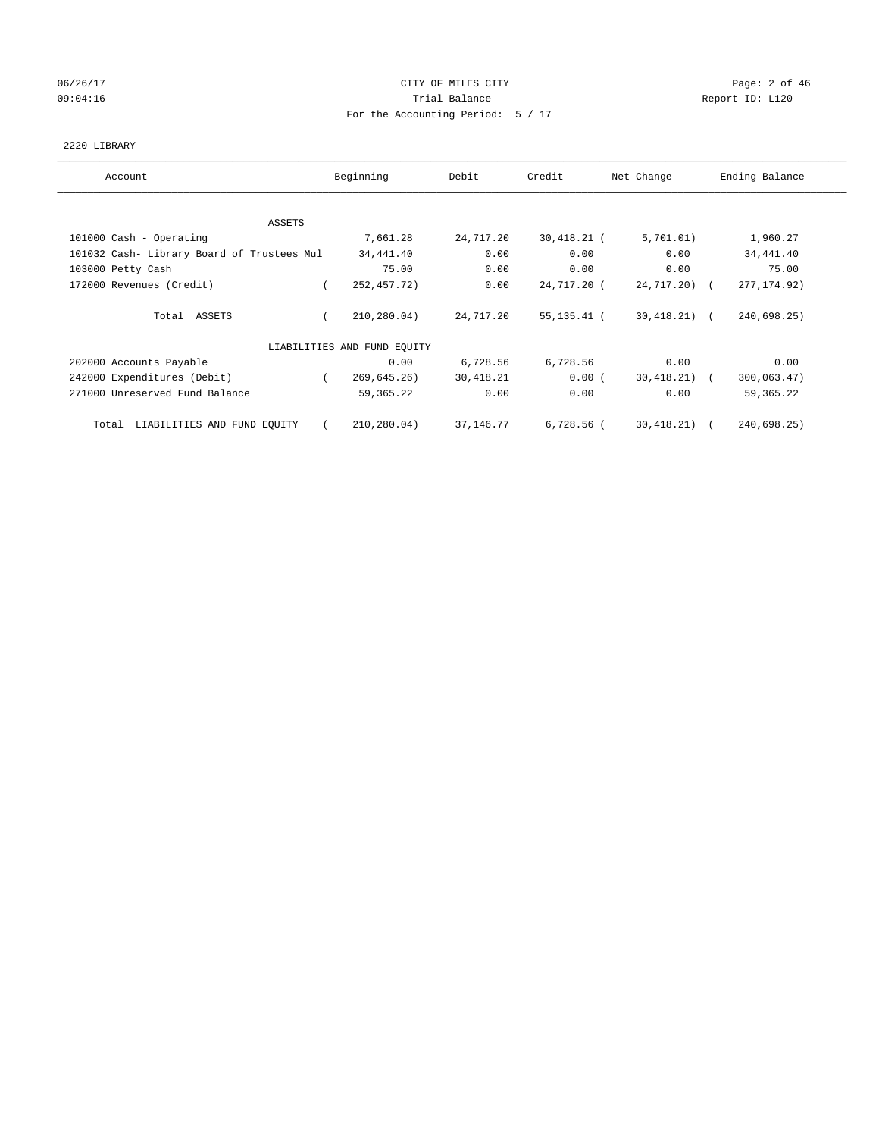## 06/26/17 CITY OF MILES CITY Page: 2 of 46 09:04:16 Quantity Quantity Contract Contract Contract Contract Contract Contract Contract Contract Contract Contract Contract Contract Contract Contract Contract Contra For the Accounting Period: 5 / 17

#### 2220 LIBRARY

| Account                                    | Beginning                   | Debit      | Credit        | Net Change     | Ending Balance |
|--------------------------------------------|-----------------------------|------------|---------------|----------------|----------------|
| ASSETS                                     |                             |            |               |                |                |
| 101000 Cash - Operating                    | 7,661.28                    | 24,717.20  | $30,418.21$ ( | 5,701.01)      | 1,960.27       |
| 101032 Cash- Library Board of Trustees Mul | 34,441.40                   | 0.00       | 0.00          | 0.00           | 34,441.40      |
| 103000 Petty Cash                          | 75.00                       | 0.00       | 0.00          | 0.00           | 75.00          |
| 172000 Revenues (Credit)                   | 252,457.72)                 | 0.00       | 24,717.20 (   | $24,717,20$ (  | 277, 174.92)   |
| Total ASSETS                               | 210,280.04)                 | 24,717.20  | 55,135.41 (   | $30,418.21)$ ( | 240,698.25)    |
|                                            | LIABILITIES AND FUND EQUITY |            |               |                |                |
| 202000 Accounts Payable                    | 0.00                        | 6,728.56   | 6,728.56      | 0.00           | 0.00           |
| 242000 Expenditures (Debit)                | 269,645.26)<br>$\sqrt{2}$   | 30,418.21  | 0.00(         | 30,418.21) (   | 300,063.47)    |
| 271000 Unreserved Fund Balance             | 59,365.22                   | 0.00       | 0.00          | 0.00           | 59, 365. 22    |
| LIABILITIES AND FUND EQUITY<br>Total       | 210,280.04)                 | 37, 146.77 | 6,728.56 (    | 30,418.21) (   | 240,698.25)    |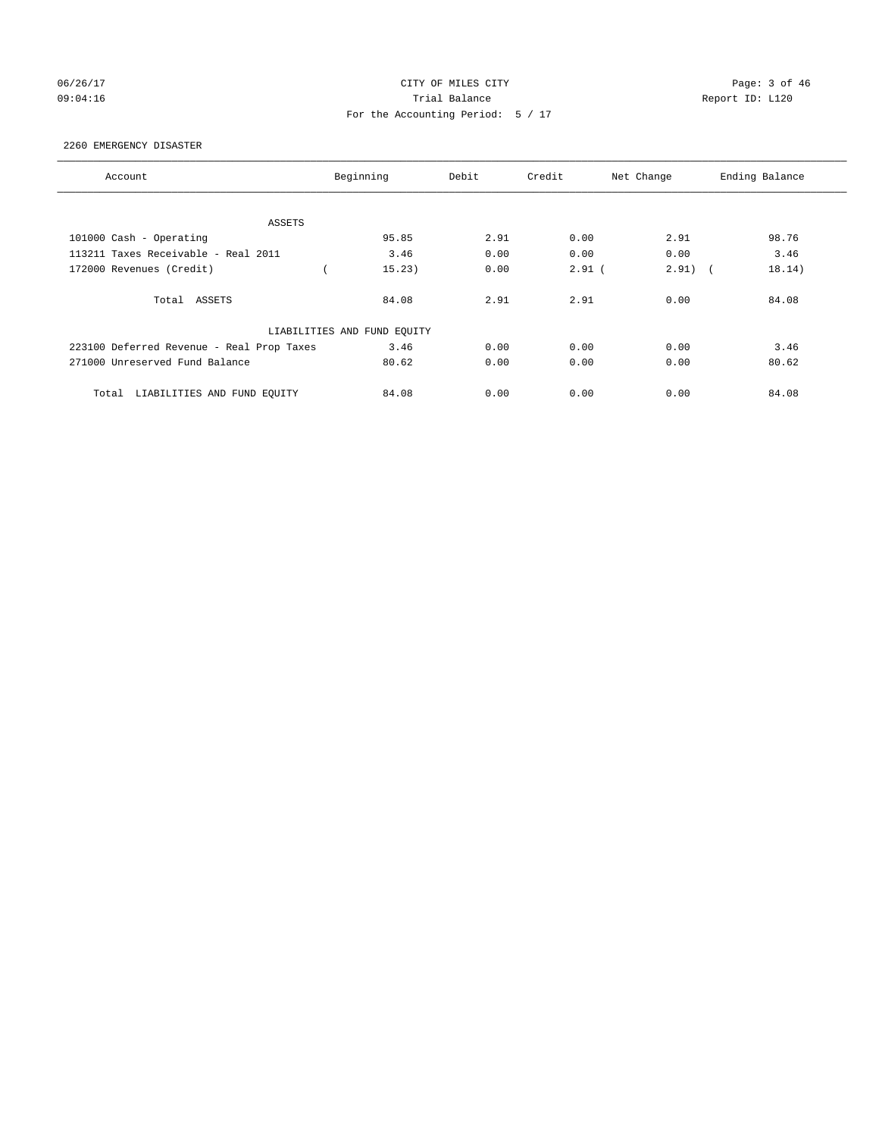## 06/26/17 CITY OF MILES CITY Page: 3 of 46 09:04:16 Quantity Contract Contract Contract Contract Contract Contract Contract Contract Contract Contract Contract Contract Contract Contract Contract Contract Contra For the Accounting Period: 5 / 17

#### 2260 EMERGENCY DISASTER

| Account                                   | Beginning                   | Debit | Credit   | Net Change | Ending Balance |
|-------------------------------------------|-----------------------------|-------|----------|------------|----------------|
|                                           |                             |       |          |            |                |
| ASSETS                                    |                             |       |          |            |                |
| 101000 Cash - Operating                   | 95.85                       | 2.91  | 0.00     | 2.91       | 98.76          |
| 113211 Taxes Receivable - Real 2011       | 3.46                        | 0.00  | 0.00     | 0.00       | 3.46           |
| 172000 Revenues (Credit)                  | 15.23)                      | 0.00  | $2.91$ ( | $2.91)$ (  | 18.14)         |
| Total ASSETS                              | 84.08                       | 2.91  | 2.91     | 0.00       | 84.08          |
|                                           | LIABILITIES AND FUND EQUITY |       |          |            |                |
| 223100 Deferred Revenue - Real Prop Taxes | 3.46                        | 0.00  | 0.00     | 0.00       | 3.46           |
| 271000 Unreserved Fund Balance            | 80.62                       | 0.00  | 0.00     | 0.00       | 80.62          |
| LIABILITIES AND FUND EQUITY<br>Total      | 84.08                       | 0.00  | 0.00     | 0.00       | 84.08          |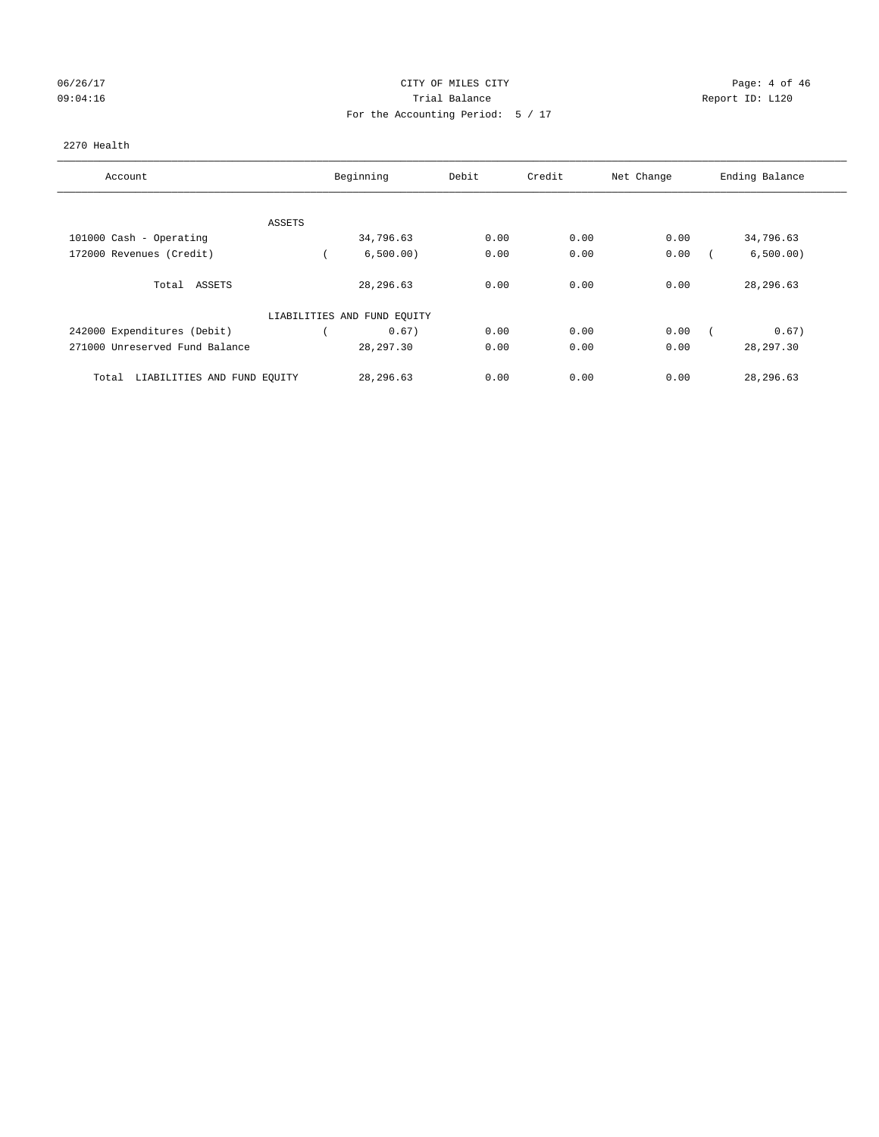# 06/26/17 Page: 4 of 46 09:04:16 Quantity Contract Contract Contract Contract Contract Contract Contract Contract Contract Contract Contract Contract Contract Contract Contract Contract Contra For the Accounting Period: 5 / 17

#### 2270 Health

| Account                              | Beginning                   | Debit | Credit | Net Change | Ending Balance |
|--------------------------------------|-----------------------------|-------|--------|------------|----------------|
| ASSETS                               |                             |       |        |            |                |
| 101000 Cash - Operating              | 34,796.63                   | 0.00  | 0.00   | 0.00       | 34,796.63      |
| 172000 Revenues (Credit)             | 6,500.00)                   | 0.00  | 0.00   | 0.00       | 6,500.00)      |
| Total ASSETS                         | 28, 296.63                  | 0.00  | 0.00   | 0.00       | 28,296.63      |
|                                      | LIABILITIES AND FUND EQUITY |       |        |            |                |
| 242000 Expenditures (Debit)          | 0.67)                       | 0.00  | 0.00   | 0.00       | 0.67)          |
| 271000 Unreserved Fund Balance       | 28,297.30                   | 0.00  | 0.00   | 0.00       | 28, 297.30     |
| LIABILITIES AND FUND EOUITY<br>Total | 28,296.63                   | 0.00  | 0.00   | 0.00       | 28, 296.63     |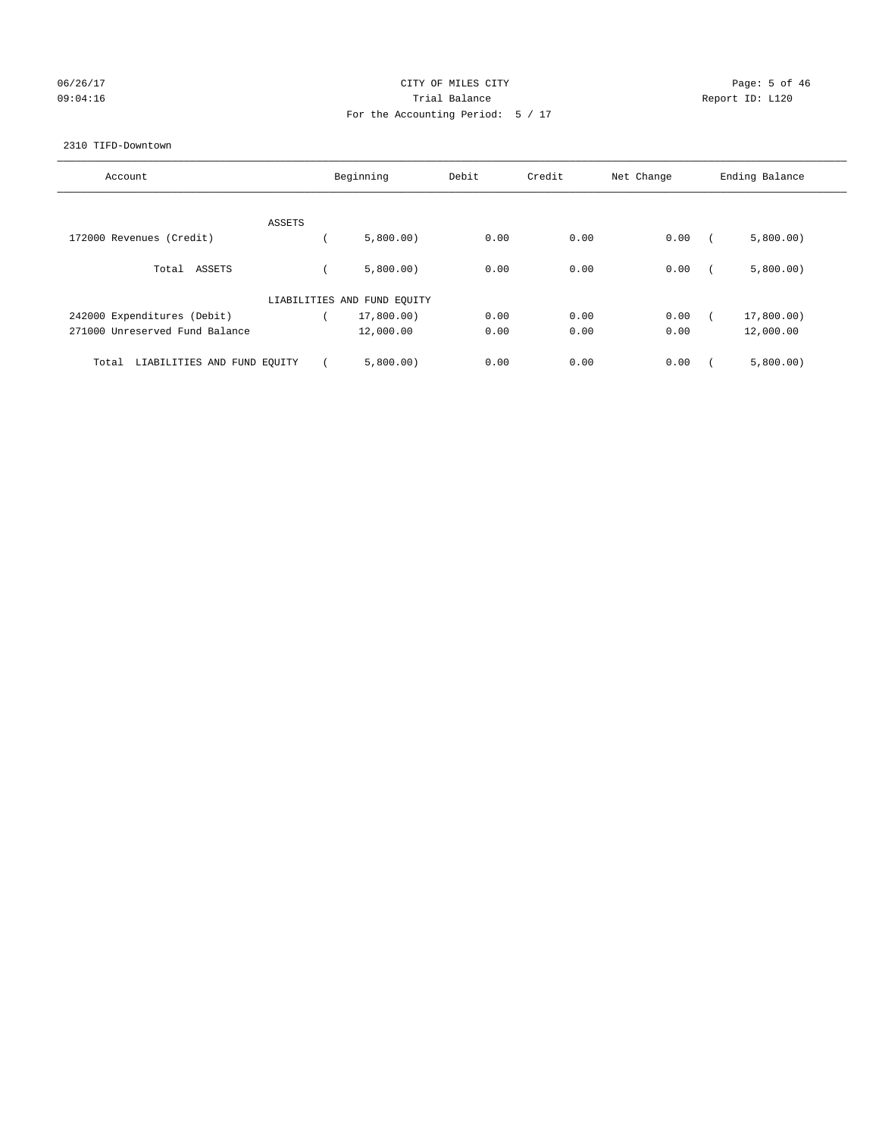## 06/26/17 CITY OF MILES CITY Page: 5 of 46 09:04:16 COMPOSER TRIAL BALANCE COMPOSER TRIAL BALANCE COMPOSER REPORT ID: L120 For the Accounting Period: 5 / 17

#### 2310 TIFD-Downtown

| Account                              |        | Beginning                   | Debit | Credit | Net Change | Ending Balance |
|--------------------------------------|--------|-----------------------------|-------|--------|------------|----------------|
|                                      | ASSETS |                             |       |        |            |                |
| 172000 Revenues (Credit)             |        | 5,800.00)                   | 0.00  | 0.00   | 0.00       | 5,800.00)      |
| Total ASSETS                         |        | 5,800.00)                   | 0.00  | 0.00   | 0.00       | 5,800.00)      |
|                                      |        | LIABILITIES AND FUND EQUITY |       |        |            |                |
| 242000 Expenditures (Debit)          |        | 17,800.00)                  | 0.00  | 0.00   | 0.00       | 17,800.00)     |
| 271000 Unreserved Fund Balance       |        | 12,000.00                   | 0.00  | 0.00   | 0.00       | 12,000.00      |
| LIABILITIES AND FUND EQUITY<br>Total |        | 5,800.00)                   | 0.00  | 0.00   | 0.00       | 5,800.00)      |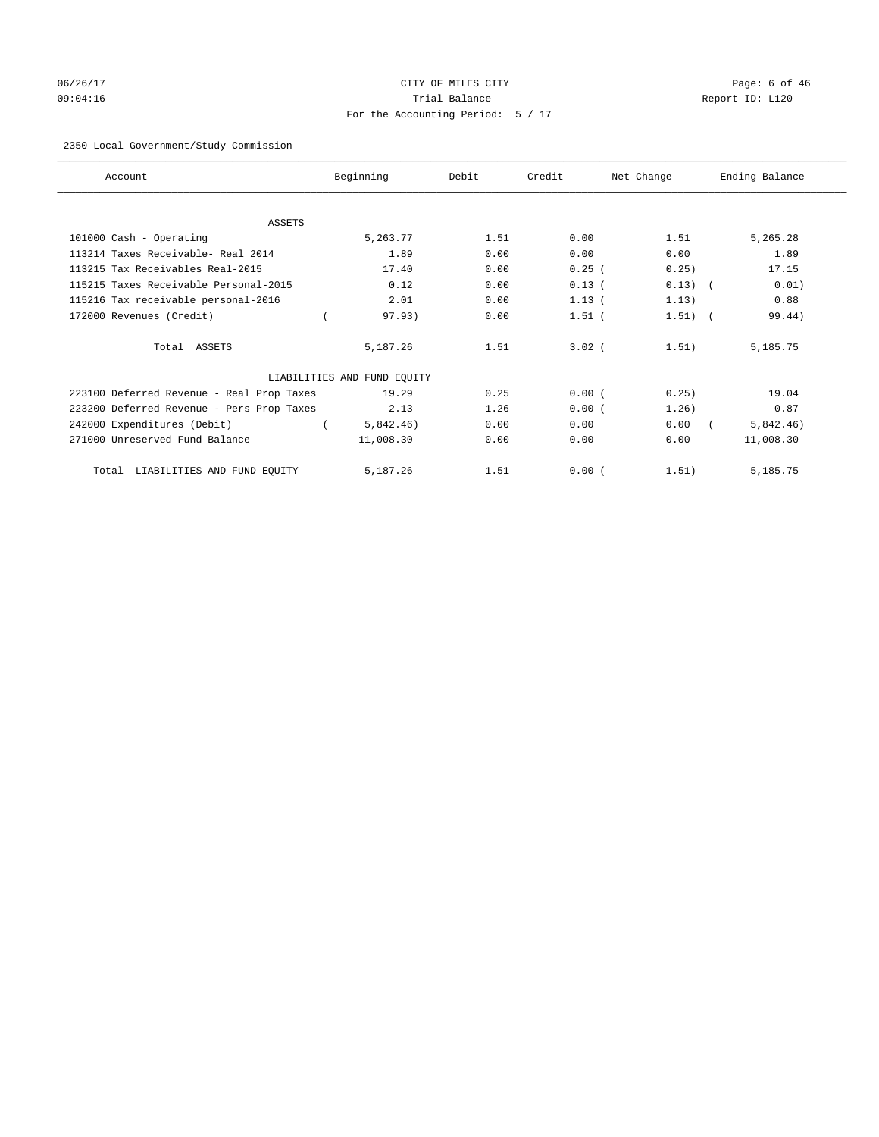# 06/26/17 CITY OF MILES CITY Page: 6 of 46 09:04:16 Trial Balance Report ID: L120 For the Accounting Period: 5 / 17

## 2350 Local Government/Study Commission

| Account                                   | Beginning                   | Debit | Credit     | Net Change | Ending Balance |
|-------------------------------------------|-----------------------------|-------|------------|------------|----------------|
|                                           |                             |       |            |            |                |
| <b>ASSETS</b>                             |                             |       |            |            |                |
| 101000 Cash - Operating                   | 5,263.77                    | 1.51  | 0.00       | 1.51       | 5,265.28       |
| 113214 Taxes Receivable- Real 2014        | 1.89                        | 0.00  | 0.00       | 0.00       | 1.89           |
| 113215 Tax Receivables Real-2015          | 17.40                       | 0.00  | 0.25(      | 0.25)      | 17.15          |
| 115215 Taxes Receivable Personal-2015     | 0.12                        | 0.00  | 0.13(      | $0.13)$ (  | 0.01)          |
| 115216 Tax receivable personal-2016       | 2.01                        | 0.00  | $1.13$ (   | 1.13)      | 0.88           |
| 172000 Revenues (Credit)                  | 97.93)                      | 0.00  | $1.51$ (   | $1.51)$ (  | 99.44)         |
| Total ASSETS                              | 5,187.26                    | 1.51  | $3.02$ $($ | 1.51)      | 5,185.75       |
|                                           | LIABILITIES AND FUND EQUITY |       |            |            |                |
| 223100 Deferred Revenue - Real Prop Taxes | 19.29                       | 0.25  | 0.00(      | 0.25)      | 19.04          |
| 223200 Deferred Revenue - Pers Prop Taxes | 2.13                        | 1.26  | 0.00(      | 1.26)      | 0.87           |
| 242000 Expenditures (Debit)               | 5,842.46)                   | 0.00  | 0.00       | 0.00       | 5,842.46)      |
| 271000 Unreserved Fund Balance            | 11,008.30                   | 0.00  | 0.00       | 0.00       | 11,008.30      |
| LIABILITIES AND FUND EQUITY<br>Total      | 5,187.26                    | 1.51  | 0.00(      | 1.51)      | 5,185.75       |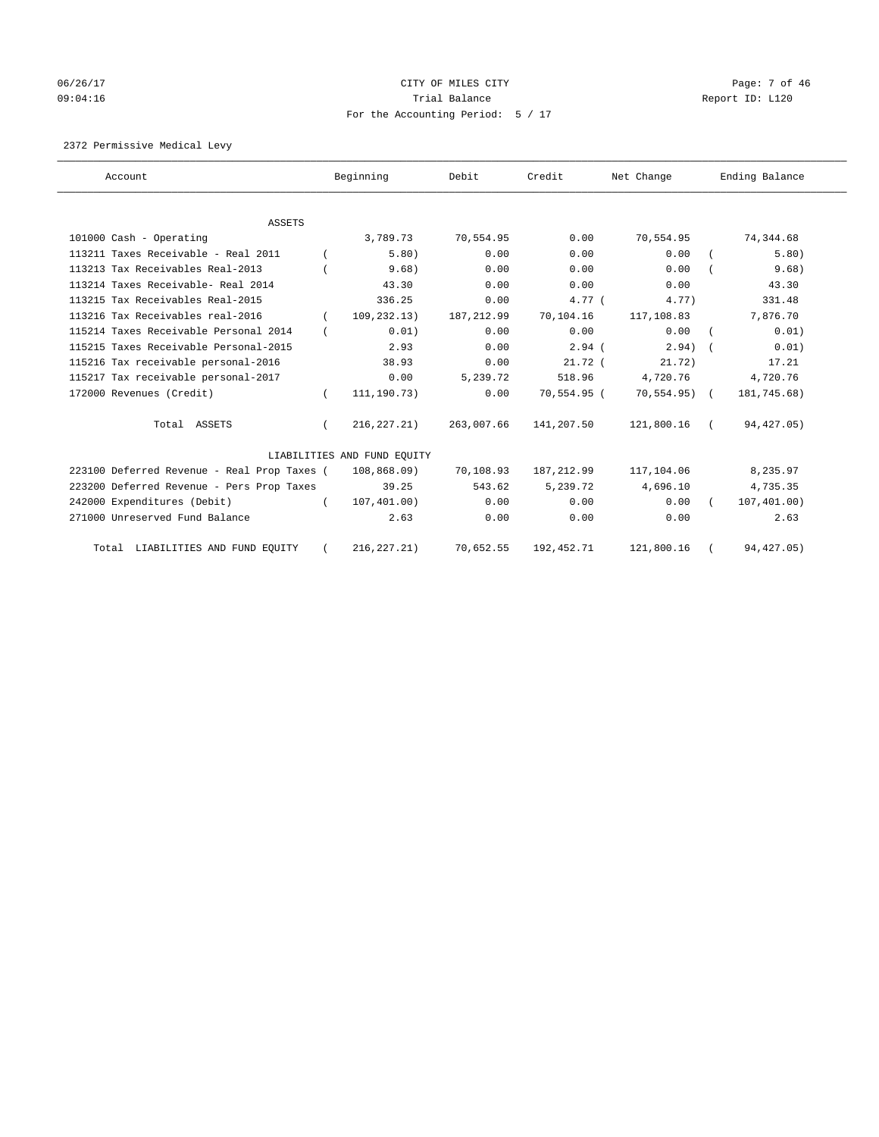# 06/26/17 Page: 7 of 46 09:04:16 Trial Balance Report ID: L120 For the Accounting Period: 5 / 17

2372 Permissive Medical Levy

| Account                                     |          | Beginning                   | Debit       | Credit             | Net Change   | Ending Balance |
|---------------------------------------------|----------|-----------------------------|-------------|--------------------|--------------|----------------|
|                                             |          |                             |             |                    |              |                |
| <b>ASSETS</b>                               |          |                             |             |                    |              |                |
| 101000 Cash - Operating                     |          | 3,789.73                    | 70,554.95   | 0.00               | 70,554.95    | 74,344.68      |
| 113211 Taxes Receivable - Real 2011         |          | 5.80)                       | 0.00        | 0.00               | 0.00         | 5.80)          |
| 113213 Tax Receivables Real-2013            |          | 9.68)                       | 0.00        | 0.00               | 0.00         | 9.68)          |
| 113214 Taxes Receivable- Real 2014          |          | 43.30                       | 0.00        | 0.00               | 0.00         | 43.30          |
| 113215 Tax Receivables Real-2015            |          | 336.25                      | 0.00        | $4.77$ (           | 4.77)        | 331.48         |
| 113216 Tax Receivables real-2016            |          | 109, 232.13)                | 187, 212.99 | 70,104.16          | 117,108.83   | 7,876.70       |
| 115214 Taxes Receivable Personal 2014       |          | 0.01)                       | 0.00        | 0.00               | 0.00         | 0.01)          |
| 115215 Taxes Receivable Personal-2015       |          | 2.93                        | 0.00        | $2.94$ (           | $2.94$ ) $($ | 0.01)          |
| 115216 Tax receivable personal-2016         |          | 38.93                       | 0.00        | 21.72 <sub>0</sub> | 21.72)       | 17.21          |
| 115217 Tax receivable personal-2017         |          | 0.00                        | 5,239.72    | 518.96             | 4,720.76     | 4,720.76       |
| 172000 Revenues (Credit)                    | $\left($ | 111,190.73)                 | 0.00        | 70,554.95 (        | 70,554.95) ( | 181,745.68)    |
| Total ASSETS                                | $\left($ | 216,227.21)                 | 263,007.66  | 141,207.50         | 121,800.16 ( | 94,427.05)     |
|                                             |          | LIABILITIES AND FUND EQUITY |             |                    |              |                |
| 223100 Deferred Revenue - Real Prop Taxes ( |          | 108,868.09)                 | 70,108.93   | 187,212.99         | 117,104.06   | 8,235.97       |
| 223200 Deferred Revenue - Pers Prop Taxes   |          | 39.25                       | 543.62      | 5,239.72           | 4,696.10     | 4,735.35       |
| 242000 Expenditures (Debit)                 | $\left($ | 107, 401.00)                | 0.00        | 0.00               | 0.00         | 107,401.00)    |
| 271000 Unreserved Fund Balance              |          | 2.63                        | 0.00        | 0.00               | 0.00         | 2.63           |
| Total LIABILITIES AND FUND EQUITY           |          | 216, 227.21)                | 70,652.55   | 192,452.71         | 121,800.16   | 94, 427.05)    |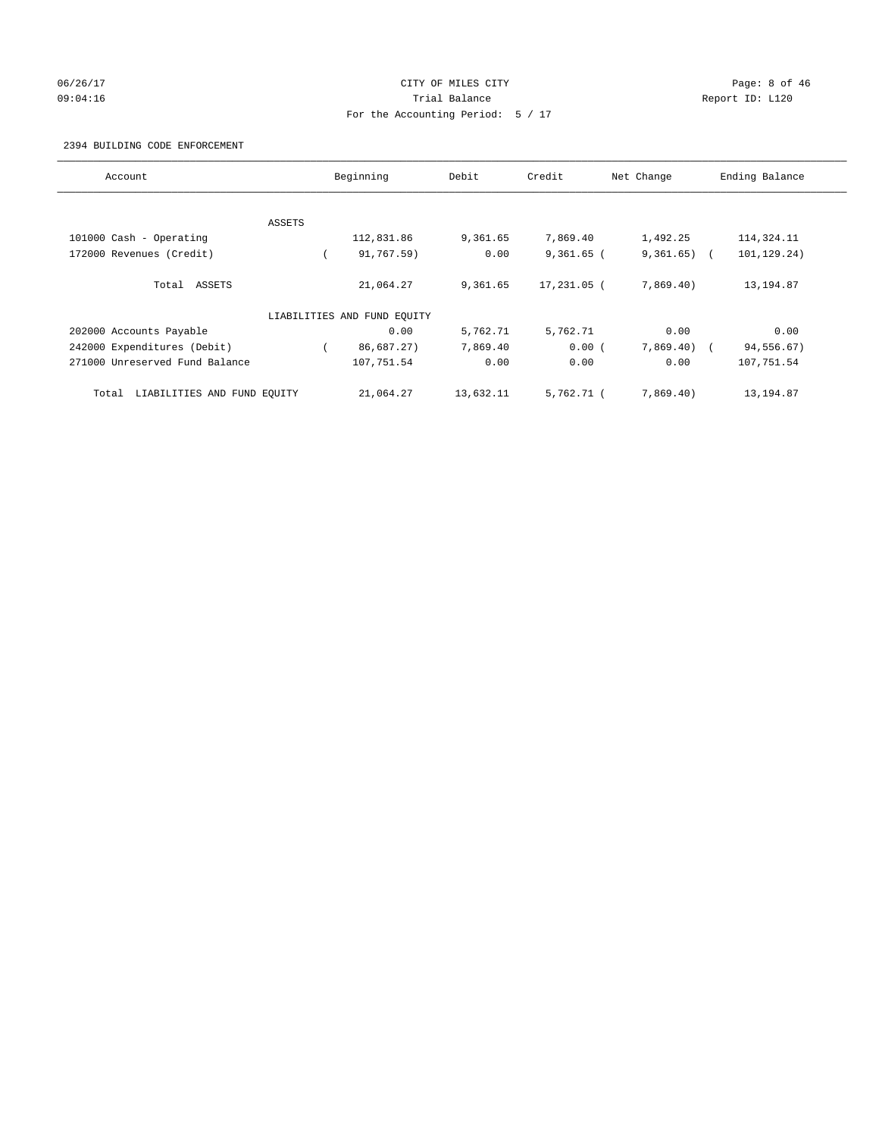## 06/26/17 CITY OF MILES CITY Page: 8 of 46 09:04:16 Quantity Contract Contract Contract Contract Contract Contract Contract Contract Contract Contract Contract Contract Contract Contract Contract Contract Contra For the Accounting Period: 5 / 17

#### 2394 BUILDING CODE ENFORCEMENT

| Account                              |        | Beginning                   | Debit     | Credit       | Net Change   | Ending Balance |
|--------------------------------------|--------|-----------------------------|-----------|--------------|--------------|----------------|
|                                      |        |                             |           |              |              |                |
|                                      | ASSETS |                             |           |              |              |                |
| 101000 Cash - Operating              |        | 112,831.86                  | 9,361.65  | 7,869.40     | 1,492.25     | 114,324.11     |
| 172000 Revenues (Credit)             |        | 91,767.59)                  | 0.00      | $9,361.65$ ( | 9,361.65)    | 101,129.24)    |
| Total ASSETS                         |        | 21,064.27                   | 9,361.65  | 17,231.05 (  | 7,869.40)    | 13, 194.87     |
|                                      |        | LIABILITIES AND FUND EQUITY |           |              |              |                |
| 202000 Accounts Payable              |        | 0.00                        | 5,762.71  | 5,762.71     | 0.00         | 0.00           |
| 242000 Expenditures (Debit)          |        | 86,687.27)                  | 7,869.40  | 0.00(        | $7,869.40$ ( | 94,556.67)     |
| 271000 Unreserved Fund Balance       |        | 107,751.54                  | 0.00      | 0.00         | 0.00         | 107,751.54     |
| LIABILITIES AND FUND EQUITY<br>Total |        | 21,064.27                   | 13,632.11 | 5,762.71 (   | 7,869.40)    | 13,194.87      |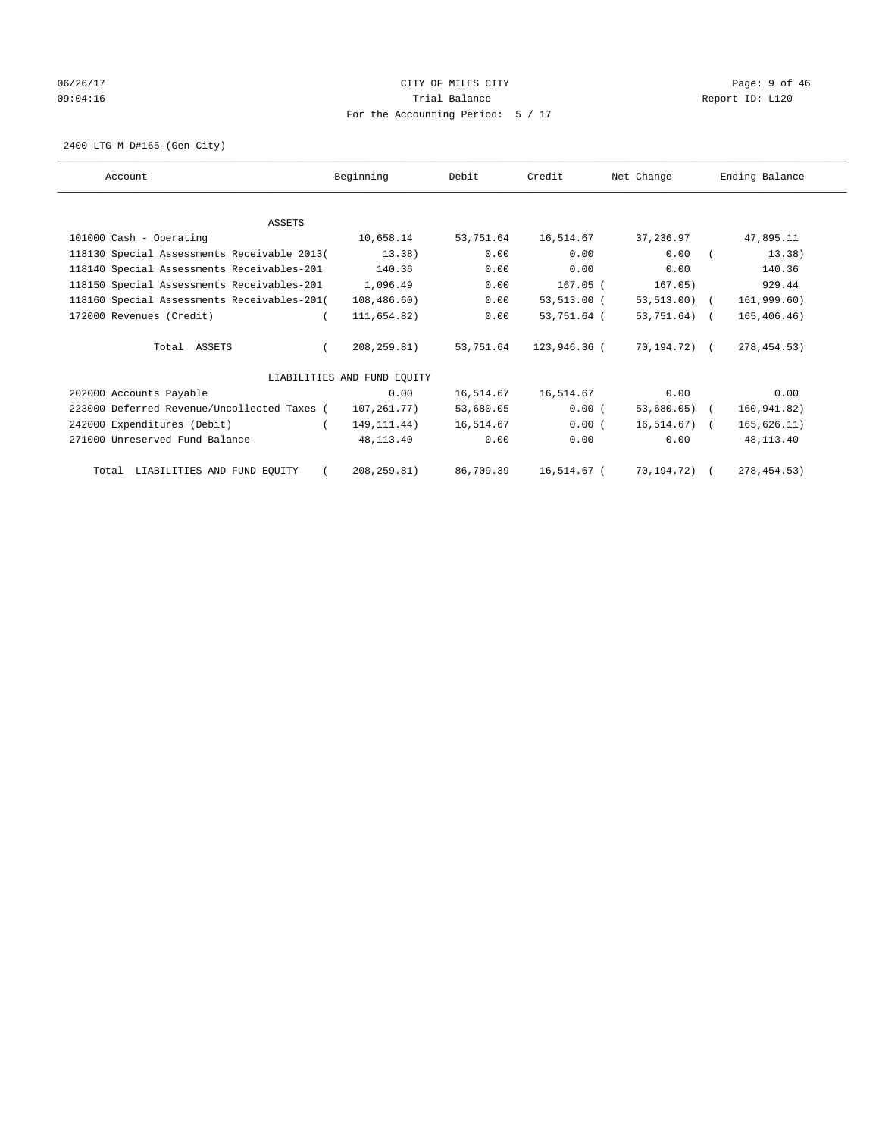# 06/26/17 Page: 9 of 46 09:04:16 Quantity Quantity Contract Contract Contract Contract Contract Contract Contract Contract Contract Contract Contract Contract Contract Contract Contract Contra For the Accounting Period: 5 / 17

2400 LTG M D#165-(Gen City)

| Account                                     | Beginning                   | Debit     | Credit       | Net Change     | Ending Balance |
|---------------------------------------------|-----------------------------|-----------|--------------|----------------|----------------|
|                                             |                             |           |              |                |                |
| <b>ASSETS</b>                               |                             |           |              |                |                |
| 101000 Cash - Operating                     | 10,658.14                   | 53,751.64 | 16,514.67    | 37,236.97      | 47,895.11      |
| 118130 Special Assessments Receivable 2013( | 13.38)                      | 0.00      | 0.00         | 0.00           | 13.38)         |
| 118140 Special Assessments Receivables-201  | 140.36                      | 0.00      | 0.00         | 0.00           | 140.36         |
| 118150 Special Assessments Receivables-201  | 1,096.49                    | 0.00      | $167.05$ (   | 167.05)        | 929.44         |
| 118160 Special Assessments Receivables-201( | 108,486.60)                 | 0.00      | 53,513.00 (  | 53,513.00) (   | 161,999.60)    |
| 172000 Revenues (Credit)                    | 111,654.82)                 | 0.00      | 53,751.64 (  | 53,751.64) (   | 165,406.46)    |
| Total ASSETS                                | 208,259.81)                 | 53,751.64 | 123,946.36 ( | 70,194.72) (   | 278, 454.53)   |
|                                             | LIABILITIES AND FUND EQUITY |           |              |                |                |
| 202000 Accounts Payable                     | 0.00                        | 16,514.67 | 16,514.67    | 0.00           | 0.00           |
| 223000 Deferred Revenue/Uncollected Taxes ( | 107,261.77)                 | 53,680.05 | 0.00(        | $53,680.05)$ ( | 160,941.82)    |
| 242000 Expenditures (Debit)                 | 149, 111.44)                | 16,514.67 | 0.00(        | $16,514.67$ (  | 165, 626.11)   |
| 271000 Unreserved Fund Balance              | 48,113.40                   | 0.00      | 0.00         | 0.00           | 48,113.40      |
| Total LIABILITIES AND FUND EQUITY           | 208, 259.81)                | 86,709.39 | 16,514.67 (  | 70,194.72) (   | 278, 454.53)   |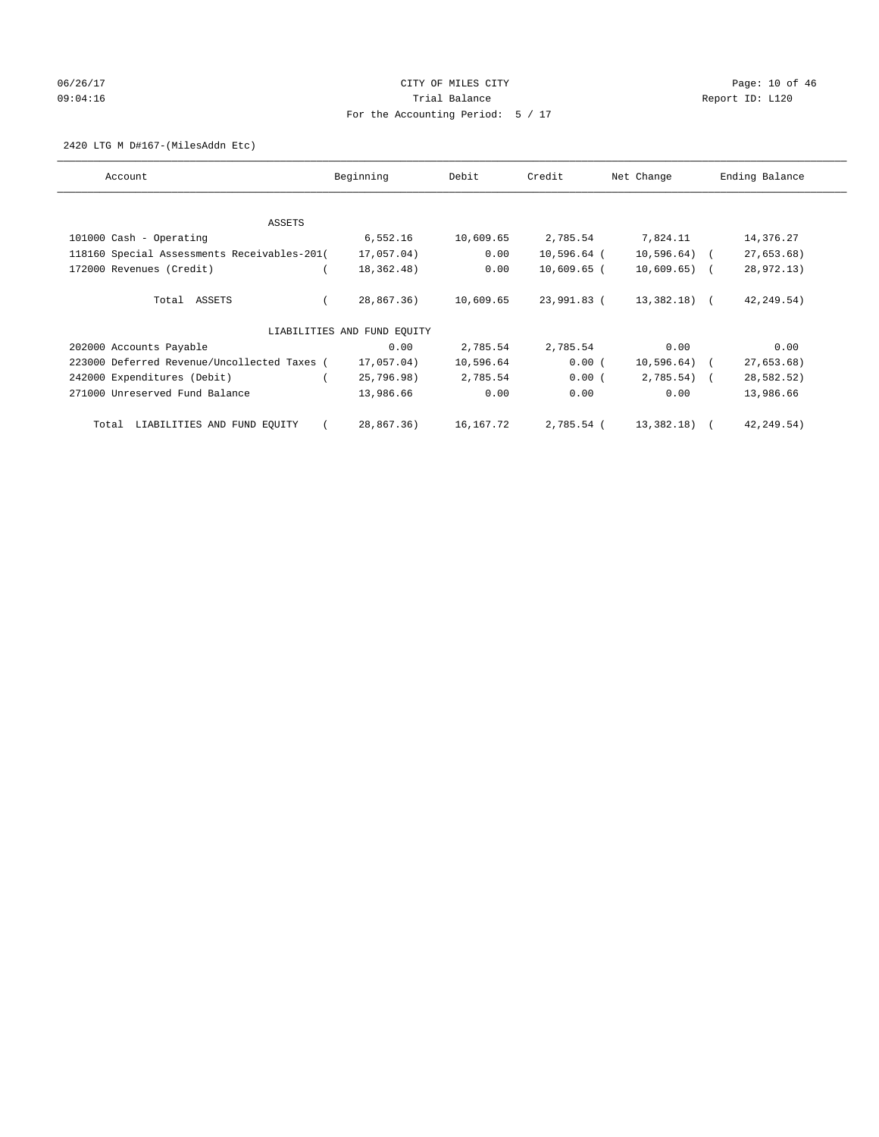# 06/26/17 Page: 10 of 46 09:04:16 COMPOSER TRIAL BALANCE COMPOSER TRIAL BALANCE COMPOSER REPORT ID: L120 For the Accounting Period: 5 / 17

#### 2420 LTG M D#167-(MilesAddn Etc)

| Account                                     | Beginning                   | Debit     | Credit        | Net Change    | Ending Balance |
|---------------------------------------------|-----------------------------|-----------|---------------|---------------|----------------|
| ASSETS                                      |                             |           |               |               |                |
| 101000 Cash - Operating                     | 6,552.16                    | 10,609.65 | 2,785.54      | 7,824.11      | 14,376.27      |
| 118160 Special Assessments Receivables-201( | 17,057.04)                  | 0.00      | $10,596.64$ ( | $10,596.64$ ( | 27,653.68      |
| 172000 Revenues (Credit)                    | 18,362.48)                  | 0.00      | $10,609.65$ ( | $10,609.65$ ( | 28,972.13)     |
| Total ASSETS                                | 28,867.36)                  | 10,609.65 | 23,991.83 (   | 13,382.18) (  | 42, 249.54)    |
|                                             | LIABILITIES AND FUND EQUITY |           |               |               |                |
| 202000 Accounts Payable                     | 0.00                        | 2,785.54  | 2,785.54      | 0.00          | 0.00           |
| 223000 Deferred Revenue/Uncollected Taxes ( | 17,057.04)                  | 10,596.64 | 0.00(         | $10,596.64$ ( | 27,653.68)     |
| 242000 Expenditures (Debit)                 | 25,796.98)                  | 2,785.54  | 0.00(         | $2,785.54$ (  | 28,582.52)     |
| 271000 Unreserved Fund Balance              | 13,986.66                   | 0.00      | 0.00          | 0.00          | 13,986.66      |
| LIABILITIES AND FUND EQUITY<br>Total        | 28,867.36)                  | 16,167.72 | 2,785.54 (    | 13,382.18) (  | 42, 249.54)    |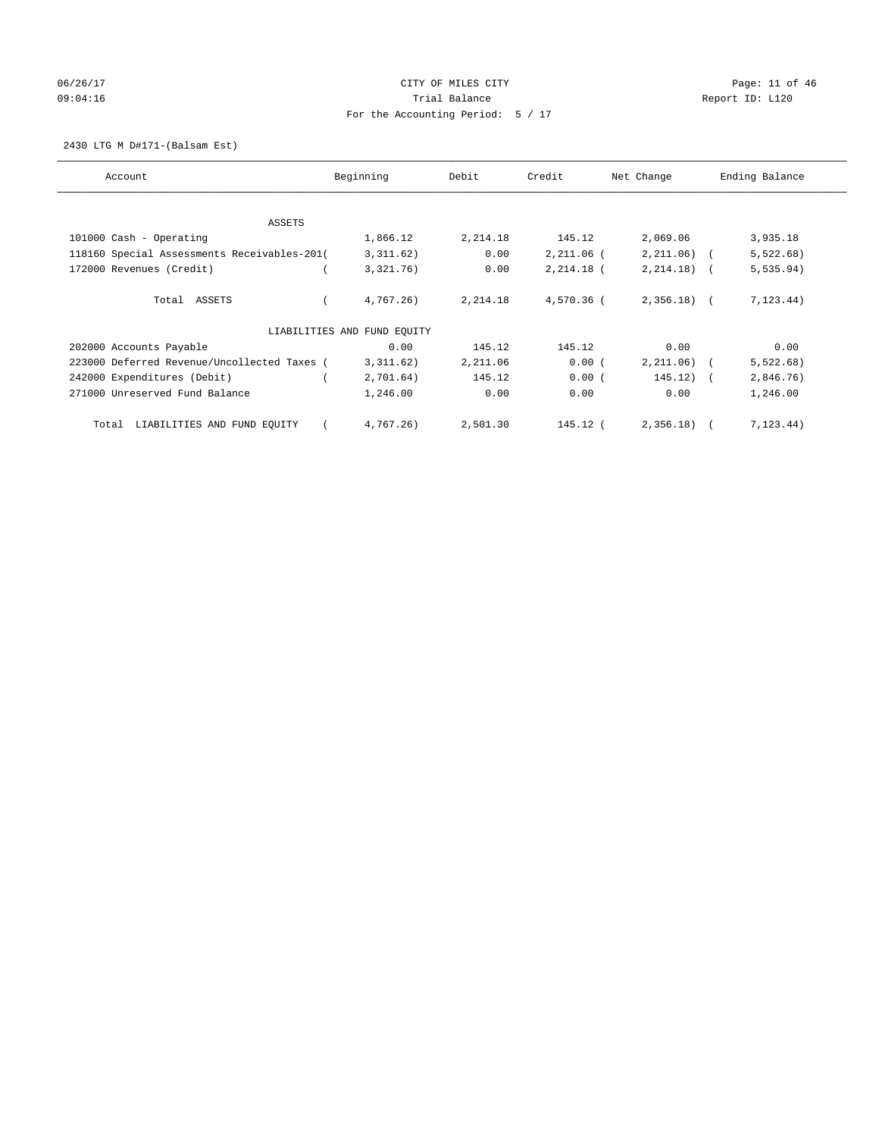# 06/26/17 Page: 11 of 46 09:04:16 COMPOSER TRIAL BALANCE COMPOSER TRIAL BALANCE COMPOSER REPORT ID: L120 For the Accounting Period: 5 / 17

2430 LTG M D#171-(Balsam Est)

| Account                                     | Beginning                   | Debit    | Credit       | Net Change    | Ending Balance          |
|---------------------------------------------|-----------------------------|----------|--------------|---------------|-------------------------|
| ASSETS                                      |                             |          |              |               |                         |
| 101000 Cash - Operating                     | 1,866.12                    | 2,214.18 | 145.12       | 2,069.06      | 3,935.18                |
| 118160 Special Assessments Receivables-201( | 3,311.62)                   | 0.00     | $2,211.06$ ( | $2,211.06$ (  | 5,522.68)               |
| 172000 Revenues (Credit)                    | 3,321.76)                   | 0.00     | $2,214.18$ ( | $2, 214.18$ ( | 5, 535.94)              |
| Total ASSETS                                | 4.767.26                    | 2,214.18 | $4.570.36$ ( | $2,356.18$ (  | 7, 123, 44)             |
|                                             | LIABILITIES AND FUND EQUITY |          |              |               |                         |
| 202000 Accounts Payable                     | 0.00                        | 145.12   | 145.12       | 0.00          | 0.00                    |
| 223000 Deferred Revenue/Uncollected Taxes ( | 3,311.62)                   | 2,211.06 | 0.00(        | 2, 211.06)    | 5,522.68)               |
| 242000 Expenditures (Debit)                 | 2,701.64)                   | 145.12   | 0.00(        | 145.12)       | 2,846.76)<br>$\sqrt{2}$ |
| 271000 Unreserved Fund Balance              | 1,246.00                    | 0.00     | 0.00         | 0.00          | 1,246.00                |
| LIABILITIES AND FUND EQUITY<br>Total        | 4,767.26)                   | 2,501.30 | 145.12 (     | 2,356.18      | 7, 123.44)              |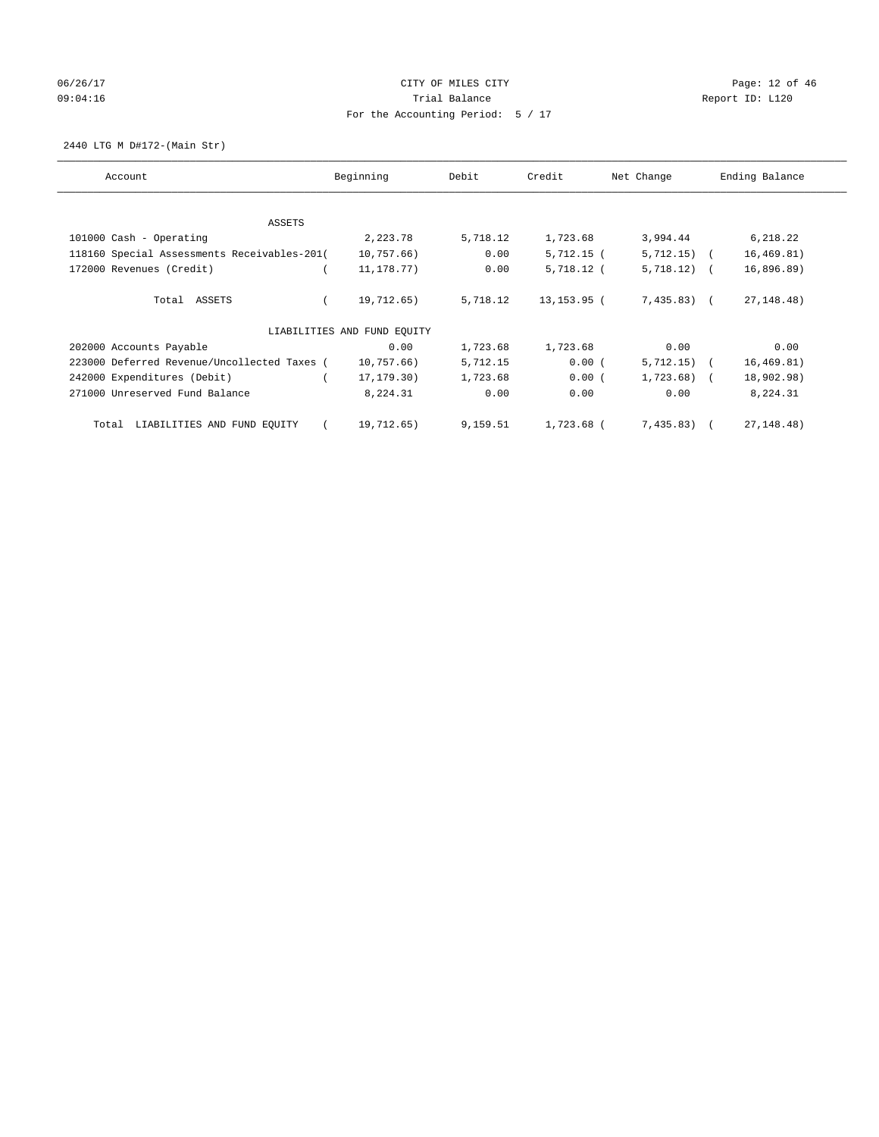# 06/26/17 Page: 12 of 46 09:04:16 COMPOSERT REPORT TO PERMIT REPORT ID: LOCAL REPORT ID: LOCAL REPORT ID: LOCAL REPORT ID: LOCAL REPORT For the Accounting Period: 5 / 17

2440 LTG M D#172-(Main Str)

| Account                                     | Beginning                   | Debit    | Credit       | Net Change    | Ending Balance |
|---------------------------------------------|-----------------------------|----------|--------------|---------------|----------------|
| ASSETS                                      |                             |          |              |               |                |
| 101000 Cash - Operating                     | 2,223.78                    | 5,718.12 | 1,723.68     | 3,994.44      | 6,218.22       |
| 118160 Special Assessments Receivables-201( | 10,757.66)                  | 0.00     | $5,712.15$ ( | $5,712.15)$ ( | 16, 469.81)    |
| 172000 Revenues (Credit)                    | 11, 178. 77)                | 0.00     | 5,718.12 (   | $5,718.12)$ ( | 16,896.89      |
| Total ASSETS                                | 19,712.65)                  | 5,718.12 | 13,153.95 (  | 7,435.83) (   | 27, 148. 48)   |
|                                             | LIABILITIES AND FUND EQUITY |          |              |               |                |
| 202000 Accounts Payable                     | 0.00                        | 1,723.68 | 1,723.68     | 0.00          | 0.00           |
| 223000 Deferred Revenue/Uncollected Taxes ( | 10,757.66)                  | 5,712.15 | 0.00(        | $5,712.15$ (  | 16, 469.81)    |
| 242000 Expenditures (Debit)                 | 17, 179. 30)                | 1,723.68 | 0.00(        | $1,723.68$ (  | 18,902.98)     |
| 271000 Unreserved Fund Balance              | 8,224.31                    | 0.00     | 0.00         | 0.00          | 8,224.31       |
| LIABILITIES AND FUND EQUITY<br>Total        | 19,712.65)                  | 9,159.51 | 1,723.68 (   | $7,435.83$ (  | 27, 148. 48)   |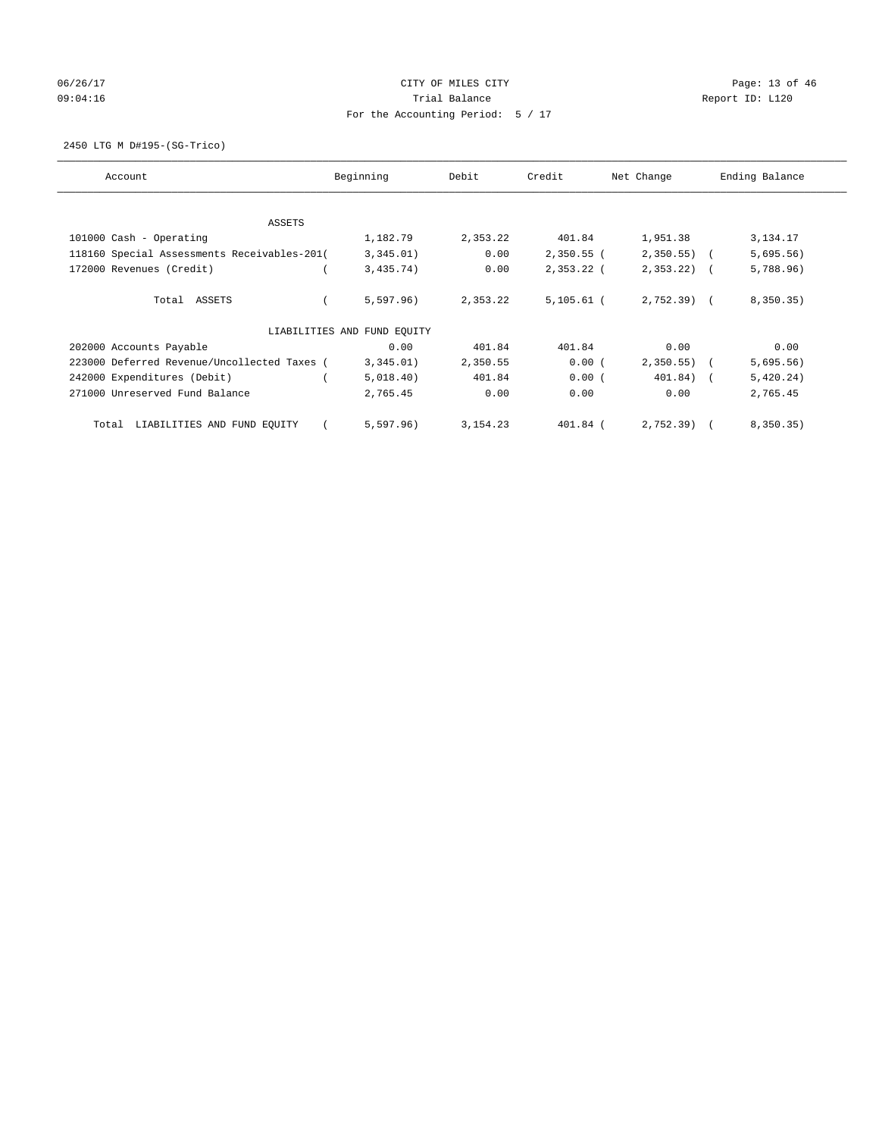# 06/26/17 Page: 13 of 46 09:04:16 COMPOSER TRIAL BALANCE COMPOSER TRIAL BALANCE COMPOSER REPORT ID: L120 For the Accounting Period: 5 / 17

2450 LTG M D#195-(SG-Trico)

| Account                                     | Beginning                   | Debit      | Credit       | Net Change   | Ending Balance |
|---------------------------------------------|-----------------------------|------------|--------------|--------------|----------------|
| ASSETS                                      |                             |            |              |              |                |
| 101000 Cash - Operating                     | 1,182.79                    | 2,353.22   | 401.84       | 1,951.38     | 3,134.17       |
| 118160 Special Assessments Receivables-201( | 3,345.01)                   | 0.00       | $2,350.55$ ( | $2,350.55$ ( | 5,695.56)      |
| 172000 Revenues (Credit)                    | 3,435.74)                   | 0.00       | $2,353.22$ ( | $2,353.22$ ( | 5,788.96)      |
| Total ASSETS                                | 5,597.96)                   | 2,353.22   | $5,105.61$ ( | 2,752.39) (  | 8,350.35)      |
|                                             | LIABILITIES AND FUND EQUITY |            |              |              |                |
| 202000 Accounts Payable                     | 0.00                        | 401.84     | 401.84       | 0.00         | 0.00           |
| 223000 Deferred Revenue/Uncollected Taxes ( | 3,345.01)                   | 2,350.55   | 0.00(        | 2,350.55)    | 5,695.56)      |
| 242000 Expenditures (Debit)                 | 5,018.40)                   | 401.84     | 0.00(        | $401.84)$ (  | 5,420.24)      |
| 271000 Unreserved Fund Balance              | 2,765.45                    | 0.00       | 0.00         | 0.00         | 2,765.45       |
| LIABILITIES AND FUND EQUITY<br>Total        | 5,597.96)                   | 3, 154. 23 | 401.84 (     | $2,752.39$ ( | 8,350.35)      |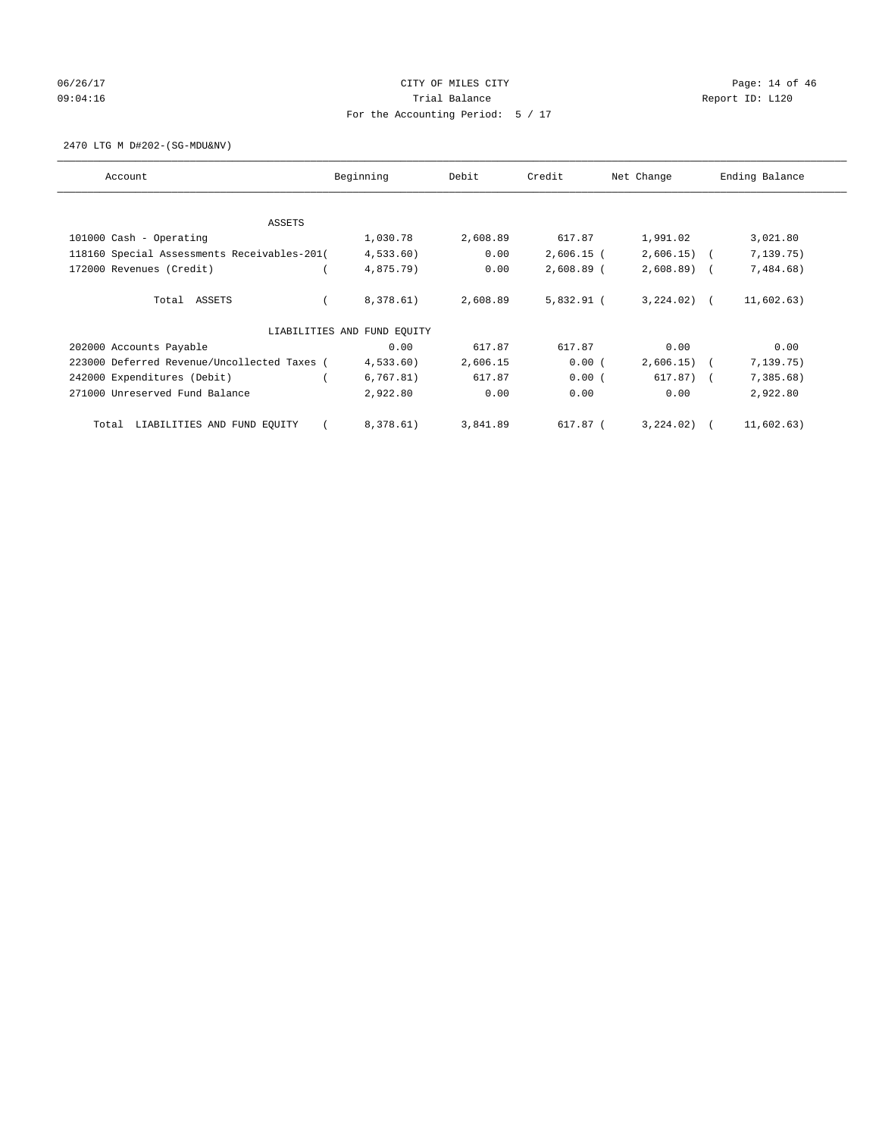# 06/26/17 Page: 14 of 46 09:04:16 COMPOSER TRIAL BALANCE COMPOSER TRIAL BALANCE COMPOSER REPORT ID: L120 For the Accounting Period: 5 / 17

2470 LTG M D#202-(SG-MDU&NV)

| Account                                     | Beginning                   | Debit    | Credit       | Net Change   | Ending Balance |
|---------------------------------------------|-----------------------------|----------|--------------|--------------|----------------|
| ASSETS                                      |                             |          |              |              |                |
| 101000 Cash - Operating                     | 1,030.78                    | 2,608.89 | 617.87       | 1,991.02     | 3,021.80       |
| 118160 Special Assessments Receivables-201( | 4,533.60)                   | 0.00     | $2,606.15$ ( | $2,606.15$ ( | 7, 139.75)     |
| 172000 Revenues (Credit)                    | 4,875.79)                   | 0.00     | $2,608.89$ ( | $2,608.89$ ( | 7,484.68)      |
| Total ASSETS                                | 8,378.61)                   | 2,608.89 | $5,832.91$ ( | $3,224.02$ ( | 11,602.63)     |
|                                             | LIABILITIES AND FUND EQUITY |          |              |              |                |
| 202000 Accounts Payable                     | 0.00                        | 617.87   | 617.87       | 0.00         | 0.00           |
| 223000 Deferred Revenue/Uncollected Taxes ( | 4,533.60)                   | 2,606.15 | 0.00(        | 2,606.15)    | 7,139.75)      |
| 242000 Expenditures (Debit)                 | 6,767.81)                   | 617.87   | 0.00(        | $617.87$ $($ | 7,385.68)      |
| 271000 Unreserved Fund Balance              | 2,922.80                    | 0.00     | 0.00         | 0.00         | 2,922.80       |
| LIABILITIES AND FUND EQUITY<br>Total        | 8,378.61)                   | 3,841.89 | 617.87 (     | $3,224.02$ ( | 11,602.63)     |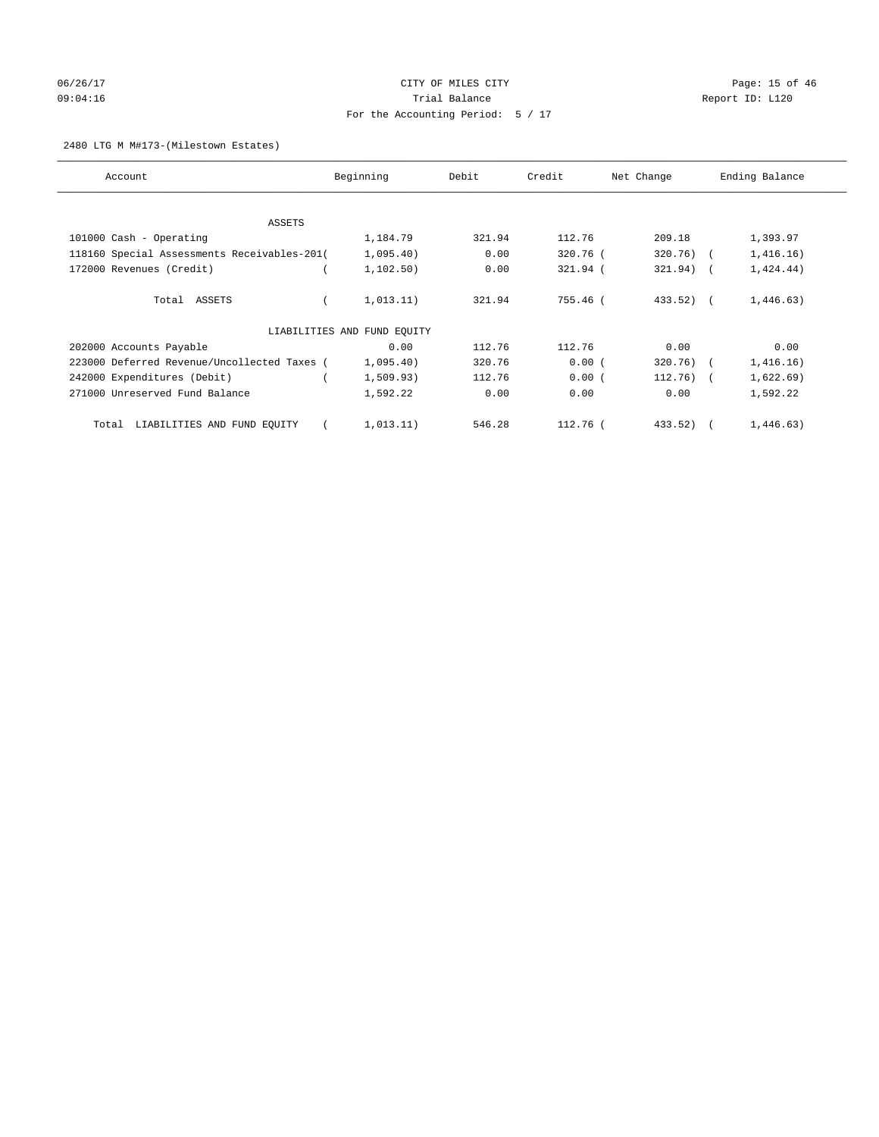# 06/26/17 Page: 15 of 46 09:04:16 COMPOSER TRIAL BALANCE COMPOSER TRIAL BALANCE COMPOSER REPORT ID: L120 For the Accounting Period: 5 / 17

#### 2480 LTG M M#173-(Milestown Estates)

| Account                                     | Beginning                   | Debit  | Credit     | Net Change   | Ending Balance |
|---------------------------------------------|-----------------------------|--------|------------|--------------|----------------|
| ASSETS                                      |                             |        |            |              |                |
| 101000 Cash - Operating                     | 1,184.79                    | 321.94 | 112.76     | 209.18       | 1,393.97       |
| 118160 Special Assessments Receivables-201( | 1,095.40)                   | 0.00   | 320.76 (   | $320.76$ (   | 1,416.16)      |
| 172000 Revenues (Credit)                    | 1, 102.50)                  | 0.00   | 321.94 (   | $321.94)$ (  | 1,424.44)      |
| Total ASSETS                                | 1,013.11)                   | 321.94 | 755.46 (   | $433.52$ ) ( | 1,446.63)      |
|                                             | LIABILITIES AND FUND EQUITY |        |            |              |                |
| 202000 Accounts Payable                     | 0.00                        | 112.76 | 112.76     | 0.00         | 0.00           |
| 223000 Deferred Revenue/Uncollected Taxes ( | 1,095.40)                   | 320.76 | 0.00(      | $320.76$ (   | 1,416.16)      |
| 242000 Expenditures (Debit)                 | 1,509.93)                   | 112.76 | 0.00(      | $112.76)$ (  | 1,622.69)      |
| 271000 Unreserved Fund Balance              | 1,592.22                    | 0.00   | 0.00       | 0.00         | 1,592.22       |
| LIABILITIES AND FUND EQUITY<br>Total        | 1,013.11)                   | 546.28 | $112.76$ ( | 433.52)      | 1,446.63)      |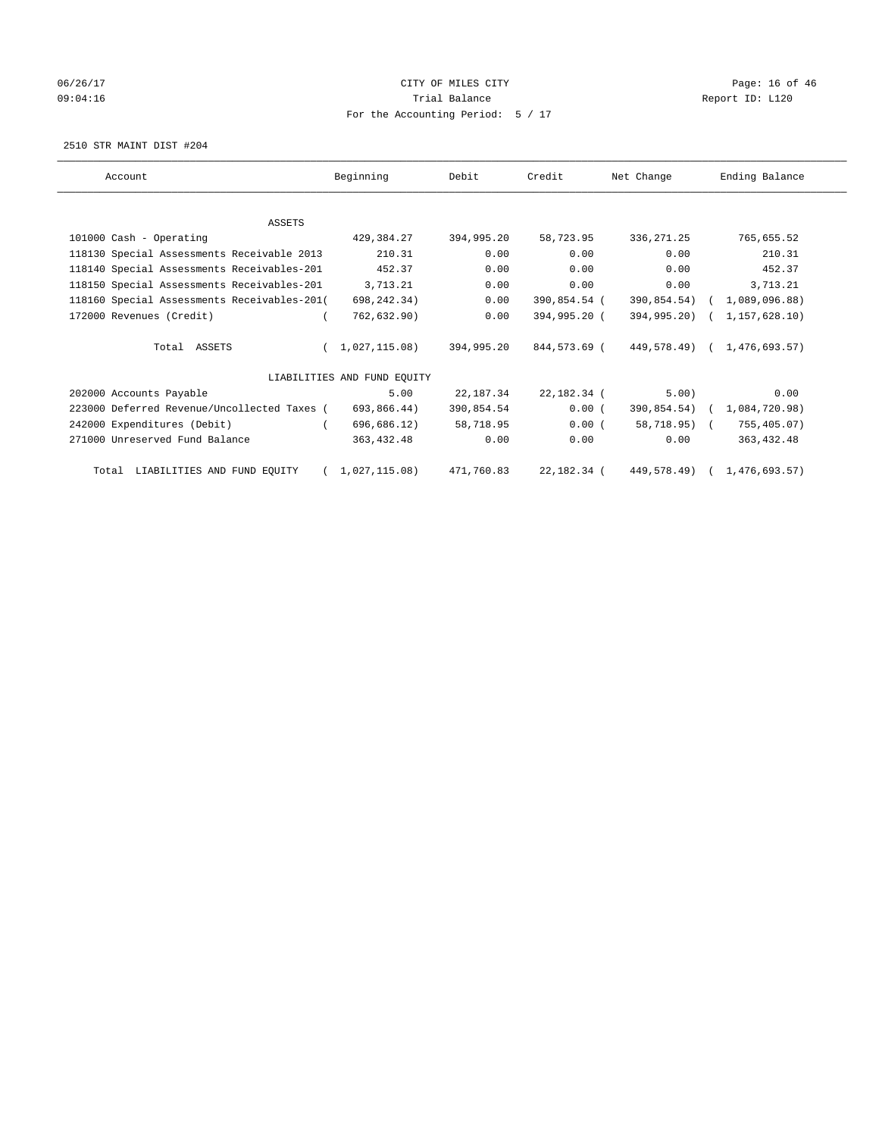# 06/26/17 Page: 16 of 46 09:04:16 COMPOSER TRIAL BALANCE COMPOSER TRIAL BALANCE COMPOSER REPORT ID: L120 For the Accounting Period: 5 / 17

2510 STR MAINT DIST #204

| Account                                     | Beginning                   | Debit      | Credit       | Net Change       | Ending Balance              |
|---------------------------------------------|-----------------------------|------------|--------------|------------------|-----------------------------|
|                                             |                             |            |              |                  |                             |
| <b>ASSETS</b>                               |                             |            |              |                  |                             |
| 101000 Cash - Operating                     | 429,384.27                  | 394,995.20 | 58,723.95    | 336, 271.25      | 765,655.52                  |
| 118130 Special Assessments Receivable 2013  | 210.31                      | 0.00       | 0.00         | 0.00             | 210.31                      |
| 118140 Special Assessments Receivables-201  | 452.37                      | 0.00       | 0.00         | 0.00             | 452.37                      |
| 118150 Special Assessments Receivables-201  | 3,713.21                    | 0.00       | 0.00         | 0.00             | 3,713.21                    |
| 118160 Special Assessments Receivables-201( | 698,242.34)                 | 0.00       | 390,854.54 ( | 390,854.54)      | (1,089,096.88)              |
| 172000 Revenues (Credit)                    | 762,632.90)                 | 0.00       | 394,995.20 ( | $394, 995, 20$ ( | 1,157,628.10)               |
| Total ASSETS                                | 1,027,115.08)               | 394,995.20 | 844,573.69 ( |                  | 449,578.49) ( 1,476,693.57) |
|                                             | LIABILITIES AND FUND EQUITY |            |              |                  |                             |
| 202000 Accounts Payable                     | 5.00                        | 22,187.34  | 22,182.34 (  | 5.00)            | 0.00                        |
| 223000 Deferred Revenue/Uncollected Taxes ( | 693,866.44)                 | 390,854.54 | 0.00(        | $390,854.54)$ (  | 1,084,720.98)               |
| 242000 Expenditures (Debit)                 | 696,686.12)                 | 58,718.95  | 0.00(        | 58,718.95) (     | 755,405.07)                 |
| 271000 Unreserved Fund Balance              | 363, 432.48                 | 0.00       | 0.00         | 0.00             | 363, 432.48                 |
| LIABILITIES AND FUND EQUITY<br>Total        | 1,027,115.08)               | 471,760.83 | 22,182.34 (  |                  | 449,578.49) ( 1,476,693.57) |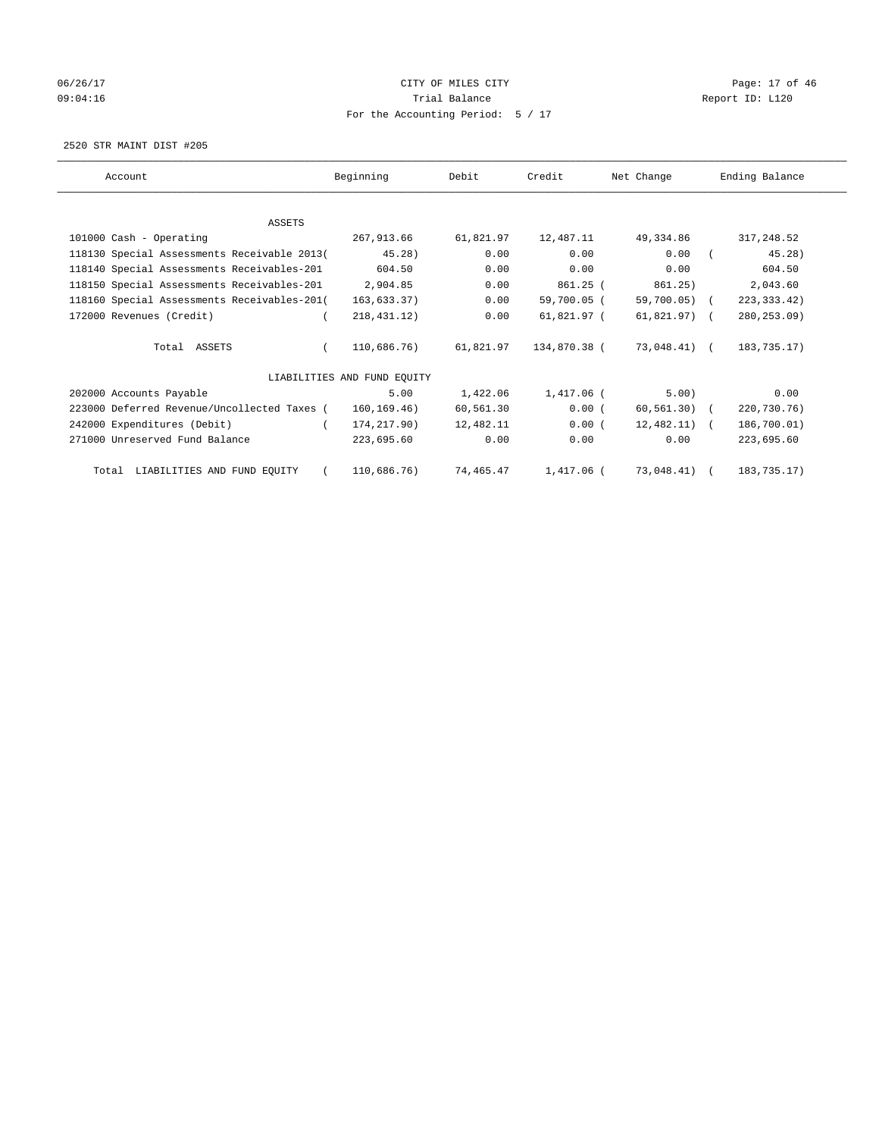# 06/26/17 Page: 17 of 46 09:04:16 COMPOSER TRIAL BALANCE COMPOSER TRIAL BALANCE COMPOSER REPORT ID: L120 For the Accounting Period: 5 / 17

2520 STR MAINT DIST #205

| Account                                     | Beginning                   | Debit     | Credit       | Net Change     | Ending Balance |
|---------------------------------------------|-----------------------------|-----------|--------------|----------------|----------------|
|                                             |                             |           |              |                |                |
| <b>ASSETS</b>                               |                             |           |              |                |                |
| 101000 Cash - Operating                     | 267,913.66                  | 61,821.97 | 12,487.11    | 49,334.86      | 317,248.52     |
| 118130 Special Assessments Receivable 2013( | 45.28)                      | 0.00      | 0.00         | 0.00           | 45.28)         |
| 118140 Special Assessments Receivables-201  | 604.50                      | 0.00      | 0.00         | 0.00           | 604.50         |
| 118150 Special Assessments Receivables-201  | 2,904.85                    | 0.00      | 861.25 (     | 861.25)        | 2,043.60       |
| 118160 Special Assessments Receivables-201( | 163,633.37)                 | 0.00      | 59,700.05 (  | 59,700.05) (   | 223, 333.42)   |
| 172000 Revenues (Credit)                    | 218, 431, 12)               | 0.00      | 61,821.97 (  | $61,821.97$ (  | 280, 253.09)   |
| Total ASSETS                                | 110,686.76)                 | 61,821.97 | 134,870.38 ( | 73,048.41) (   | 183,735.17)    |
|                                             | LIABILITIES AND FUND EQUITY |           |              |                |                |
| 202000 Accounts Payable                     | 5.00                        | 1,422.06  | 1,417.06 (   | 5.00)          | 0.00           |
| 223000 Deferred Revenue/Uncollected Taxes ( | 160, 169.46)                | 60,561.30 | 0.00(        | $60, 561.30$ ( | 220,730.76)    |
| 242000 Expenditures (Debit)                 | 174,217.90)                 | 12,482.11 | 0.00(        | $12,482.11)$ ( | 186,700.01)    |
| 271000 Unreserved Fund Balance              | 223,695.60                  | 0.00      | 0.00         | 0.00           | 223,695.60     |
| Total LIABILITIES AND FUND EQUITY           | 110,686.76)                 | 74,465.47 | 1,417.06 (   | 73,048.41) (   | 183,735.17)    |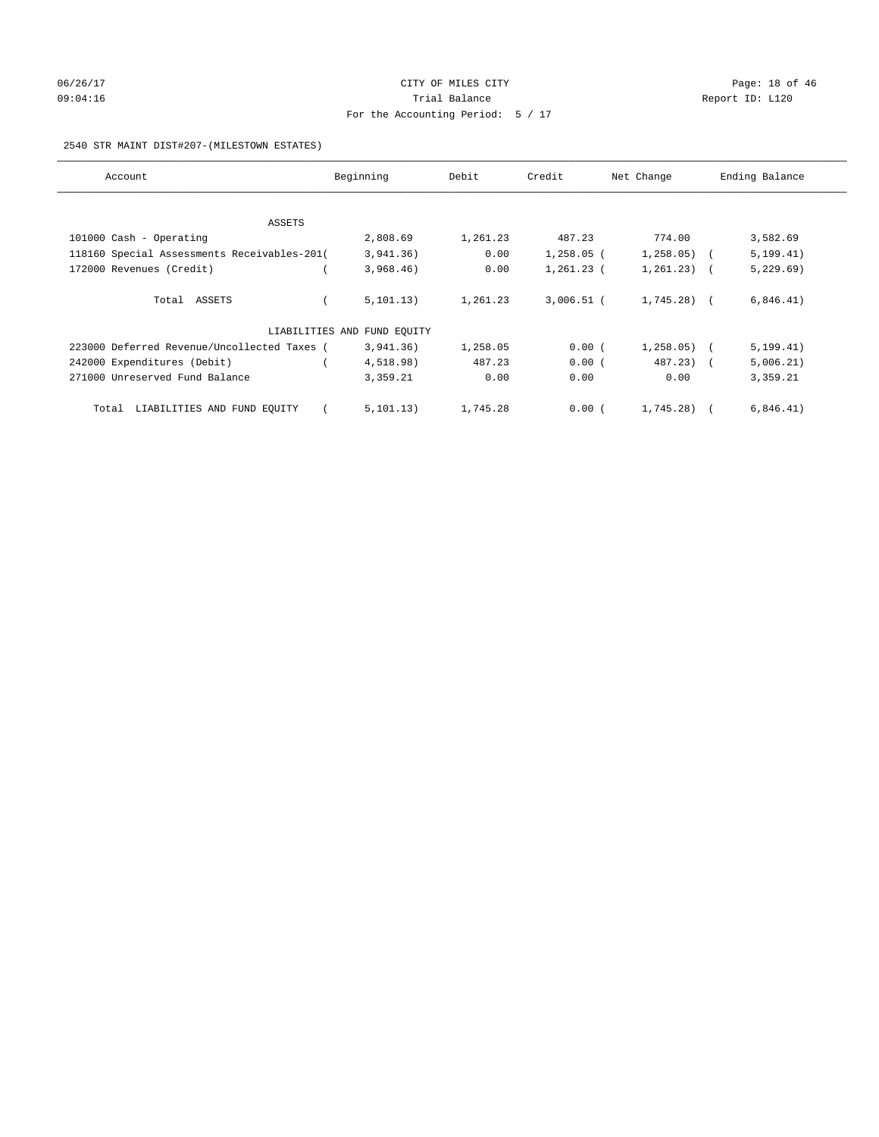# 06/26/17 Page: 18 of 46 09:04:16 COMPOSER TRIAL BALANCE COMPOSER TRIAL BALANCE COMPOSER REPORT ID: L120 For the Accounting Period: 5 / 17

#### 2540 STR MAINT DIST#207-(MILESTOWN ESTATES)

| Account                                     | Beginning                   | Debit    | Credit       | Net Change   | Ending Balance |
|---------------------------------------------|-----------------------------|----------|--------------|--------------|----------------|
|                                             |                             |          |              |              |                |
| ASSETS                                      |                             |          |              |              |                |
| 101000 Cash - Operating                     | 2,808.69                    | 1,261.23 | 487.23       | 774.00       | 3,582.69       |
| 118160 Special Assessments Receivables-201( | 3,941.36)                   | 0.00     | $1,258.05$ ( | $1,258.05$ ( | 5, 199.41)     |
| 172000 Revenues (Credit)                    | 3,968.46)                   | 0.00     | $1,261.23$ ( | $1,261.23$ ( | 5,229.69)      |
|                                             |                             |          |              |              |                |
| Total ASSETS                                | 5, 101.13)                  | 1,261.23 | $3,006.51$ ( | $1,745.28$ ) | 6,846.41)      |
|                                             |                             |          |              |              |                |
|                                             | LIABILITIES AND FUND EQUITY |          |              |              |                |
| 223000 Deferred Revenue/Uncollected Taxes ( | 3,941.36)                   | 1,258.05 | 0.00(        | 1, 258.05)   | 5, 199.41)     |
| 242000 Expenditures (Debit)                 | 4,518.98)                   | 487.23   | 0.00(        | 487.23) (    | 5,006.21)      |
| 271000 Unreserved Fund Balance              | 3,359.21                    | 0.00     | 0.00         | 0.00         | 3,359.21       |
|                                             |                             |          |              |              |                |
| LIABILITIES AND FUND EQUITY<br>Total        | 5, 101, 13)                 | 1,745.28 | 0.00(        | 1,745.28)    | 6,846.41)      |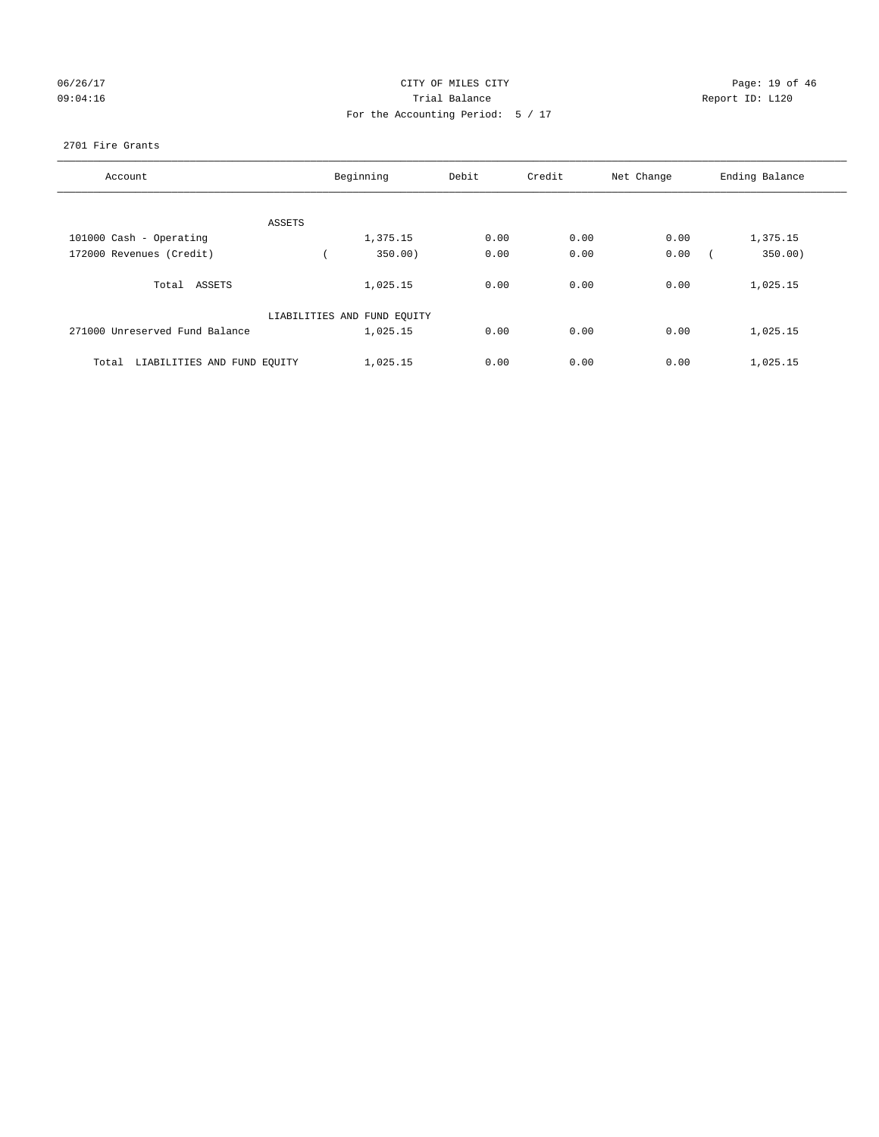# 06/26/17 Page: 19 of 46 09:04:16 COMPOSER TRIAL BALANCE COMPOSER TRIAL BALANCE COMPOSER REPORT ID: L120 For the Accounting Period: 5 / 17

#### 2701 Fire Grants

| Account                              | Beginning                   | Debit | Credit | Net Change | Ending Balance |
|--------------------------------------|-----------------------------|-------|--------|------------|----------------|
|                                      |                             |       |        |            |                |
| ASSETS                               |                             |       |        |            |                |
| 101000 Cash - Operating              | 1,375.15                    | 0.00  | 0.00   | 0.00       | 1,375.15       |
| 172000 Revenues (Credit)             | 350.00)                     | 0.00  | 0.00   | 0.00       | 350.00)        |
| Total ASSETS                         | 1,025.15                    | 0.00  | 0.00   | 0.00       | 1,025.15       |
|                                      | LIABILITIES AND FUND EQUITY |       |        |            |                |
| 271000 Unreserved Fund Balance       | 1,025.15                    | 0.00  | 0.00   | 0.00       | 1,025.15       |
| LIABILITIES AND FUND EQUITY<br>Total | 1,025.15                    | 0.00  | 0.00   | 0.00       | 1,025.15       |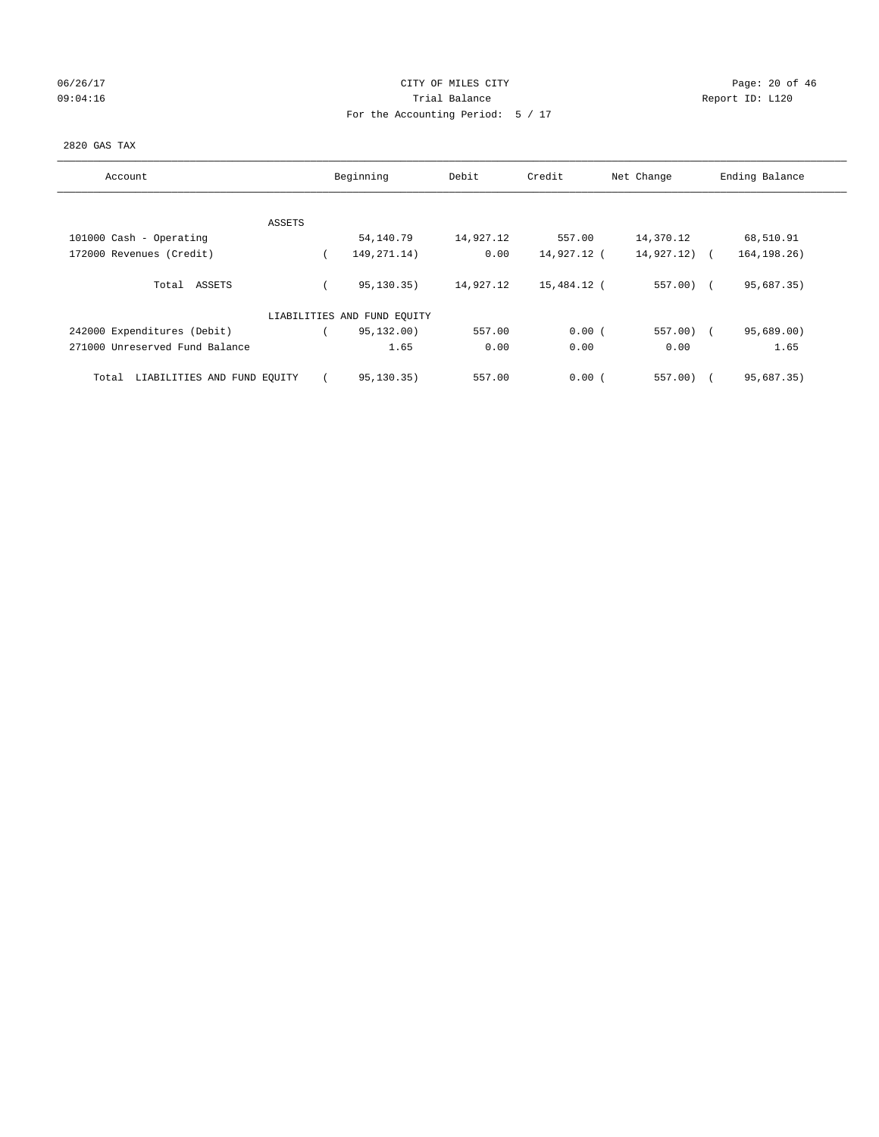# 06/26/17 Page: 20 of 46 09:04:16 COMPOSER TRIAL BALANCE COMPOSER TRIAL BALANCE COMPOSER REPORT ID: L120 For the Accounting Period: 5 / 17

#### 2820 GAS TAX

| Account                              |        | Beginning                   | Debit     | Credit      | Net Change | Ending Balance |
|--------------------------------------|--------|-----------------------------|-----------|-------------|------------|----------------|
|                                      |        |                             |           |             |            |                |
|                                      | ASSETS |                             |           |             |            |                |
| 101000 Cash - Operating              |        | 54,140.79                   | 14,927.12 | 557.00      | 14,370.12  | 68,510.91      |
| 172000 Revenues (Credit)             |        | 149, 271. 14)               | 0.00      | 14,927.12 ( | 14,927.12) | 164, 198. 26)  |
| Total ASSETS                         |        | 95,130.35)                  | 14,927.12 | 15,484.12 ( | $557.00$ ( | 95,687.35)     |
|                                      |        | LIABILITIES AND FUND EQUITY |           |             |            |                |
| 242000 Expenditures (Debit)          |        | 95,132.00)                  | 557.00    | 0.00(       | $557.00$ ( | 95,689.00)     |
| 271000 Unreserved Fund Balance       |        | 1.65                        | 0.00      | 0.00        | 0.00       | 1.65           |
| LIABILITIES AND FUND EQUITY<br>Total |        | 95,130.35)                  | 557.00    | 0.00(       | $557.00$ ) | 95,687.35)     |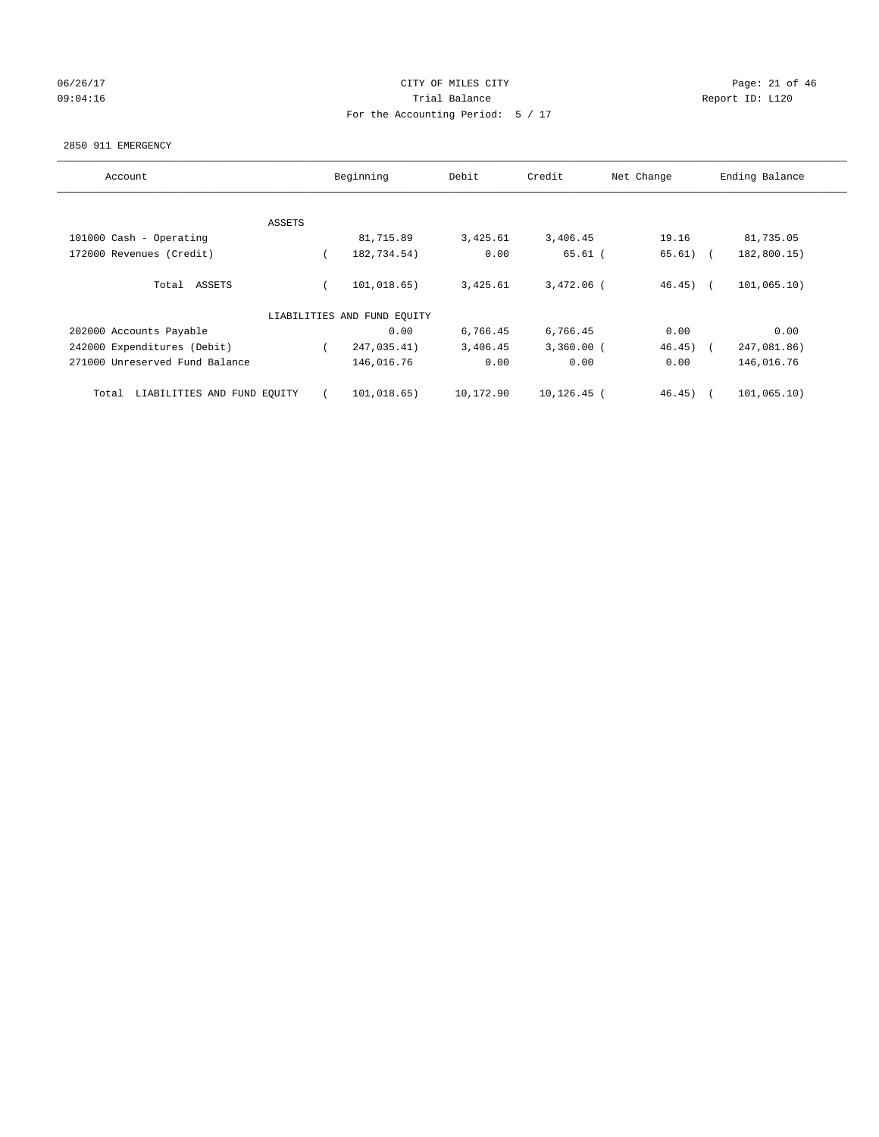## 06/26/17 Page: 21 of 46 09:04:16 COMPOSER TRIAL BALANCE COMPOSER TRIAL BALANCE COMPOSER REPORT ID: L120 For the Accounting Period: 5 / 17

#### 2850 911 EMERGENCY

| Account                              |        | Beginning                   | Debit     | Credit         | Net Change | Ending Balance            |
|--------------------------------------|--------|-----------------------------|-----------|----------------|------------|---------------------------|
|                                      |        |                             |           |                |            |                           |
|                                      | ASSETS |                             |           |                |            |                           |
| 101000 Cash - Operating              |        | 81,715.89                   | 3,425.61  | 3,406.45       | 19.16      | 81,735.05                 |
| 172000 Revenues (Credit)             |        | 182,734.54)                 | 0.00      | $65.61$ (      | $65.61)$ ( | 182,800.15)               |
| ASSETS<br>Total                      |        | 101,018.65)                 | 3,425.61  | $3,472.06$ (   | $46.45)$ ( | 101,065.10)               |
|                                      |        | LIABILITIES AND FUND EQUITY |           |                |            |                           |
| 202000 Accounts Payable              |        | 0.00                        | 6,766.45  | 6,766.45       | 0.00       | 0.00                      |
| 242000 Expenditures (Debit)          |        | 247,035.41)                 | 3,406.45  | $3,360.00$ (   | 46.45)     | 247,081.86)<br>$\sqrt{2}$ |
| 271000 Unreserved Fund Balance       |        | 146,016.76                  | 0.00      | 0.00           | 0.00       | 146,016.76                |
| LIABILITIES AND FUND EQUITY<br>Total |        | 101,018.65)                 | 10,172.90 | $10, 126.45$ ( | 46.45)     | 101,065.10)               |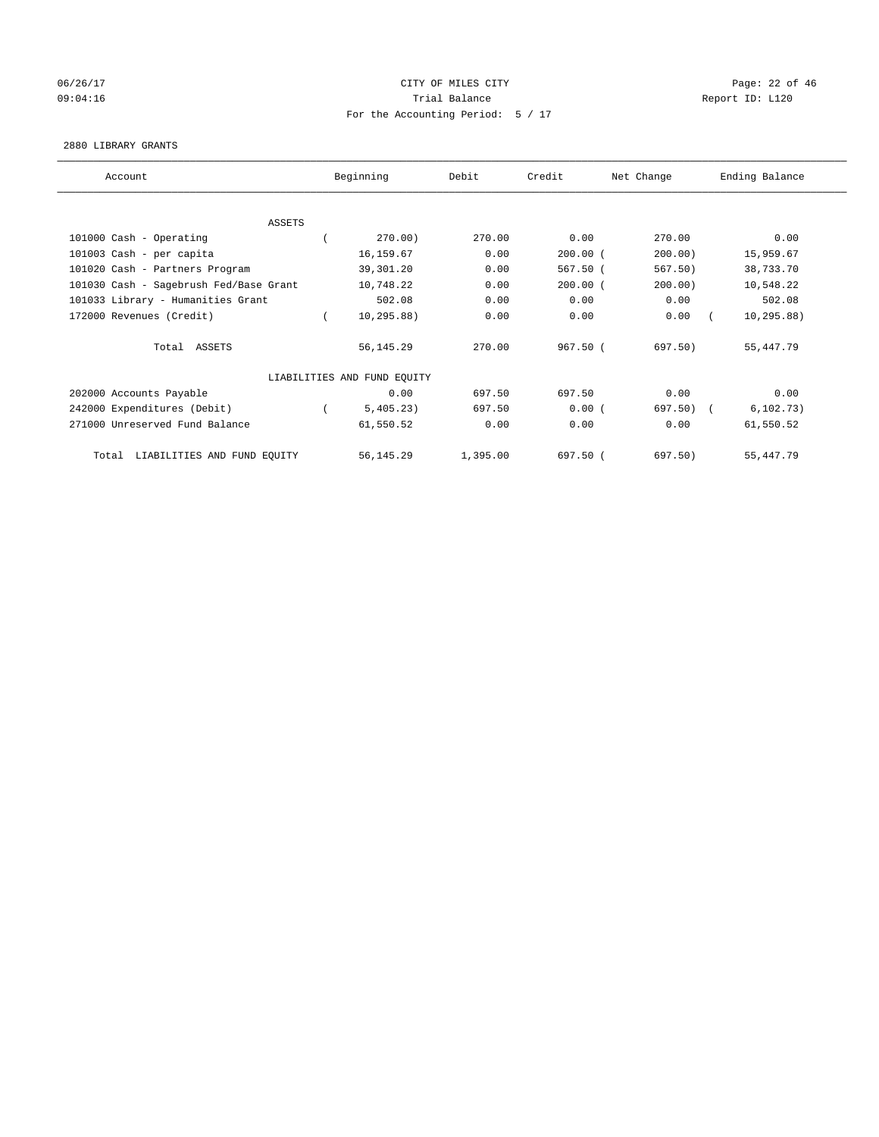## 06/26/17 Page: 22 of 46 09:04:16 COMPOSER TRIAL BALANCE COMPOSER TRIAL BALANCE COMPOSER REPORT ID: L120 For the Accounting Period: 5 / 17

#### 2880 LIBRARY GRANTS

| Account                                | Beginning                   | Debit    | Credit     | Net Change | Ending Balance |
|----------------------------------------|-----------------------------|----------|------------|------------|----------------|
|                                        |                             |          |            |            |                |
| <b>ASSETS</b>                          |                             |          |            |            |                |
| 101000 Cash - Operating                | 270.00)                     | 270.00   | 0.00       | 270.00     | 0.00           |
| 101003 Cash - per capita               | 16,159.67                   | 0.00     | $200.00$ ( | 200.00)    | 15,959.67      |
| 101020 Cash - Partners Program         | 39,301.20                   | 0.00     | $567.50$ ( | 567.50)    | 38,733.70      |
| 101030 Cash - Sagebrush Fed/Base Grant | 10,748.22                   | 0.00     | $200.00$ ( | 200.00)    | 10,548.22      |
| 101033 Library - Humanities Grant      | 502.08                      | 0.00     | 0.00       | 0.00       | 502.08         |
| 172000 Revenues (Credit)               | 10, 295.88)                 | 0.00     | 0.00       | 0.00       | 10, 295.88)    |
| Total ASSETS                           | 56,145.29                   | 270.00   | 967.50(    | 697.50)    | 55, 447. 79    |
|                                        | LIABILITIES AND FUND EQUITY |          |            |            |                |
| 202000 Accounts Payable                | 0.00                        | 697.50   | 697.50     | 0.00       | 0.00           |
| 242000 Expenditures (Debit)            | 5,405.23)                   | 697.50   | 0.00(      | 697.50)    | 6, 102.73)     |
| 271000 Unreserved Fund Balance         | 61,550.52                   | 0.00     | 0.00       | 0.00       | 61,550.52      |
| LIABILITIES AND FUND EQUITY<br>Total   | 56, 145.29                  | 1,395.00 | 697.50 (   | 697.50)    | 55, 447. 79    |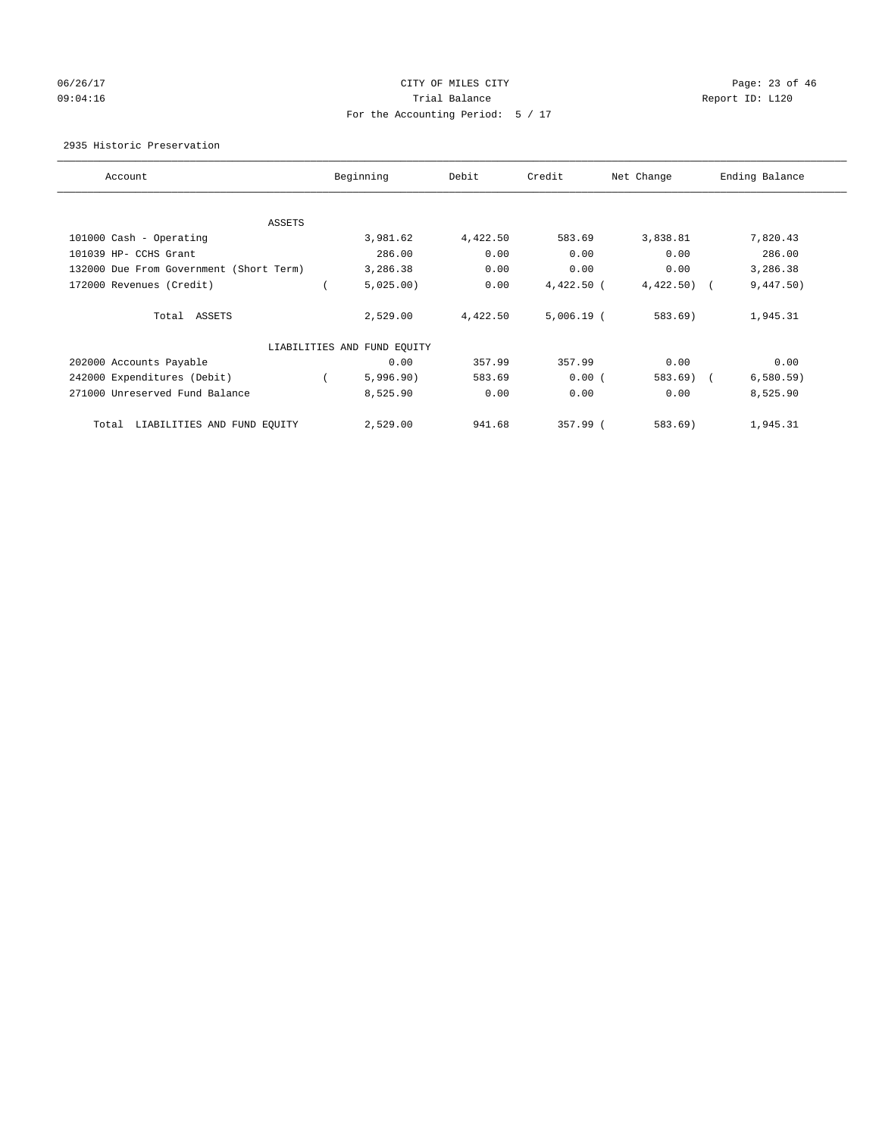## 06/26/17 Page: 23 of 46 09:04:16 COMPOSER TRIAL BALANCE COMPOSER TRIAL BALANCE COMPOSER REPORT ID: L120 For the Accounting Period: 5 / 17

2935 Historic Preservation

| Account                                 | Beginning                   | Debit    | Credit       | Net Change | Ending Balance |
|-----------------------------------------|-----------------------------|----------|--------------|------------|----------------|
| ASSETS                                  |                             |          |              |            |                |
| 101000 Cash - Operating                 | 3,981.62                    | 4,422.50 | 583.69       | 3,838.81   | 7,820.43       |
| 101039 HP- CCHS Grant                   | 286.00                      | 0.00     | 0.00         | 0.00       | 286.00         |
| 132000 Due From Government (Short Term) | 3,286.38                    | 0.00     | 0.00         | 0.00       | 3,286.38       |
| 172000 Revenues (Credit)                | 5,025.00                    | 0.00     | $4,422.50$ ( | 4,422.50)  | 9,447.50)      |
| Total ASSETS                            | 2,529.00                    | 4,422.50 | $5,006.19$ ( | 583.69)    | 1,945.31       |
|                                         | LIABILITIES AND FUND EQUITY |          |              |            |                |
| 202000 Accounts Payable                 | 0.00                        | 357.99   | 357.99       | 0.00       | 0.00           |
| 242000 Expenditures (Debit)             | 5,996.90)                   | 583.69   | 0.00(        | $583.69$ ( | 6,580.59)      |
| 271000 Unreserved Fund Balance          | 8,525.90                    | 0.00     | 0.00         | 0.00       | 8,525.90       |
| LIABILITIES AND FUND EQUITY<br>Total    | 2,529.00                    | 941.68   | 357.99 (     | 583.69)    | 1,945.31       |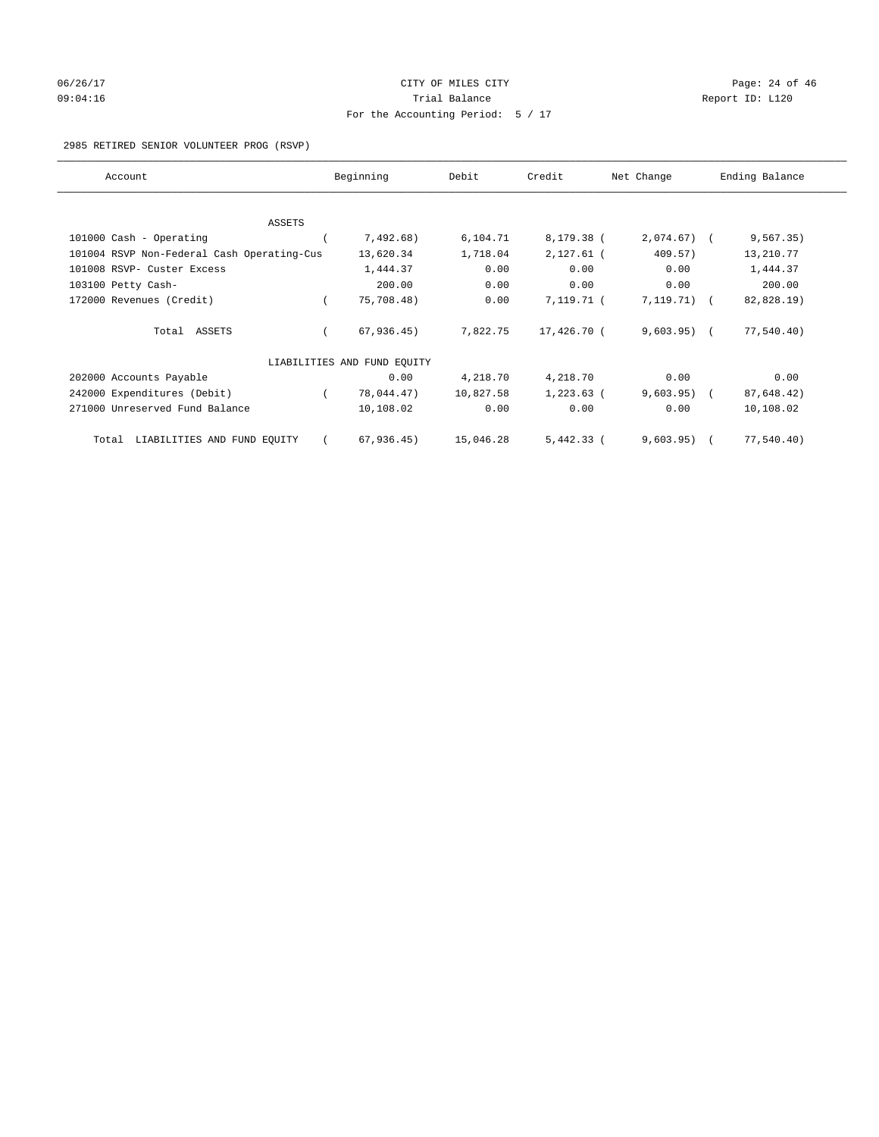# 06/26/17 Page: 24 of 46 09:04:16 Quantity Quantity Contract Contract Contract Contract Contract Contract Contract Contract Contract Contract Contract Contract Contract Contract Contract Contra For the Accounting Period: 5 / 17

#### 2985 RETIRED SENIOR VOLUNTEER PROG (RSVP)

| Account                                    |  | Beginning                   | Debit     | Credit       | Net Change    | Ending Balance |            |
|--------------------------------------------|--|-----------------------------|-----------|--------------|---------------|----------------|------------|
|                                            |  |                             |           |              |               |                |            |
| ASSETS                                     |  |                             |           |              |               |                |            |
| 101000 Cash - Operating                    |  | 7,492.68)                   | 6,104.71  | 8,179.38 (   | $2,074.67$ (  |                | 9, 567.35) |
| 101004 RSVP Non-Federal Cash Operating-Cus |  | 13,620.34                   | 1,718.04  | $2,127.61$ ( | 409.57)       |                | 13,210.77  |
| 101008 RSVP- Custer Excess                 |  | 1,444.37                    | 0.00      | 0.00         | 0.00          |                | 1,444.37   |
| 103100 Petty Cash-                         |  | 200.00                      | 0.00      | 0.00         | 0.00          |                | 200.00     |
| 172000 Revenues (Credit)                   |  | 75,708.48)                  | 0.00      | 7,119.71 (   | $7,119.71)$ ( |                | 82,828.19) |
| Total ASSETS                               |  | 67,936.45)                  | 7,822.75  | 17,426.70 (  | $9,603.95)$ ( |                | 77,540.40) |
|                                            |  | LIABILITIES AND FUND EQUITY |           |              |               |                |            |
| 202000 Accounts Payable                    |  | 0.00                        | 4,218.70  | 4,218.70     | 0.00          |                | 0.00       |
| 242000 Expenditures (Debit)                |  | 78,044.47)                  | 10,827.58 | $1,223.63$ ( | $9,603.95)$ ( |                | 87,648.42) |
| 271000 Unreserved Fund Balance             |  | 10,108.02                   | 0.00      | 0.00         | 0.00          |                | 10,108.02  |
| LIABILITIES AND FUND EQUITY<br>Total       |  | 67,936.45)                  | 15,046.28 | $5,442.33$ ( | 9,603.95)     |                | 77,540.40) |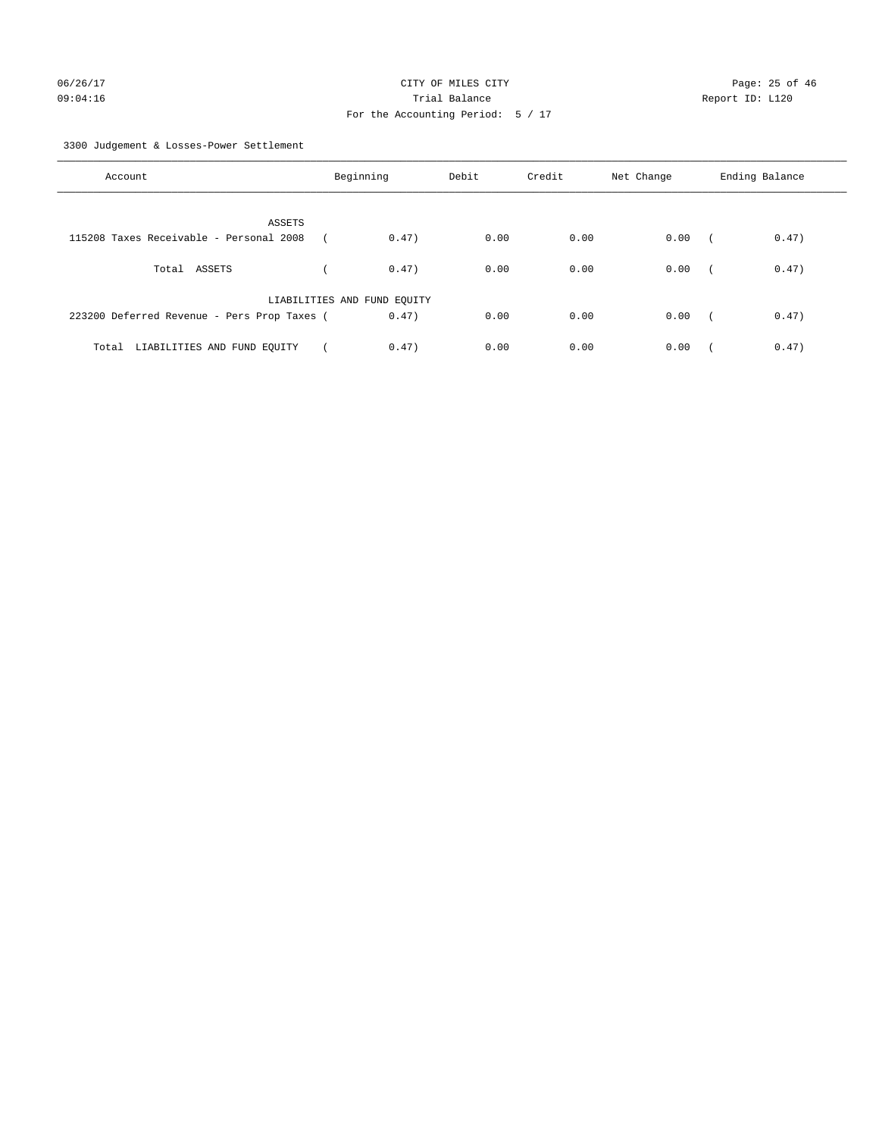3300 Judgement & Losses-Power Settlement

| Account                                     | Beginning                   |       | Debit | Credit | Net Change | Ending Balance |       |
|---------------------------------------------|-----------------------------|-------|-------|--------|------------|----------------|-------|
| ASSETS                                      |                             |       |       |        |            |                |       |
| 115208 Taxes Receivable - Personal 2008     |                             | 0.47) | 0.00  | 0.00   | 0.00       | $\sqrt{2}$     | 0.47) |
| Total ASSETS                                |                             | 0.47) | 0.00  | 0.00   | 0.00       | $\sqrt{2}$     | 0.47) |
|                                             | LIABILITIES AND FUND EQUITY |       |       |        |            |                |       |
| 223200 Deferred Revenue - Pers Prop Taxes ( |                             | 0.47) | 0.00  | 0.00   | 0.00       | $\sim$         | 0.47) |
| LIABILITIES AND FUND EQUITY<br>Total        |                             | 0.47) | 0.00  | 0.00   | 0.00       |                | 0.47) |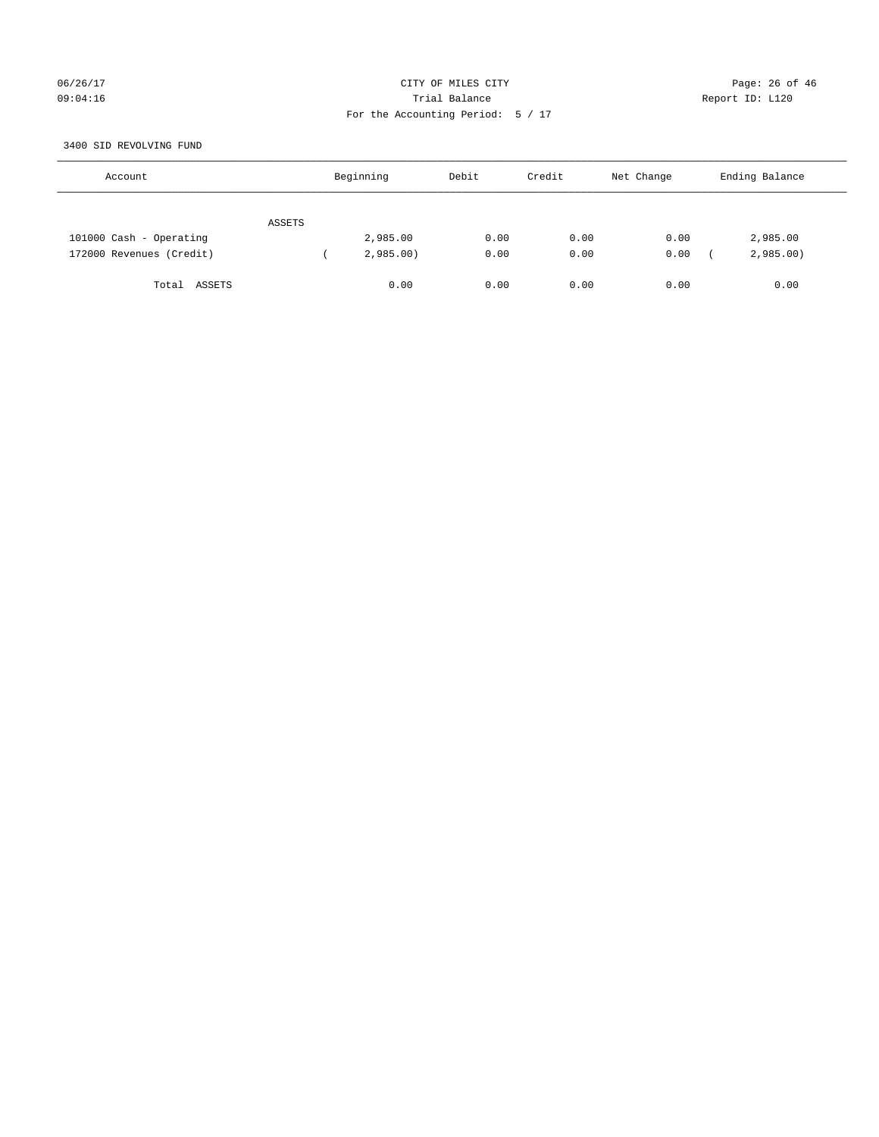## 06/26/17 Page: 26 of 46 09:04:16 Quantity Contract Contract Contract Contract Contract Contract Contract Contract Contract Contract Contract Contract Contract Contract Contract Contract Contra For the Accounting Period: 5 / 17

#### 3400 SID REVOLVING FUND

| Account                  |        | Beginning | Debit | Credit | Net Change | Ending Balance |
|--------------------------|--------|-----------|-------|--------|------------|----------------|
|                          | ASSETS |           |       |        |            |                |
| 101000 Cash - Operating  |        | 2,985.00  | 0.00  | 0.00   | 0.00       | 2,985.00       |
| 172000 Revenues (Credit) |        | 2,985.00  | 0.00  | 0.00   | 0.00       | 2,985.00       |
| Total ASSETS             |        | 0.00      | 0.00  | 0.00   | 0.00       | 0.00           |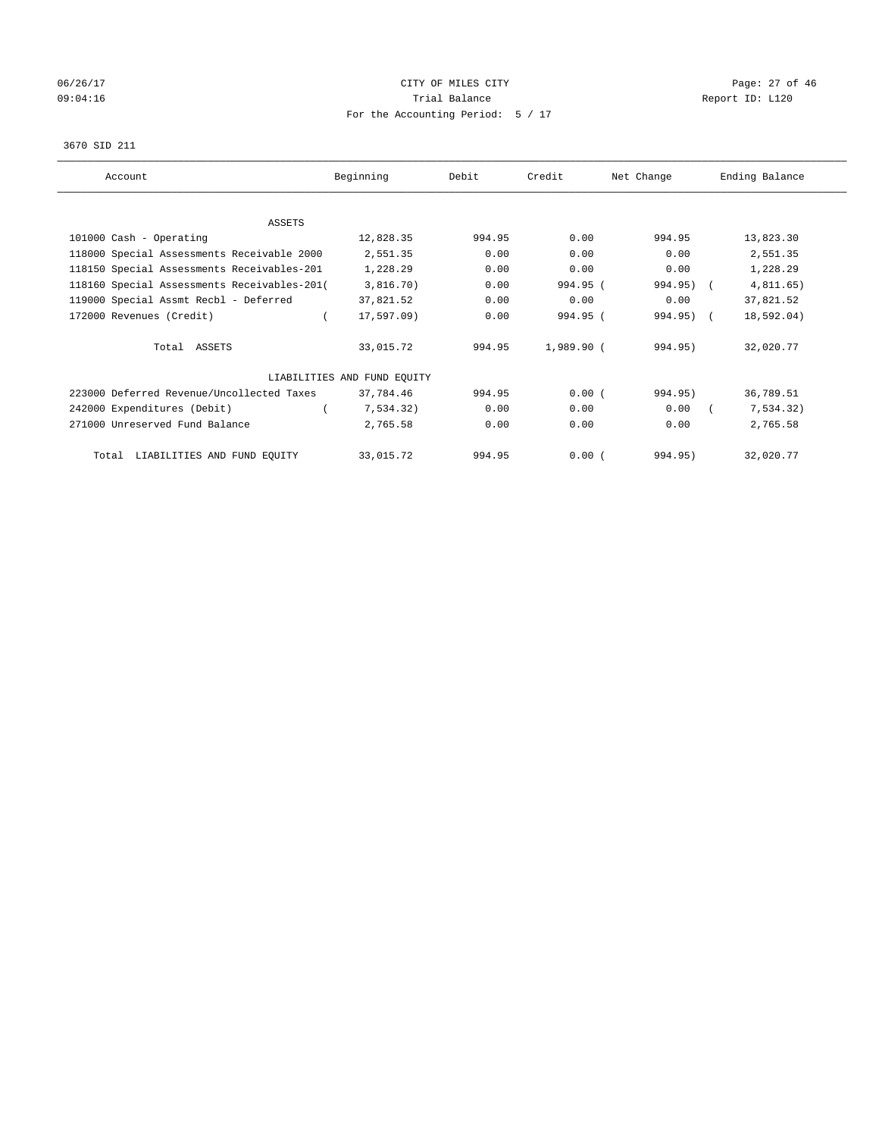# 06/26/17 Page: 27 of 46 09:04:16 COMPOSER TRIAL BALANCE COMPOSER TRIAL BALANCE COMPOSER REPORT ID: L120 For the Accounting Period: 5 / 17

#### 3670 SID 211

| Account                                     | Beginning                   | Debit  | Credit     | Net Change | Ending Balance |
|---------------------------------------------|-----------------------------|--------|------------|------------|----------------|
|                                             |                             |        |            |            |                |
| ASSETS                                      |                             |        |            |            |                |
| 101000 Cash - Operating                     | 12,828.35                   | 994.95 | 0.00       | 994.95     | 13,823.30      |
| 118000 Special Assessments Receivable 2000  | 2,551.35                    | 0.00   | 0.00       | 0.00       | 2,551.35       |
| 118150 Special Assessments Receivables-201  | 1,228.29                    | 0.00   | 0.00       | 0.00       | 1,228.29       |
| 118160 Special Assessments Receivables-201( | 3,816.70)                   | 0.00   | 994.95 (   | 994.95) (  | 4,811.65)      |
| 119000 Special Assmt Recbl - Deferred       | 37,821.52                   | 0.00   | 0.00       | 0.00       | 37,821.52      |
| 172000 Revenues (Credit)                    | 17,597.09)                  | 0.00   | 994.95 (   | 994.95) (  | 18,592.04)     |
| Total ASSETS                                | 33,015.72                   | 994.95 | 1,989.90 ( | 994.95)    | 32,020.77      |
|                                             | LIABILITIES AND FUND EQUITY |        |            |            |                |
| 223000 Deferred Revenue/Uncollected Taxes   | 37,784.46                   | 994.95 | 0.00(      | 994.95)    | 36,789.51      |
| 242000 Expenditures (Debit)                 | 7,534.32)                   | 0.00   | 0.00       | 0.00       | 7,534.32)      |
| 271000 Unreserved Fund Balance              | 2,765.58                    | 0.00   | 0.00       | 0.00       | 2,765.58       |
| Total LIABILITIES AND FUND EQUITY           | 33,015.72                   | 994.95 | 0.00(      | 994.95)    | 32,020.77      |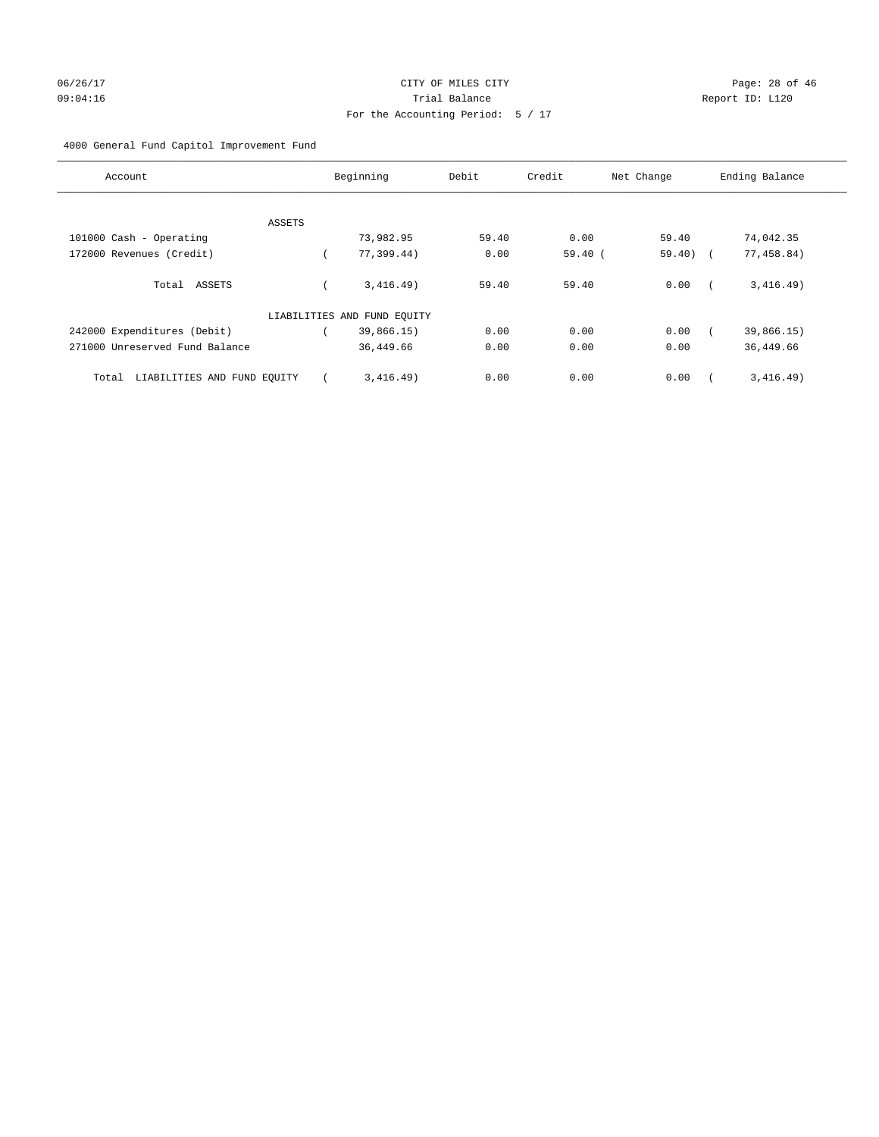4000 General Fund Capitol Improvement Fund

| Account                              | Beginning                   | Debit | Credit    | Net Change | Ending Balance |
|--------------------------------------|-----------------------------|-------|-----------|------------|----------------|
| ASSETS                               |                             |       |           |            |                |
| 101000 Cash - Operating              | 73,982.95                   | 59.40 | 0.00      | 59.40      | 74,042.35      |
| 172000 Revenues (Credit)             | 77,399.44)                  | 0.00  | $59.40$ ( | $59.40$ (  | 77,458.84)     |
| Total ASSETS                         | 3,416.49)                   | 59.40 | 59.40     | 0.00       | 3,416.49)      |
|                                      | LIABILITIES AND FUND EQUITY |       |           |            |                |
| 242000 Expenditures (Debit)          | 39,866.15)                  | 0.00  | 0.00      | 0.00       | 39,866.15)     |
| 271000 Unreserved Fund Balance       | 36,449.66                   | 0.00  | 0.00      | 0.00       | 36,449.66      |
| LIABILITIES AND FUND EQUITY<br>Total | 3,416.49)                   | 0.00  | 0.00      | 0.00       | 3,416.49)      |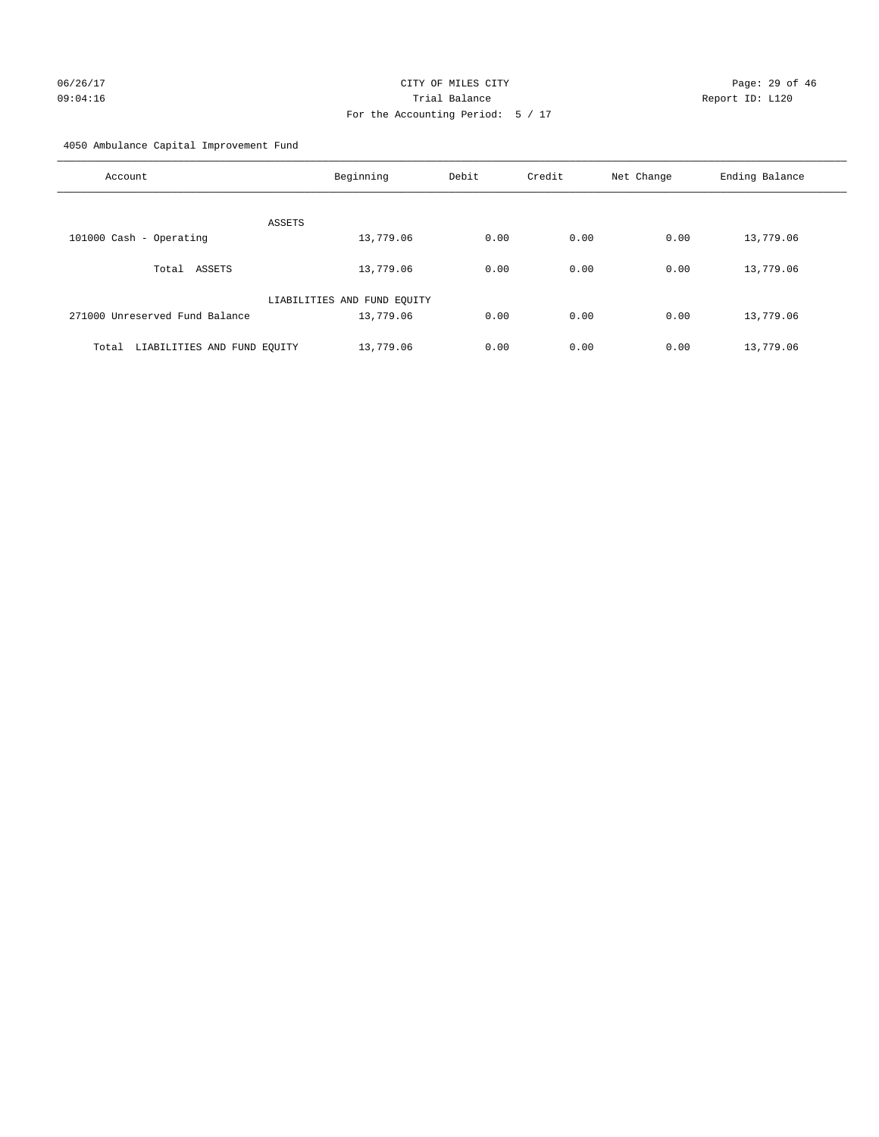4050 Ambulance Capital Improvement Fund

| Account                              | Beginning                   | Debit | Credit | Net Change | Ending Balance |
|--------------------------------------|-----------------------------|-------|--------|------------|----------------|
| <b>ASSETS</b>                        |                             |       |        |            |                |
| 101000 Cash - Operating              | 13,779.06                   | 0.00  | 0.00   | 0.00       | 13,779.06      |
| Total ASSETS                         | 13,779.06                   | 0.00  | 0.00   | 0.00       | 13,779.06      |
|                                      | LIABILITIES AND FUND EQUITY |       |        |            |                |
| 271000 Unreserved Fund Balance       | 13,779.06                   | 0.00  | 0.00   | 0.00       | 13,779.06      |
| LIABILITIES AND FUND EQUITY<br>Total | 13,779.06                   | 0.00  | 0.00   | 0.00       | 13,779.06      |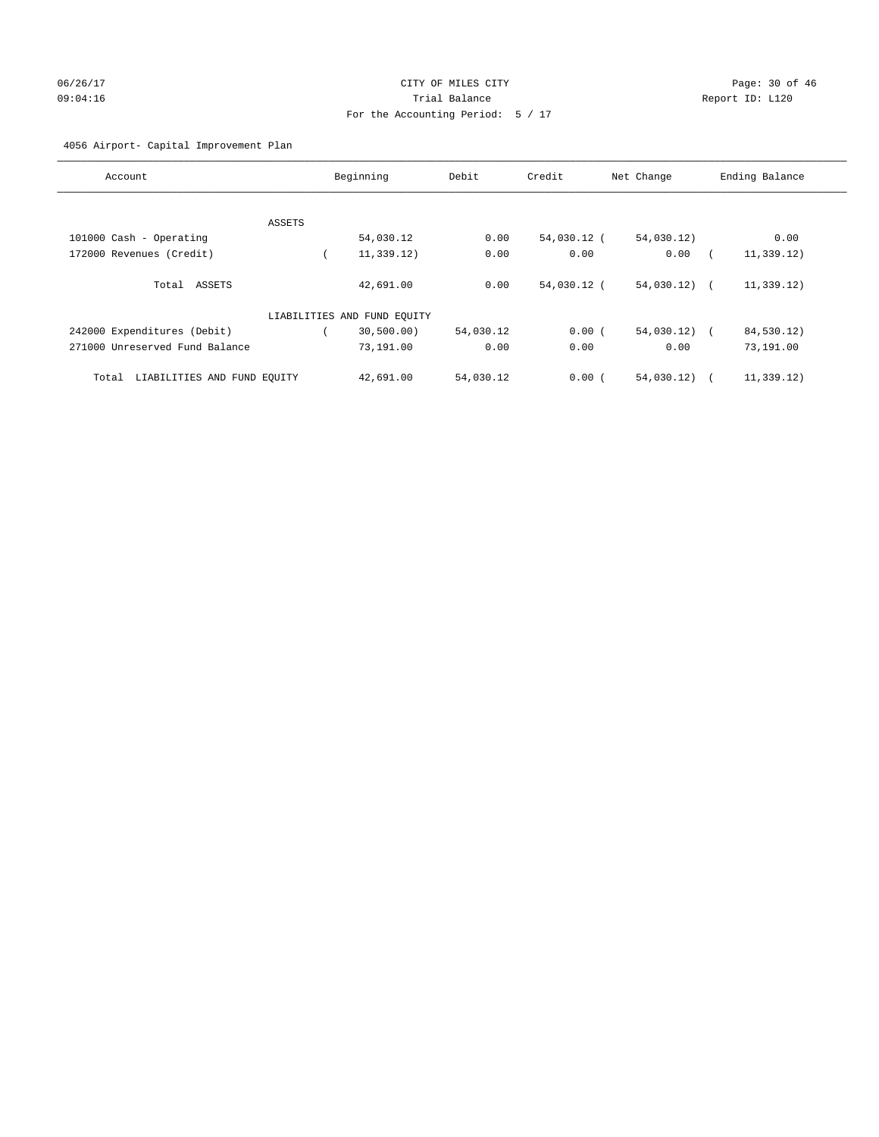# 06/26/17 Page: 30 of 46 09:04:16 Trial Balance Report ID: L120 For the Accounting Period: 5 / 17

## 4056 Airport- Capital Improvement Plan

| Account                              |        | Beginning                   | Debit     | Credit      | Net Change   | Ending Balance           |
|--------------------------------------|--------|-----------------------------|-----------|-------------|--------------|--------------------------|
|                                      |        |                             |           |             |              |                          |
|                                      | ASSETS |                             |           |             |              |                          |
| 101000 Cash - Operating              |        | 54,030.12                   | 0.00      | 54,030.12 ( | 54,030.12)   | 0.00                     |
| 172000 Revenues (Credit)             |        | 11,339.12)                  | 0.00      | 0.00        | 0.00         | 11,339.12)               |
| Total ASSETS                         |        | 42,691.00                   | 0.00      | 54,030.12 ( | 54,030.12) ( | 11,339.12)               |
|                                      |        | LIABILITIES AND FUND EQUITY |           |             |              |                          |
| 242000 Expenditures (Debit)          |        | 30,500.00)                  | 54,030.12 | 0.00(       | 54,030.12)   | 84,530.12)<br>$\sqrt{2}$ |
| 271000 Unreserved Fund Balance       |        | 73,191.00                   | 0.00      | 0.00        | 0.00         | 73,191.00                |
| LIABILITIES AND FUND EQUITY<br>Total |        | 42,691.00                   | 54,030.12 | 0.00(       | 54,030.12)   | 11, 339.12)              |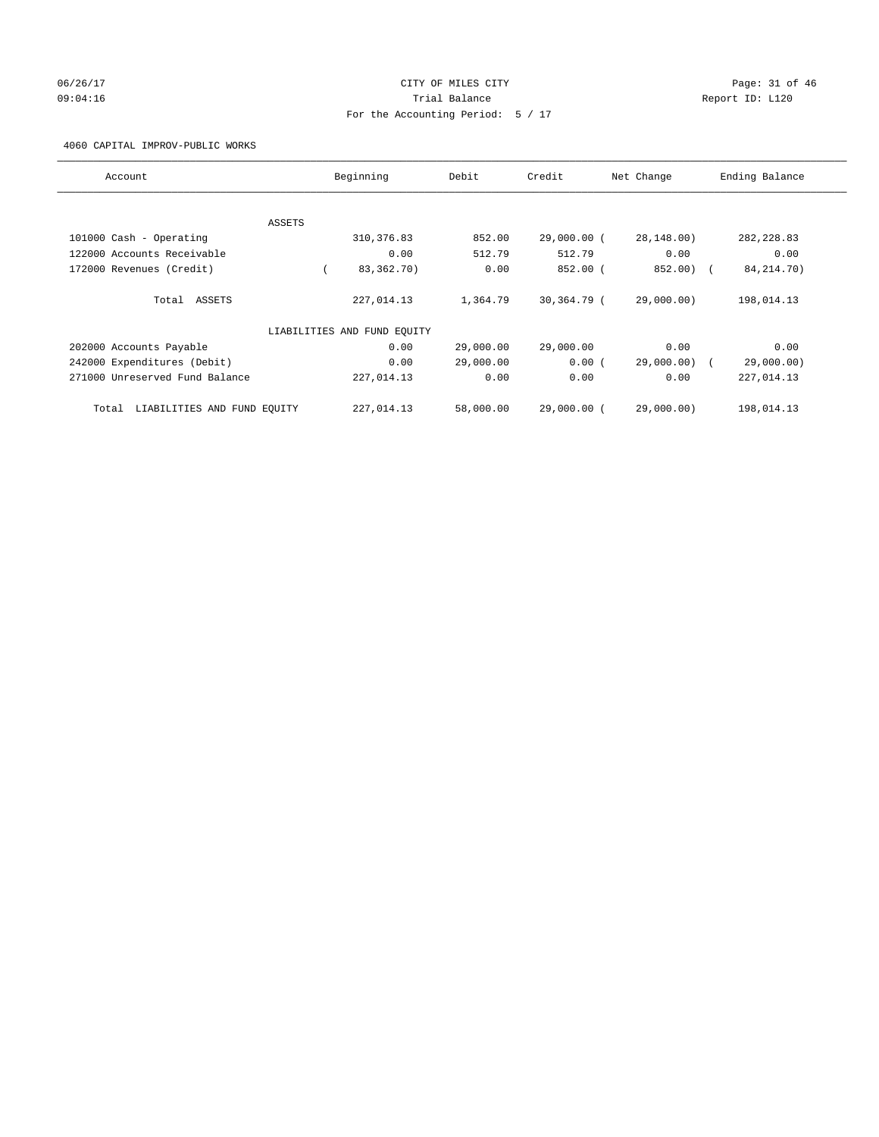## 06/26/17 Page: 31 of 46 09:04:16 COMPOSER TRIAL BALANCE COMPOSER TRIAL BALANCE COMPOSER REPORT ID: L120 For the Accounting Period: 5 / 17

#### 4060 CAPITAL IMPROV-PUBLIC WORKS

| Account                           | Beginning                   | Debit     | Credit      | Net Change   | Ending Balance |
|-----------------------------------|-----------------------------|-----------|-------------|--------------|----------------|
|                                   |                             |           |             |              |                |
| ASSETS<br>101000 Cash - Operating | 310, 376.83                 | 852.00    | 29,000.00 ( | 28,148.00)   | 282, 228.83    |
| 122000 Accounts Receivable        | 0.00                        | 512.79    | 512.79      | 0.00         | 0.00           |
|                                   |                             |           |             |              |                |
| 172000 Revenues (Credit)          | 83,362.70)                  | 0.00      | 852.00 (    | 852.00) (    | 84, 214. 70)   |
| Total ASSETS                      | 227,014.13                  | 1,364.79  | 30,364.79 ( | 29,000.00)   | 198,014.13     |
|                                   | LIABILITIES AND FUND EQUITY |           |             |              |                |
| 202000 Accounts Payable           | 0.00                        | 29,000.00 | 29,000.00   | 0.00         | 0.00           |
| 242000 Expenditures (Debit)       | 0.00                        | 29,000.00 | 0.00(       | 29,000.00) ( | 29,000.00)     |
| 271000 Unreserved Fund Balance    | 227,014.13                  | 0.00      | 0.00        | 0.00         | 227,014.13     |
| Total LIABILITIES AND FUND EOUITY | 227,014.13                  | 58,000.00 | 29,000.00 ( | 29,000.00)   | 198,014.13     |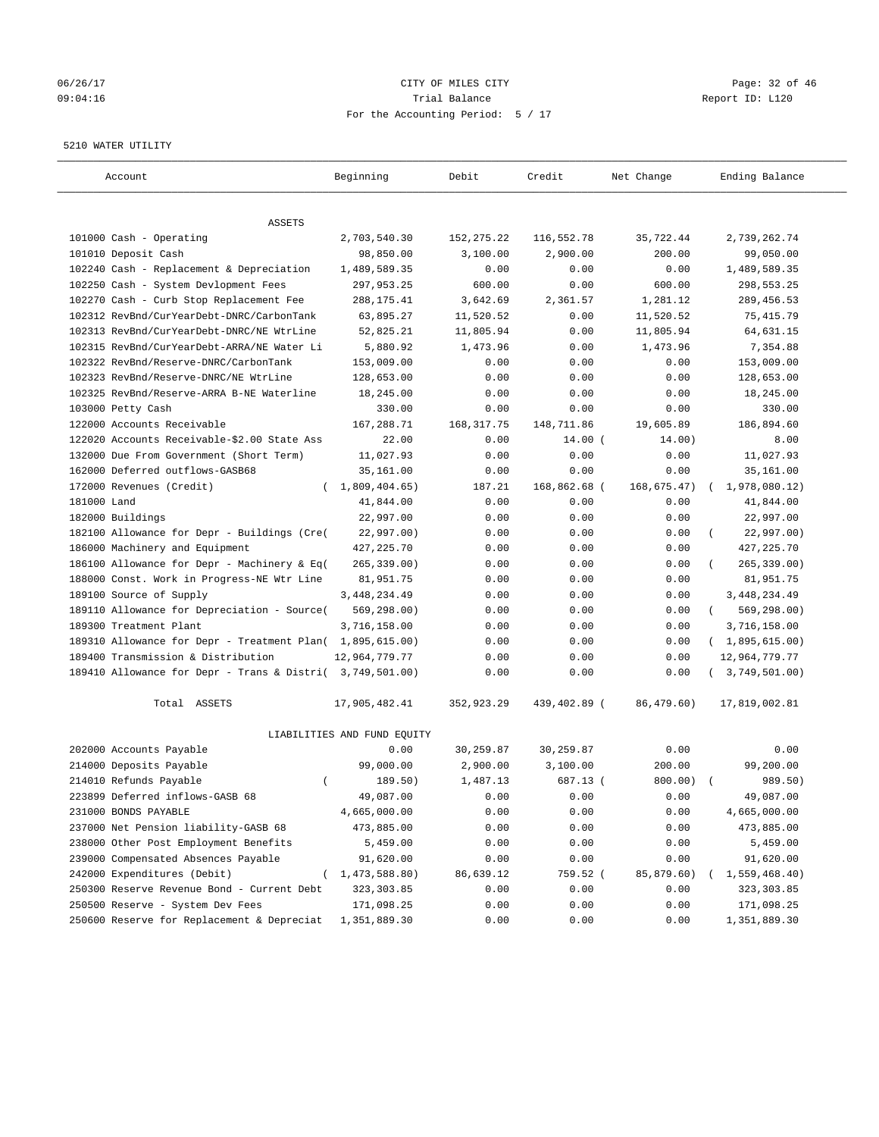## 06/26/17 Page: 32 of 46 09:04:16 Trial Balance Report ID: L120 For the Accounting Period: 5 / 17

#### 5210 WATER UTILITY

| Account                                                   | Beginning                   | Debit       | Credit       | Net Change  | Ending Balance          |
|-----------------------------------------------------------|-----------------------------|-------------|--------------|-------------|-------------------------|
| ASSETS                                                    |                             |             |              |             |                         |
| 101000 Cash - Operating                                   | 2,703,540.30                | 152, 275.22 | 116,552.78   | 35,722.44   | 2,739,262.74            |
| 101010 Deposit Cash                                       | 98,850.00                   | 3,100.00    | 2,900.00     | 200.00      | 99,050.00               |
| 102240 Cash - Replacement & Depreciation                  | 1,489,589.35                | 0.00        | 0.00         | 0.00        | 1,489,589.35            |
| 102250 Cash - System Devlopment Fees                      | 297,953.25                  | 600.00      | 0.00         | 600.00      | 298,553.25              |
| 102270 Cash - Curb Stop Replacement Fee                   | 288, 175.41                 | 3,642.69    | 2,361.57     | 1,281.12    | 289, 456.53             |
| 102312 RevBnd/CurYearDebt-DNRC/CarbonTank                 | 63,895.27                   | 11,520.52   | 0.00         | 11,520.52   | 75, 415.79              |
| 102313 RevBnd/CurYearDebt-DNRC/NE WtrLine                 | 52,825.21                   | 11,805.94   | 0.00         | 11,805.94   | 64,631.15               |
| 102315 RevBnd/CurYearDebt-ARRA/NE Water Li                | 5,880.92                    | 1,473.96    | 0.00         | 1,473.96    | 7,354.88                |
| 102322 RevBnd/Reserve-DNRC/CarbonTank                     | 153,009.00                  | 0.00        | 0.00         | 0.00        | 153,009.00              |
| 102323 RevBnd/Reserve-DNRC/NE WtrLine                     | 128,653.00                  | 0.00        | 0.00         | 0.00        | 128,653.00              |
| 102325 RevBnd/Reserve-ARRA B-NE Waterline                 | 18,245.00                   | 0.00        | 0.00         | 0.00        | 18,245.00               |
| 103000 Petty Cash                                         | 330.00                      | 0.00        | 0.00         | 0.00        | 330.00                  |
| 122000 Accounts Receivable                                | 167,288.71                  | 168, 317.75 | 148,711.86   | 19,605.89   | 186,894.60              |
| 122020 Accounts Receivable-\$2.00 State Ass               | 22.00                       | 0.00        | $14.00$ (    | 14.00)      | 8.00                    |
| 132000 Due From Government (Short Term)                   | 11,027.93                   | 0.00        | 0.00         | 0.00        | 11,027.93               |
| 162000 Deferred outflows-GASB68                           | 35,161.00                   | 0.00        | 0.00         | 0.00        | 35,161.00               |
| 172000 Revenues (Credit)<br>$\left($                      | 1,809,404.65)               | 187.21      | 168,862.68 ( | 168,675.47) | 1,978,080.12)           |
| 181000 Land                                               | 41,844.00                   | 0.00        | 0.00         | 0.00        | 41,844.00               |
| 182000 Buildings                                          | 22,997.00                   | 0.00        | 0.00         | 0.00        | 22,997.00               |
| 182100 Allowance for Depr - Buildings (Cre(               | 22,997.00)                  | 0.00        | 0.00         | 0.00        | 22,997.00)              |
| 186000 Machinery and Equipment                            | 427, 225.70                 | 0.00        | 0.00         | 0.00        | 427, 225.70             |
| 186100 Allowance for Depr - Machinery & Eq(               | 265, 339.00)                | 0.00        | 0.00         | 0.00        | 265, 339.00)            |
| 188000 Const. Work in Progress-NE Wtr Line                | 81,951.75                   | 0.00        | 0.00         | 0.00        | 81,951.75               |
| 189100 Source of Supply                                   | 3, 448, 234.49              | 0.00        | 0.00         | 0.00        | 3,448,234.49            |
| 189110 Allowance for Depreciation - Source(               | 569,298.00)                 | 0.00        | 0.00         | 0.00        | 569,298.00)<br>$\left($ |
| 189300 Treatment Plant                                    | 3,716,158.00                | 0.00        | 0.00         | 0.00        | 3,716,158.00            |
| 189310 Allowance for Depr - Treatment Plan(               | 1,895,615.00)               | 0.00        | 0.00         | 0.00        | (1,895,615.00)          |
| 189400 Transmission & Distribution                        | 12,964,779.77               | 0.00        | 0.00         | 0.00        | 12,964,779.77           |
| 189410 Allowance for Depr - Trans & Distri( 3,749,501.00) |                             | 0.00        | 0.00         | 0.00        | 3,749,501.00)           |
| Total ASSETS                                              | 17,905,482.41               | 352,923.29  | 439,402.89 ( | 86,479.60)  | 17,819,002.81           |
|                                                           | LIABILITIES AND FUND EQUITY |             |              |             |                         |
| 202000 Accounts Payable                                   | 0.00                        | 30,259.87   | 30,259.87    | 0.00        | 0.00                    |
| 214000 Deposits Payable                                   | 99,000.00                   | 2,900.00    | 3,100.00     | 200.00      | 99,200.00               |
| 214010 Refunds Payable<br>$\left($                        | 189.50)                     | 1,487.13    | 687.13 (     | 800.00)     | 989.50)                 |
| 223899 Deferred inflows-GASB 68                           | 49,087.00                   | 0.00        | 0.00         | 0.00        | 49,087.00               |
| 231000 BONDS PAYABLE                                      | 4,665,000.00                | 0.00        | 0.00         | 0.00        | 4,665,000.00            |
| 237000 Net Pension liability-GASB 68                      | 473,885.00                  | 0.00        | 0.00         | 0.00        | 473,885.00              |
| 238000 Other Post Employment Benefits                     | 5,459.00                    | 0.00        | 0.00         | 0.00        | 5,459.00                |
| 239000 Compensated Absences Payable                       | 91,620.00                   | 0.00        | 0.00         | 0.00        | 91,620.00               |
| 242000 Expenditures (Debit)                               | (1, 473, 588.80)            | 86,639.12   | 759.52 (     | 85,879.60)  | 1,559,468.40)           |
| 250300 Reserve Revenue Bond - Current Debt                | 323, 303.85                 | 0.00        | 0.00         | 0.00        | 323, 303.85             |
| 250500 Reserve - System Dev Fees                          | 171,098.25                  | 0.00        | 0.00         | 0.00        | 171,098.25              |
| 250600 Reserve for Replacement & Depreciat                | 1,351,889.30                | 0.00        | 0.00         | 0.00        | 1,351,889.30            |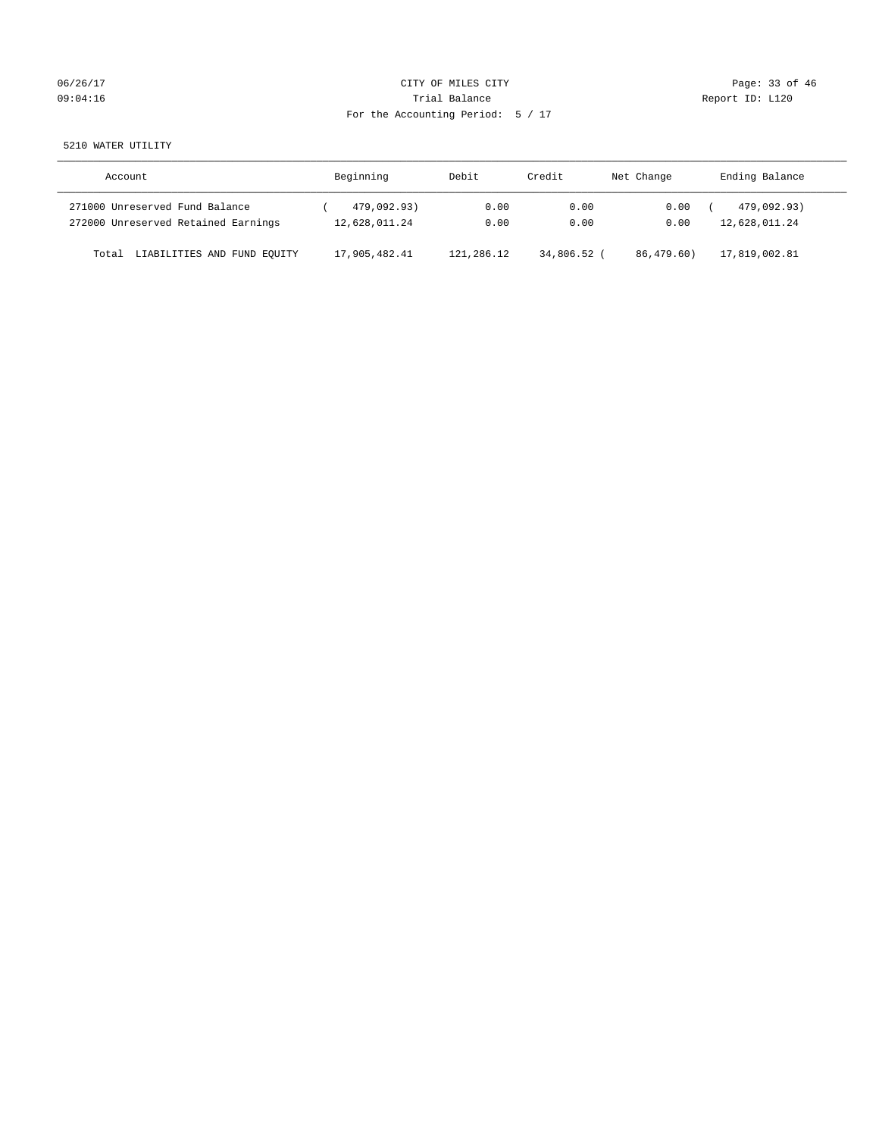# 06/26/17 Page: 33 of 46 09:04:16 COMPOSERT REPORT TO SALLANCE TRIAL BALANCE TRIAL BALANCE REPORT ID: L120 For the Accounting Period: 5 / 17

5210 WATER UTILITY

| Account                              | Beginning     | Debit      | Credit      | Net Change | Ending Balance |
|--------------------------------------|---------------|------------|-------------|------------|----------------|
| 271000 Unreserved Fund Balance       | 479,092.93)   | 0.00       | 0.00        | 0.00       | 479,092.93)    |
| 272000 Unreserved Retained Earnings  | 12,628,011.24 | 0.00       | 0.00        | 0.00       | 12,628,011.24  |
| LIABILITIES AND FUND EQUITY<br>Total | 17,905,482.41 | 121,286.12 | 34,806.52 ( | 86,479.60) | 17,819,002.81  |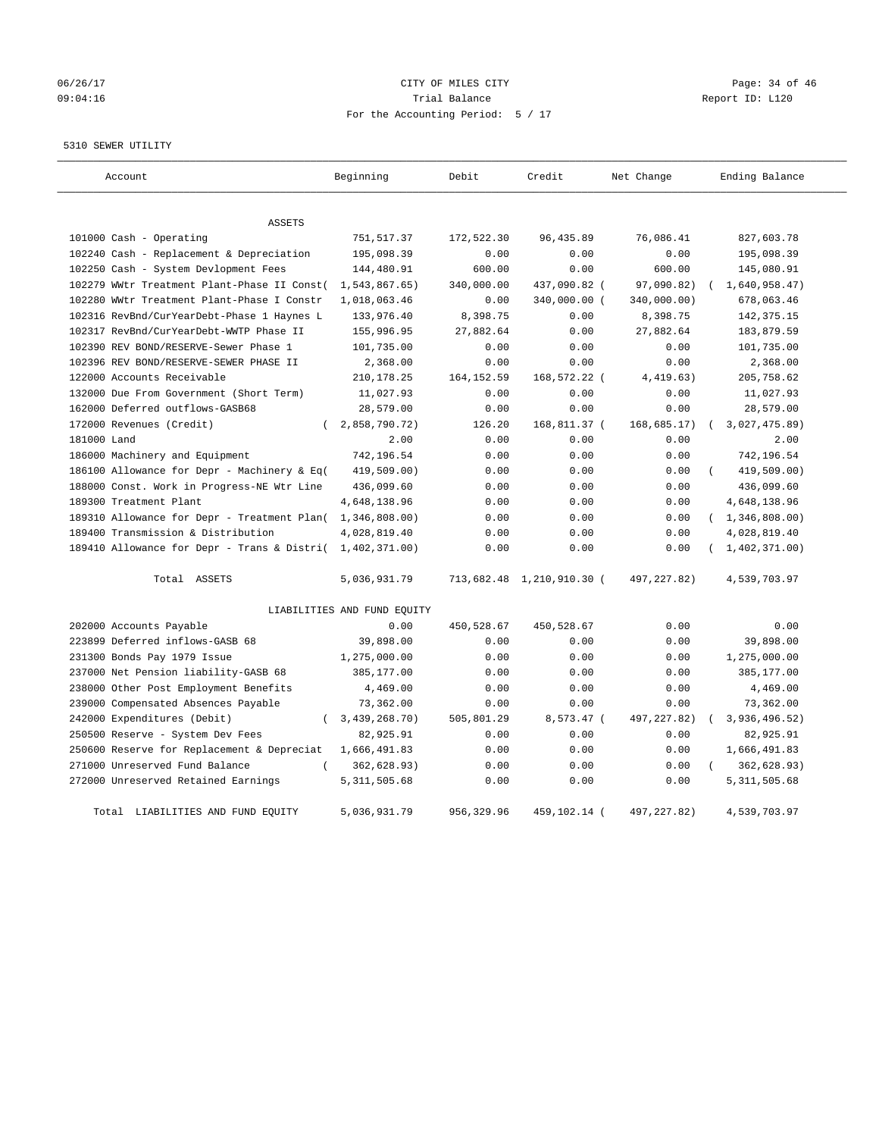## 06/26/17 Page: 34 of 46 09:04:16 Trial Balance Report ID: L120 For the Accounting Period: 5 / 17

#### 5310 SEWER UTILITY

| Account                                                   | Beginning                   | Debit       | Credit                    | Net Change   | Ending Balance    |
|-----------------------------------------------------------|-----------------------------|-------------|---------------------------|--------------|-------------------|
| <b>ASSETS</b>                                             |                             |             |                           |              |                   |
| 101000 Cash - Operating                                   | 751,517.37                  | 172,522.30  | 96, 435.89                | 76,086.41    | 827,603.78        |
| 102240 Cash - Replacement & Depreciation                  | 195,098.39                  | 0.00        | 0.00                      | 0.00         | 195,098.39        |
| 102250 Cash - System Devlopment Fees                      | 144,480.91                  | 600.00      | 0.00                      | 600.00       | 145,080.91        |
| 102279 WWtr Treatment Plant-Phase II Const(               | 1,543,867.65)               | 340,000.00  | 437,090.82 (              | 97,090.82)   | 1,640,958.47)     |
| 102280 WWtr Treatment Plant-Phase I Constr                | 1,018,063.46                | 0.00        | 340,000.00 (              | 340,000.00)  | 678,063.46        |
| 102316 RevBnd/CurYearDebt-Phase 1 Haynes L                | 133,976.40                  | 8,398.75    | 0.00                      | 8,398.75     | 142, 375. 15      |
| 102317 RevBnd/CurYearDebt-WWTP Phase II                   | 155,996.95                  | 27,882.64   | 0.00                      | 27,882.64    | 183,879.59        |
| 102390 REV BOND/RESERVE-Sewer Phase 1                     | 101,735.00                  | 0.00        | 0.00                      | 0.00         | 101,735.00        |
| 102396 REV BOND/RESERVE-SEWER PHASE II                    | 2,368.00                    | 0.00        | 0.00                      | 0.00         | 2,368.00          |
| 122000 Accounts Receivable                                | 210,178.25                  | 164, 152.59 | 168,572.22 (              | 4,419.63)    | 205,758.62        |
| 132000 Due From Government (Short Term)                   | 11,027.93                   | 0.00        | 0.00                      | 0.00         | 11,027.93         |
| 162000 Deferred outflows-GASB68                           | 28,579.00                   | 0.00        | 0.00                      | 0.00         | 28,579.00         |
| 172000 Revenues (Credit)<br>$\left($                      | 2,858,790.72)               | 126.20      | 168,811.37 (              | 168, 685.17) | 3,027,475.89      |
| 181000 Land                                               | 2.00                        | 0.00        | 0.00                      | 0.00         | 2.00              |
| 186000 Machinery and Equipment                            | 742,196.54                  | 0.00        | 0.00                      | 0.00         | 742,196.54        |
| 186100 Allowance for Depr - Machinery & Eq(               | 419,509.00)                 | 0.00        | 0.00                      | 0.00         | 419,509.00)       |
| 188000 Const. Work in Progress-NE Wtr Line                | 436,099.60                  | 0.00        | 0.00                      | 0.00         | 436,099.60        |
| 189300 Treatment Plant                                    | 4,648,138.96                | 0.00        | 0.00                      | 0.00         | 4,648,138.96      |
| 189310 Allowance for Depr - Treatment Plan( 1,346,808.00) |                             | 0.00        | 0.00                      | 0.00         | (1, 346, 808.00)  |
| 189400 Transmission & Distribution                        | 4,028,819.40                | 0.00        | 0.00                      | 0.00         | 4,028,819.40      |
| 189410 Allowance for Depr - Trans & Distri(               | 1,402,371.00)               | 0.00        | 0.00                      | 0.00         | (1, 402, 371, 00) |
| Total ASSETS                                              | 5,036,931.79                |             | 713,682.48 1,210,910.30 ( | 497, 227.82) | 4,539,703.97      |
|                                                           | LIABILITIES AND FUND EQUITY |             |                           |              |                   |
| 202000 Accounts Payable                                   | 0.00                        | 450,528.67  | 450,528.67                | 0.00         | 0.00              |
| 223899 Deferred inflows-GASB 68                           | 39,898.00                   | 0.00        | 0.00                      | 0.00         | 39,898.00         |
| 231300 Bonds Pay 1979 Issue                               | 1,275,000.00                | 0.00        | 0.00                      | 0.00         | 1,275,000.00      |
| 237000 Net Pension liability-GASB 68                      | 385,177.00                  | 0.00        | 0.00                      | 0.00         | 385,177.00        |
| 238000 Other Post Employment Benefits                     | 4,469.00                    | 0.00        | 0.00                      | 0.00         | 4,469.00          |
| 239000 Compensated Absences Payable                       | 73,362.00                   | 0.00        | 0.00                      | 0.00         | 73,362.00         |
| 242000 Expenditures (Debit)<br>$\left($                   | 3,439,268.70)               | 505,801.29  | 8,573.47 (                | 497, 227.82) | 3,936,496.52)     |
| 250500 Reserve - System Dev Fees                          | 82,925.91                   | 0.00        | 0.00                      | 0.00         | 82,925.91         |
| 250600 Reserve for Replacement & Depreciat                | 1,666,491.83                | 0.00        | 0.00                      | 0.00         | 1,666,491.83      |
| 271000 Unreserved Fund Balance<br>$\left($                | 362,628.93)                 | 0.00        | 0.00                      | 0.00         | 362,628.93)       |
| 272000 Unreserved Retained Earnings                       | 5, 311, 505.68              | 0.00        | 0.00                      | 0.00         | 5, 311, 505.68    |
| Total LIABILITIES AND FUND EQUITY                         | 5,036,931.79                | 956, 329.96 | 459,102.14 (              | 497.227.82)  | 4,539,703.97      |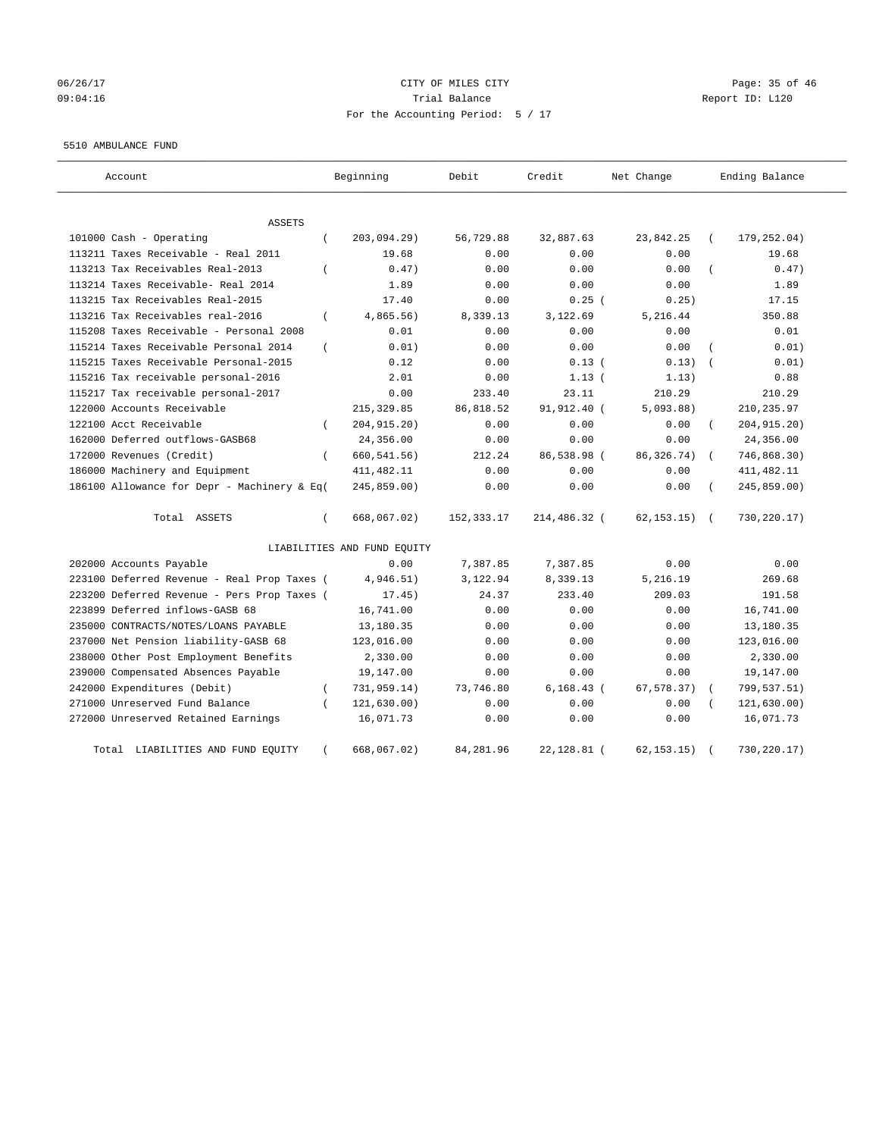# 06/26/17 Page: 35 of 46 09:04:16 Trial Balance Report ID: L120 For the Accounting Period: 5 / 17

#### 5510 AMBULANCE FUND

| Account                                           | Beginning                   | Debit      | Credit        | Net Change   | Ending Balance            |
|---------------------------------------------------|-----------------------------|------------|---------------|--------------|---------------------------|
| ASSETS                                            |                             |            |               |              |                           |
| 101000 Cash - Operating<br>$\left($               | 203,094.29)                 | 56,729.88  | 32,887.63     | 23,842.25    | 179,252.04)               |
| 113211 Taxes Receivable - Real 2011               | 19.68                       | 0.00       | 0.00          | 0.00         | 19.68                     |
| 113213 Tax Receivables Real-2013<br>$\left($      | 0.47)                       | 0.00       | 0.00          | 0.00         | 0.47)                     |
| 113214 Taxes Receivable- Real 2014                | 1.89                        | 0.00       | 0.00          | 0.00         | 1.89                      |
| 113215 Tax Receivables Real-2015                  | 17.40                       | 0.00       | 0.25(         | 0.25)        | 17.15                     |
| 113216 Tax Receivables real-2016<br>$\left($      | 4,865.56)                   | 8,339.13   | 3,122.69      | 5,216.44     | 350.88                    |
| 115208 Taxes Receivable - Personal 2008           | 0.01                        | 0.00       | 0.00          | 0.00         | 0.01                      |
| 115214 Taxes Receivable Personal 2014<br>$\left($ | 0.01)                       | 0.00       | 0.00          | 0.00         | 0.01)                     |
| 115215 Taxes Receivable Personal-2015             | 0.12                        | 0.00       | 0.13(         | 0.13)        | 0.01)                     |
| 115216 Tax receivable personal-2016               | 2.01                        | 0.00       | 1.13(         | 1.13)        | 0.88                      |
| 115217 Tax receivable personal-2017               | 0.00                        | 233.40     | 23.11         | 210.29       | 210.29                    |
| 122000 Accounts Receivable                        | 215, 329.85                 | 86,818.52  | 91,912.40 (   | 5,093.88)    | 210,235.97                |
| 122100 Acct Receivable                            | 204, 915. 20)               | 0.00       | 0.00          | 0.00         | 204, 915. 20)             |
| 162000 Deferred outflows-GASB68                   | 24,356.00                   | 0.00       | 0.00          | 0.00         | 24,356.00                 |
| 172000 Revenues (Credit)<br>$\left($              | 660, 541.56)                | 212.24     | 86,538.98 (   | 86, 326. 74) | 746,868.30)               |
| 186000 Machinery and Equipment                    | 411, 482.11                 | 0.00       | 0.00          | 0.00         | 411, 482.11               |
| 186100 Allowance for Depr - Machinery & Eq(       | 245,859.00)                 | 0.00       | 0.00          | 0.00         | 245,859.00)               |
| Total ASSETS<br>$\left($                          | 668,067.02)                 | 152,333.17 | 214,486.32 (  | 62, 153, 15) | 730,220.17)<br>$\sqrt{2}$ |
|                                                   | LIABILITIES AND FUND EQUITY |            |               |              |                           |
| 202000 Accounts Payable                           | 0.00                        | 7,387.85   | 7,387.85      | 0.00         | 0.00                      |
| 223100 Deferred Revenue - Real Prop Taxes (       | 4,946.51)                   | 3,122.94   | 8,339.13      | 5,216.19     | 269.68                    |
| 223200 Deferred Revenue - Pers Prop Taxes (       | 17.45)                      | 24.37      | 233.40        | 209.03       | 191.58                    |
| 223899 Deferred inflows-GASB 68                   | 16,741.00                   | 0.00       | 0.00          | 0.00         | 16,741.00                 |
| 235000 CONTRACTS/NOTES/LOANS PAYABLE              | 13,180.35                   | 0.00       | 0.00          | 0.00         | 13,180.35                 |
| 237000 Net Pension liability-GASB 68              | 123,016.00                  | 0.00       | 0.00          | 0.00         | 123,016.00                |
| 238000 Other Post Employment Benefits             | 2,330.00                    | 0.00       | 0.00          | 0.00         | 2,330.00                  |
| 239000 Compensated Absences Payable               | 19,147.00                   | 0.00       | 0.00          | 0.00         | 19,147.00                 |
| 242000 Expenditures (Debit)<br>$\left($           | 731,959.14)                 | 73,746.80  | $6, 168.43$ ( | 67, 578.37)  | 799,537.51)               |
| 271000 Unreserved Fund Balance                    | 121, 630.00)                | 0.00       | 0.00          | 0.00         | 121,630.00)               |
| 272000 Unreserved Retained Earnings               | 16,071.73                   | 0.00       | 0.00          | 0.00         | 16,071.73                 |
| Total LIABILITIES AND FUND EQUITY<br>$\left($     | 668,067.02)                 | 84,281.96  | 22,128.81 (   | 62, 153.15)  | 730,220.17)               |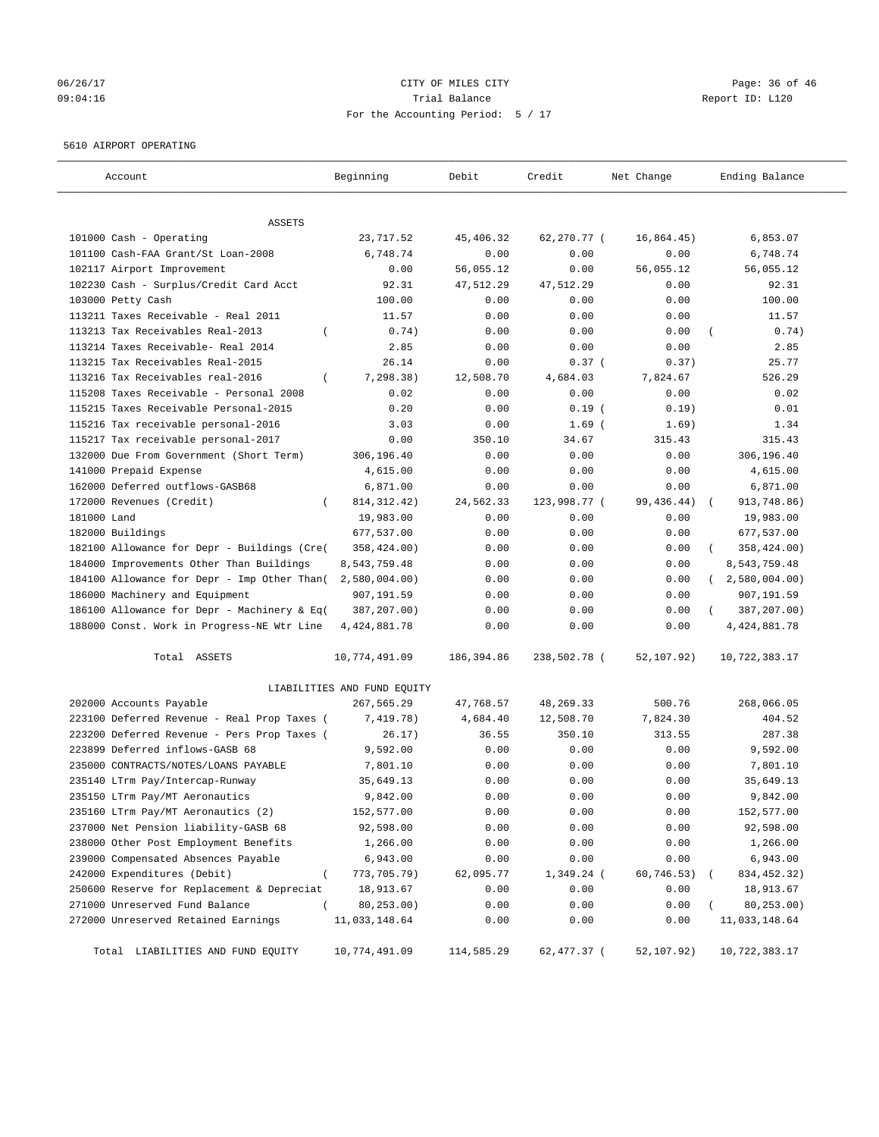## 06/26/17 Page: 36 of 46 09:04:16 Trial Balance Report ID: L120 For the Accounting Period: 5 / 17

#### 5610 AIRPORT OPERATING

| Account                                              | Beginning                   | Debit      | Credit       | Net Change | Ending Balance |
|------------------------------------------------------|-----------------------------|------------|--------------|------------|----------------|
| ASSETS                                               |                             |            |              |            |                |
| 101000 Cash - Operating                              | 23,717.52                   | 45,406.32  | 62,270.77 (  | 16,864.45) | 6,853.07       |
| 101100 Cash-FAA Grant/St Loan-2008                   | 6,748.74                    | 0.00       | 0.00         | 0.00       | 6,748.74       |
| 102117 Airport Improvement                           | 0.00                        | 56,055.12  | 0.00         | 56,055.12  | 56,055.12      |
| 102230 Cash - Surplus/Credit Card Acct               | 92.31                       | 47,512.29  | 47,512.29    | 0.00       | 92.31          |
| 103000 Petty Cash                                    | 100.00                      | 0.00       | 0.00         | 0.00       | 100.00         |
| 113211 Taxes Receivable - Real 2011                  | 11.57                       | 0.00       | 0.00         | 0.00       | 11.57          |
| 113213 Tax Receivables Real-2013<br>$\overline{(\ }$ | 0.74)                       | 0.00       | 0.00         | 0.00       | 0.74)          |
| 113214 Taxes Receivable- Real 2014                   | 2.85                        | 0.00       | 0.00         | 0.00       | 2.85           |
| 113215 Tax Receivables Real-2015                     | 26.14                       | 0.00       | 0.37(        | 0.37)      | 25.77          |
| 113216 Tax Receivables real-2016<br>$\left($         | 7, 298.38)                  | 12,508.70  | 4,684.03     | 7,824.67   | 526.29         |
| 115208 Taxes Receivable - Personal 2008              | 0.02                        | 0.00       | 0.00         | 0.00       | 0.02           |
| 115215 Taxes Receivable Personal-2015                | 0.20                        | 0.00       | $0.19$ (     | 0.19)      | 0.01           |
| 115216 Tax receivable personal-2016                  | 3.03                        | 0.00       | $1.69$ (     | 1.69)      | 1.34           |
| 115217 Tax receivable personal-2017                  | 0.00                        | 350.10     | 34.67        | 315.43     | 315.43         |
| 132000 Due From Government (Short Term)              | 306,196.40                  | 0.00       | 0.00         | 0.00       | 306,196.40     |
| 141000 Prepaid Expense                               | 4,615.00                    | 0.00       | 0.00         | 0.00       | 4,615.00       |
| 162000 Deferred outflows-GASB68                      | 6,871.00                    | 0.00       | 0.00         | 0.00       | 6,871.00       |
| 172000 Revenues (Credit)<br>$\left($                 | 814, 312. 42)               | 24,562.33  | 123,998.77 ( | 99,436.44) | 913,748.86)    |
| 181000 Land                                          | 19,983.00                   | 0.00       | 0.00         | 0.00       | 19,983.00      |
| 182000 Buildings                                     | 677,537.00                  | 0.00       | 0.00         | 0.00       | 677,537.00     |
| 182100 Allowance for Depr - Buildings (Cre(          | 358,424.00)                 | 0.00       | 0.00         | 0.00       | 358,424.00)    |
| 184000 Improvements Other Than Buildings             | 8,543,759.48                | 0.00       | 0.00         | 0.00       | 8,543,759.48   |
| 184100 Allowance for Depr - Imp Other Than(          | 2,580,004.00                | 0.00       | 0.00         | 0.00       | (2,580,004.00) |
| 186000 Machinery and Equipment                       | 907,191.59                  | 0.00       | 0.00         | 0.00       | 907,191.59     |
| 186100 Allowance for Depr - Machinery & Eq(          | 387,207.00)                 | 0.00       | 0.00         | 0.00       | 387,207.00)    |
| 188000 Const. Work in Progress-NE Wtr Line           | 4, 424, 881.78              | 0.00       | 0.00         | 0.00       | 4, 424, 881.78 |
| Total ASSETS                                         | 10,774,491.09               | 186,394.86 | 238,502.78 ( | 52,107.92) | 10,722,383.17  |
|                                                      | LIABILITIES AND FUND EQUITY |            |              |            |                |
| 202000 Accounts Payable                              | 267,565.29                  | 47,768.57  | 48,269.33    | 500.76     | 268,066.05     |
| 223100 Deferred Revenue - Real Prop Taxes (          | 7,419.78)                   | 4,684.40   | 12,508.70    | 7,824.30   | 404.52         |
| 223200 Deferred Revenue - Pers Prop Taxes (          | 26.17)                      | 36.55      | 350.10       | 313.55     | 287.38         |
| 223899 Deferred inflows-GASB 68                      | 9,592.00                    | 0.00       | 0.00         | 0.00       | 9,592.00       |
| 235000 CONTRACTS/NOTES/LOANS PAYABLE                 | 7,801.10                    | 0.00       | 0.00         | 0.00       | 7,801.10       |
| 235140 LTrm Pay/Intercap-Runway                      | 35,649.13                   | 0.00       | 0.00         | 0.00       | 35,649.13      |
| 235150 LTrm Pay/MT Aeronautics                       | 9,842.00                    | 0.00       | 0.00         | 0.00       | 9,842.00       |
| 235160 LTrm Pay/MT Aeronautics (2)                   | 152,577.00                  | 0.00       | 0.00         | 0.00       | 152,577.00     |
| 237000 Net Pension liability-GASB 68                 | 92,598.00                   | 0.00       | 0.00         | 0.00       | 92,598.00      |
| 238000 Other Post Employment Benefits                | 1,266.00                    | 0.00       | 0.00         | 0.00       | 1,266.00       |
| 239000 Compensated Absences Payable                  | 6,943.00                    | 0.00       | 0.00         | 0.00       | 6,943.00       |
| 242000 Expenditures (Debit)<br>$\left($              | 773,705.79)                 | 62,095.77  | $1,349.24$ ( | 60,746.53) | 834,452.32)    |
| 250600 Reserve for Replacement & Depreciat           | 18,913.67                   | 0.00       | 0.00         | 0.00       | 18,913.67      |
| 271000 Unreserved Fund Balance<br>$\left($           | 80,253.00)                  | 0.00       | 0.00         | 0.00       | 80,253.00)     |
| 272000 Unreserved Retained Earnings                  | 11,033,148.64               | 0.00       | 0.00         | 0.00       | 11,033,148.64  |
| Total LIABILITIES AND FUND EQUITY                    | 10,774,491.09               | 114,585.29 | 62,477.37 (  | 52,107.92) | 10,722,383.17  |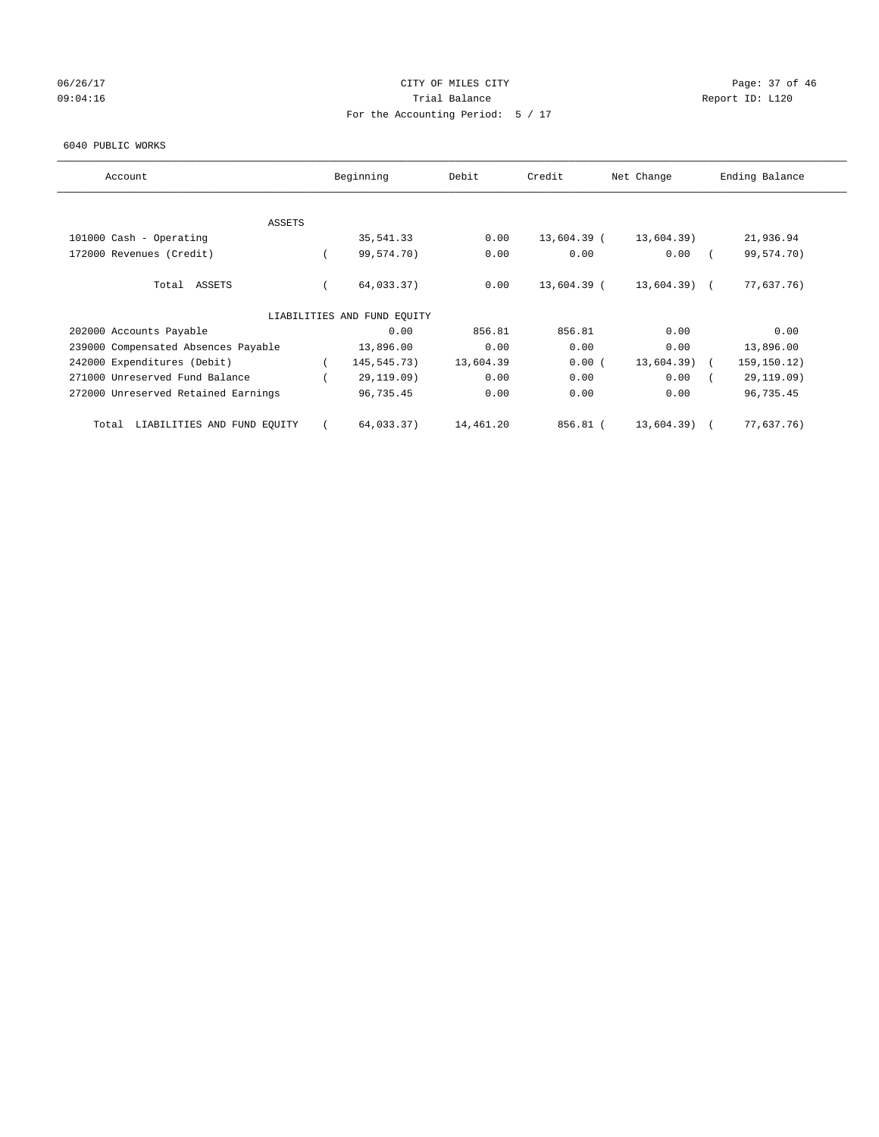## 06/26/17 Page: 37 of 46 09:04:16 COMPOSER TRIAL BALANCE COMPOSER TRIAL BALANCE COMPOSER REPORT ID: L120 For the Accounting Period: 5 / 17

#### 6040 PUBLIC WORKS

| Account                              | Beginning                   | Debit     | Credit      | Net Change   | Ending Balance |
|--------------------------------------|-----------------------------|-----------|-------------|--------------|----------------|
| <b>ASSETS</b>                        |                             |           |             |              |                |
| 101000 Cash - Operating              | 35,541.33                   | 0.00      | 13,604.39 ( | 13,604.39)   | 21,936.94      |
| 172000 Revenues (Credit)             | 99,574.70)                  | 0.00      | 0.00        | 0.00         | 99,574.70)     |
| Total ASSETS                         | 64,033.37)                  | 0.00      | 13,604.39 ( | 13,604.39) ( | 77,637.76)     |
|                                      | LIABILITIES AND FUND EQUITY |           |             |              |                |
| 202000 Accounts Payable              | 0.00                        | 856.81    | 856.81      | 0.00         | 0.00           |
| 239000 Compensated Absences Payable  | 13,896.00                   | 0.00      | 0.00        | 0.00         | 13,896.00      |
| 242000 Expenditures (Debit)          | 145,545.73)                 | 13,604.39 | 0.00(       | 13,604.39)   | 159,150.12)    |
| 271000 Unreserved Fund Balance       | 29,119.09)                  | 0.00      | 0.00        | 0.00         | 29,119.09)     |
| 272000 Unreserved Retained Earnings  | 96,735.45                   | 0.00      | 0.00        | 0.00         | 96,735.45      |
| LIABILITIES AND FUND EQUITY<br>Total | 64,033.37)                  | 14,461.20 | 856.81 (    | 13,604.39)   | 77,637.76)     |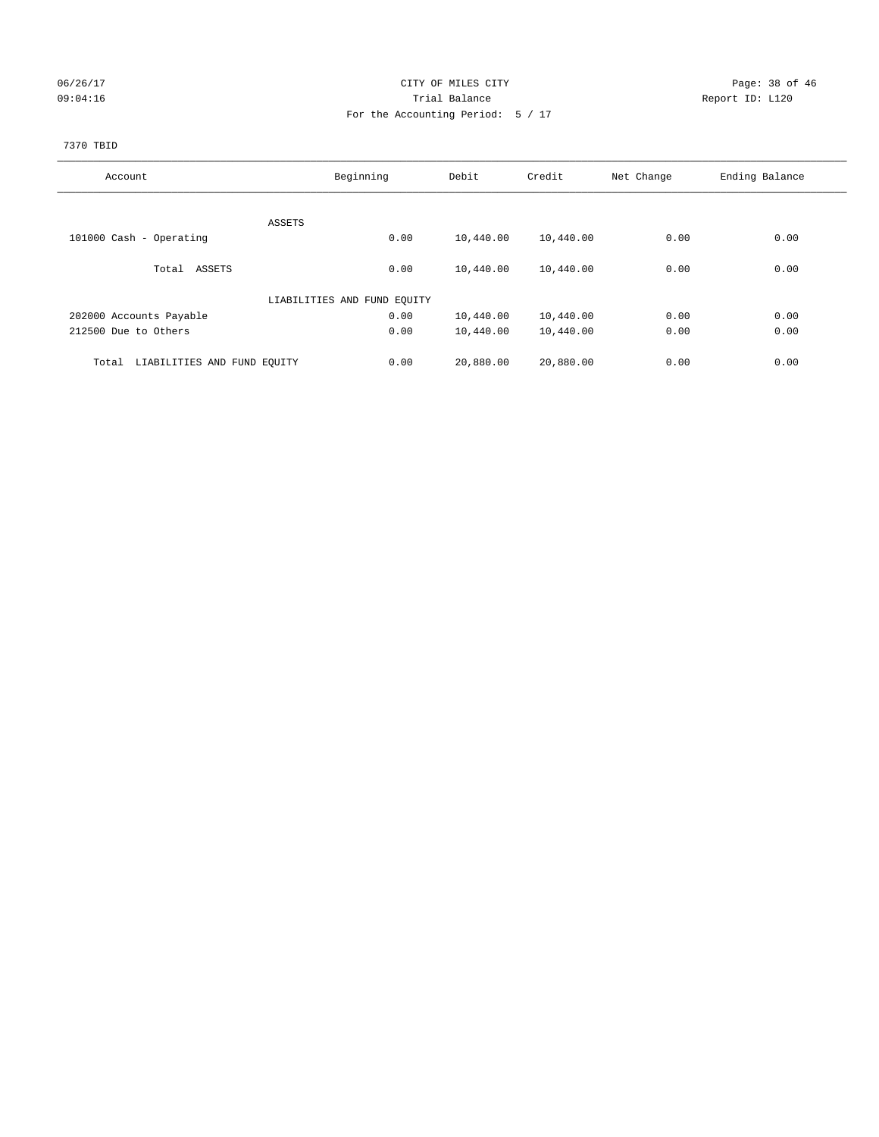## 06/26/17 Page: 38 of 46 09:04:16 Quantity Contract Contract Contract Contract Contract Contract Contract Contract Contract Contract Contract Contract Contract Contract Contract Contract Contra For the Accounting Period: 5 / 17

#### 7370 TBID

| Account                              | Beginning                   | Debit             | Credit    | Net Change | Ending Balance |
|--------------------------------------|-----------------------------|-------------------|-----------|------------|----------------|
|                                      |                             |                   |           |            |                |
|                                      | ASSETS                      |                   |           |            |                |
| 101000 Cash - Operating              |                             | 0.00<br>10,440.00 | 10,440.00 | 0.00       | 0.00           |
| Total ASSETS                         |                             | 0.00<br>10,440.00 | 10,440.00 | 0.00       | 0.00           |
|                                      | LIABILITIES AND FUND EQUITY |                   |           |            |                |
| 202000 Accounts Payable              |                             | 0.00<br>10,440.00 | 10,440.00 | 0.00       | 0.00           |
| 212500 Due to Others                 |                             | 0.00<br>10,440.00 | 10,440.00 | 0.00       | 0.00           |
|                                      |                             |                   |           |            |                |
| LIABILITIES AND FUND EQUITY<br>Total |                             | 20,880.00<br>0.00 | 20,880.00 | 0.00       | 0.00           |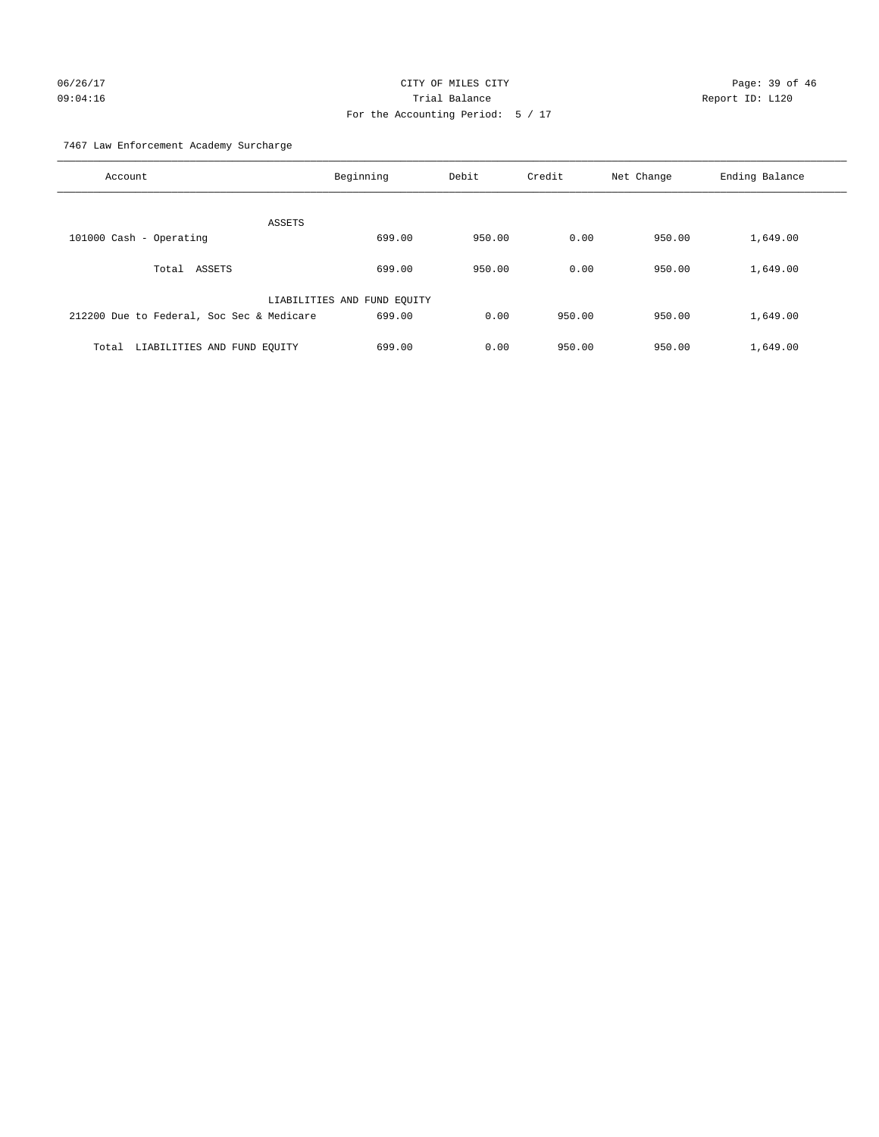# 06/26/17 Page: 39 of 46 09:04:16 Trial Balance Report ID: L120 For the Accounting Period: 5 / 17

7467 Law Enforcement Academy Surcharge

| Account                                   | Beginning                   | Debit  | Credit | Net Change | Ending Balance |
|-------------------------------------------|-----------------------------|--------|--------|------------|----------------|
| <b>ASSETS</b>                             |                             |        |        |            |                |
| 101000 Cash - Operating                   | 699.00                      | 950.00 | 0.00   | 950.00     | 1,649.00       |
| Total ASSETS                              | 699.00                      | 950.00 | 0.00   | 950.00     | 1,649.00       |
|                                           | LIABILITIES AND FUND EQUITY |        |        |            |                |
| 212200 Due to Federal, Soc Sec & Medicare | 699.00                      | 0.00   | 950.00 | 950.00     | 1,649.00       |
| LIABILITIES AND FUND EQUITY<br>Total      | 699.00                      | 0.00   | 950.00 | 950.00     | 1,649.00       |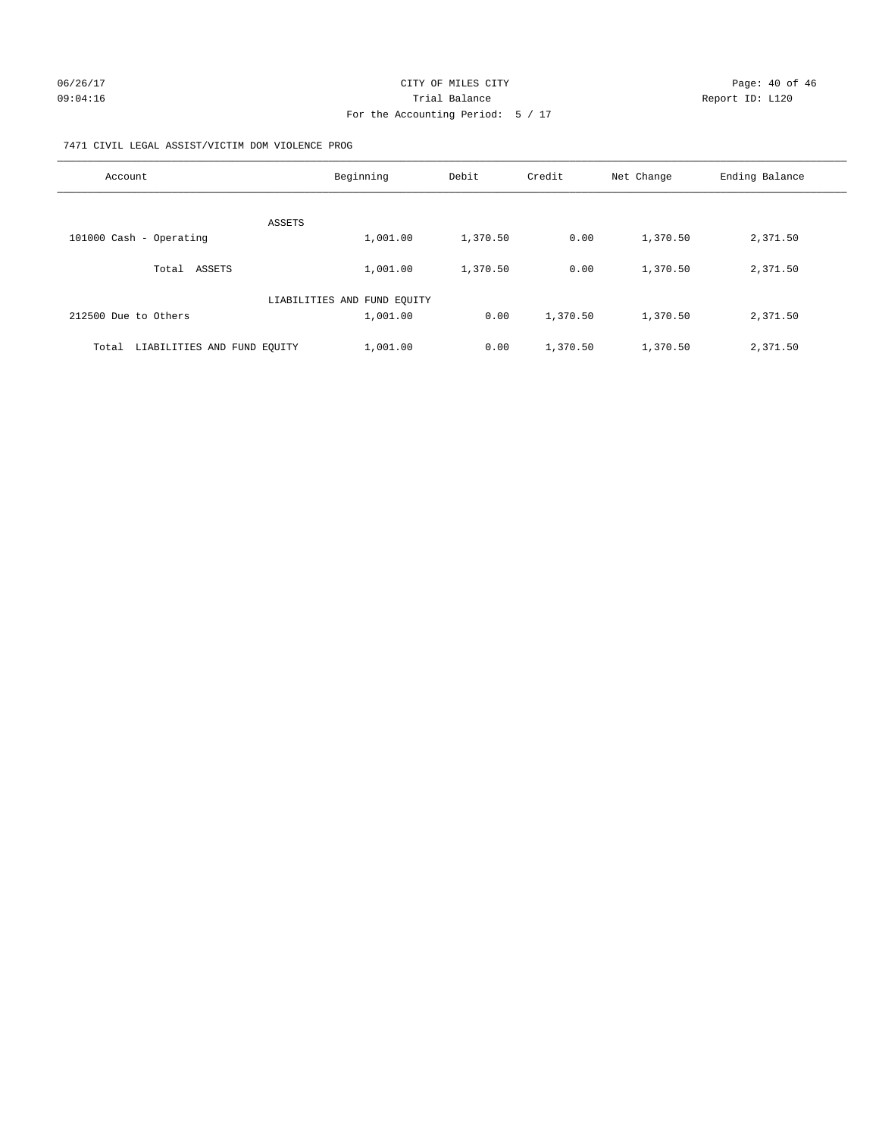#### 7471 CIVIL LEGAL ASSIST/VICTIM DOM VIOLENCE PROG

| Account                              | Beginning                   | Debit    | Credit   | Net Change | Ending Balance |
|--------------------------------------|-----------------------------|----------|----------|------------|----------------|
| <b>ASSETS</b>                        |                             |          |          |            |                |
| 101000 Cash - Operating              | 1,001.00                    | 1,370.50 | 0.00     | 1,370.50   | 2,371.50       |
| ASSETS<br>Total                      | 1,001.00                    | 1,370.50 | 0.00     | 1,370.50   | 2,371.50       |
|                                      | LIABILITIES AND FUND EQUITY |          |          |            |                |
| 212500 Due to Others                 | 1,001.00                    | 0.00     | 1,370.50 | 1,370.50   | 2,371.50       |
| LIABILITIES AND FUND EQUITY<br>Total | 1,001.00                    | 0.00     | 1,370.50 | 1,370.50   | 2,371.50       |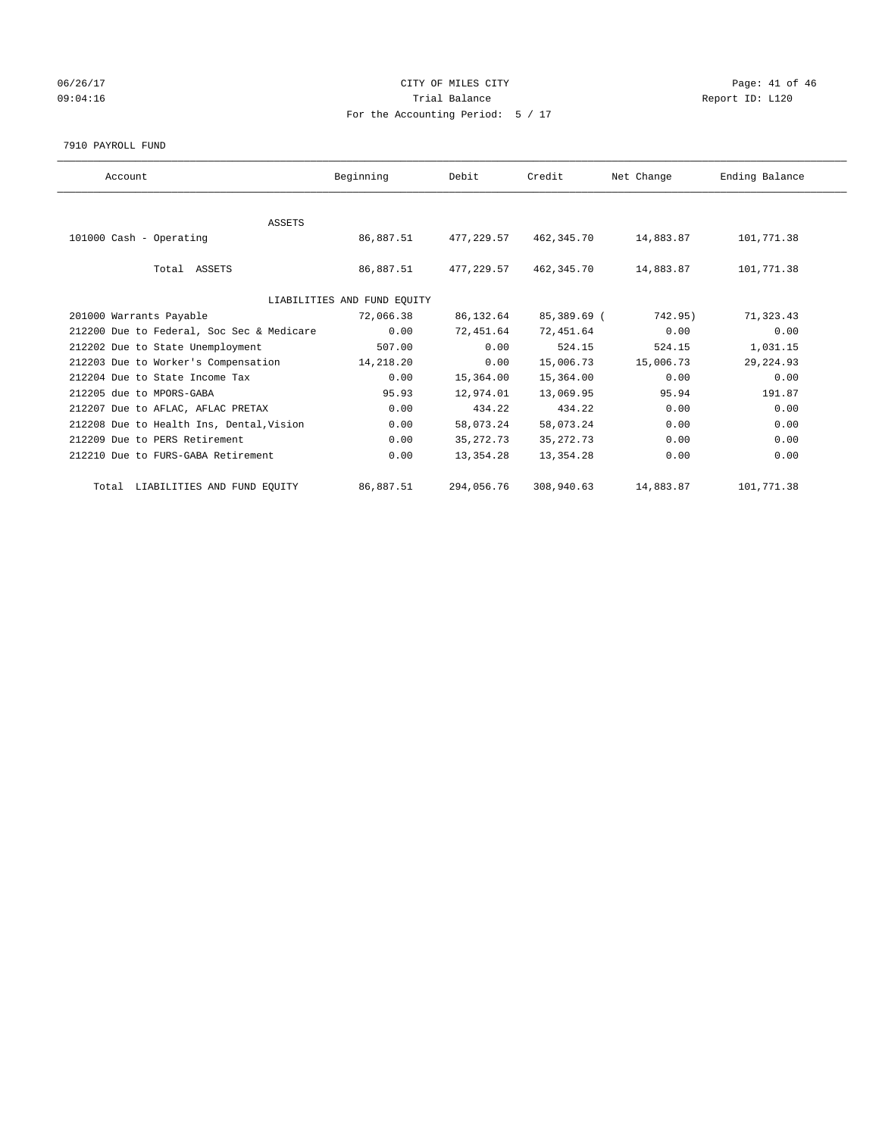# 06/26/17 Page: 41 of 46 09:04:16 COMPOSER TRIAL BALANCE COMPOSER TRIAL BALANCE COMPOSER REPORT ID: L120 For the Accounting Period: 5 / 17

#### 7910 PAYROLL FUND

| Account                                   | Beginning                   | Debit       | Credit      | Net Change | Ending Balance |  |
|-------------------------------------------|-----------------------------|-------------|-------------|------------|----------------|--|
|                                           |                             |             |             |            |                |  |
| ASSETS                                    |                             |             |             |            |                |  |
| 101000 Cash - Operating                   | 86,887.51                   | 477,229.57  | 462,345.70  | 14,883.87  | 101,771.38     |  |
|                                           |                             |             |             |            |                |  |
| Total ASSETS                              | 86,887.51                   | 477,229.57  | 462,345.70  | 14,883.87  | 101,771.38     |  |
|                                           |                             |             |             |            |                |  |
|                                           | LIABILITIES AND FUND EQUITY |             |             |            |                |  |
| 201000 Warrants Payable                   | 72,066.38                   | 86,132.64   | 85,389.69 ( | 742.95)    | 71,323.43      |  |
| 212200 Due to Federal, Soc Sec & Medicare | 0.00                        | 72,451.64   | 72,451.64   | 0.00       | 0.00           |  |
| 212202 Due to State Unemployment          | 507.00                      | 0.00        | 524.15      | 524.15     | 1,031.15       |  |
| 212203 Due to Worker's Compensation       | 14,218.20                   | 0.00        | 15,006.73   | 15,006.73  | 29, 224.93     |  |
| 212204 Due to State Income Tax            | 0.00                        | 15,364.00   | 15,364.00   | 0.00       | 0.00           |  |
| 212205 due to MPORS-GABA                  | 95.93                       | 12,974.01   | 13,069.95   | 95.94      | 191.87         |  |
| 212207 Due to AFLAC, AFLAC PRETAX         | 0.00                        | 434.22      | 434.22      | 0.00       | 0.00           |  |
| 212208 Due to Health Ins, Dental, Vision  | 0.00                        | 58,073.24   | 58,073.24   | 0.00       | 0.00           |  |
| 212209 Due to PERS Retirement             | 0.00                        | 35, 272. 73 | 35, 272. 73 | 0.00       | 0.00           |  |
| 212210 Due to FURS-GABA Retirement        | 0.00                        | 13,354.28   | 13,354.28   | 0.00       | 0.00           |  |
| Total LIABILITIES AND FUND EQUITY         | 86,887.51                   | 294,056.76  | 308,940.63  | 14,883.87  | 101,771.38     |  |
|                                           |                             |             |             |            |                |  |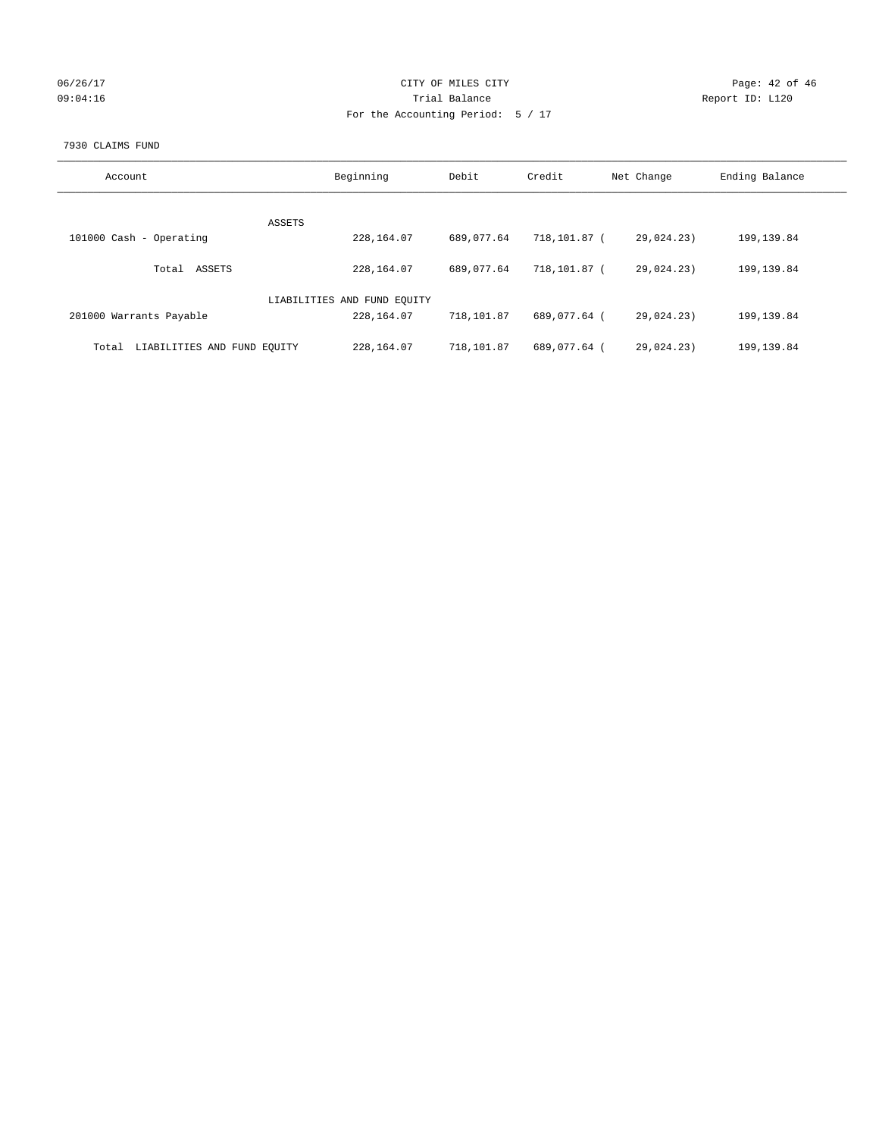| 06/26/17 |  |
|----------|--|
| 09:04:16 |  |

## CITY OF MILES CITY CONTROL CONTROL CITY CONTROL Page: 42 of 46 Prial Balance **Report ID:** L120 For the Accounting Period: 5 / 17

#### 7930 CLAIMS FUND

| Account                              | Beginning                   | Debit      | Credit       | Net Change | Ending Balance |
|--------------------------------------|-----------------------------|------------|--------------|------------|----------------|
| <b>ASSETS</b>                        |                             |            |              |            |                |
| 101000 Cash - Operating              | 228,164.07                  | 689,077.64 | 718,101.87 ( | 29,024.23) | 199,139.84     |
| ASSETS<br>Total                      | 228,164.07                  | 689,077.64 | 718,101.87 ( | 29,024,23) | 199,139.84     |
|                                      | LIABILITIES AND FUND EQUITY |            |              |            |                |
| 201000 Warrants Payable              | 228,164.07                  | 718,101.87 | 689,077.64 ( | 29,024.23) | 199,139.84     |
| LIABILITIES AND FUND EQUITY<br>Total | 228,164.07                  | 718,101.87 | 689,077.64 ( | 29,024,23) | 199,139.84     |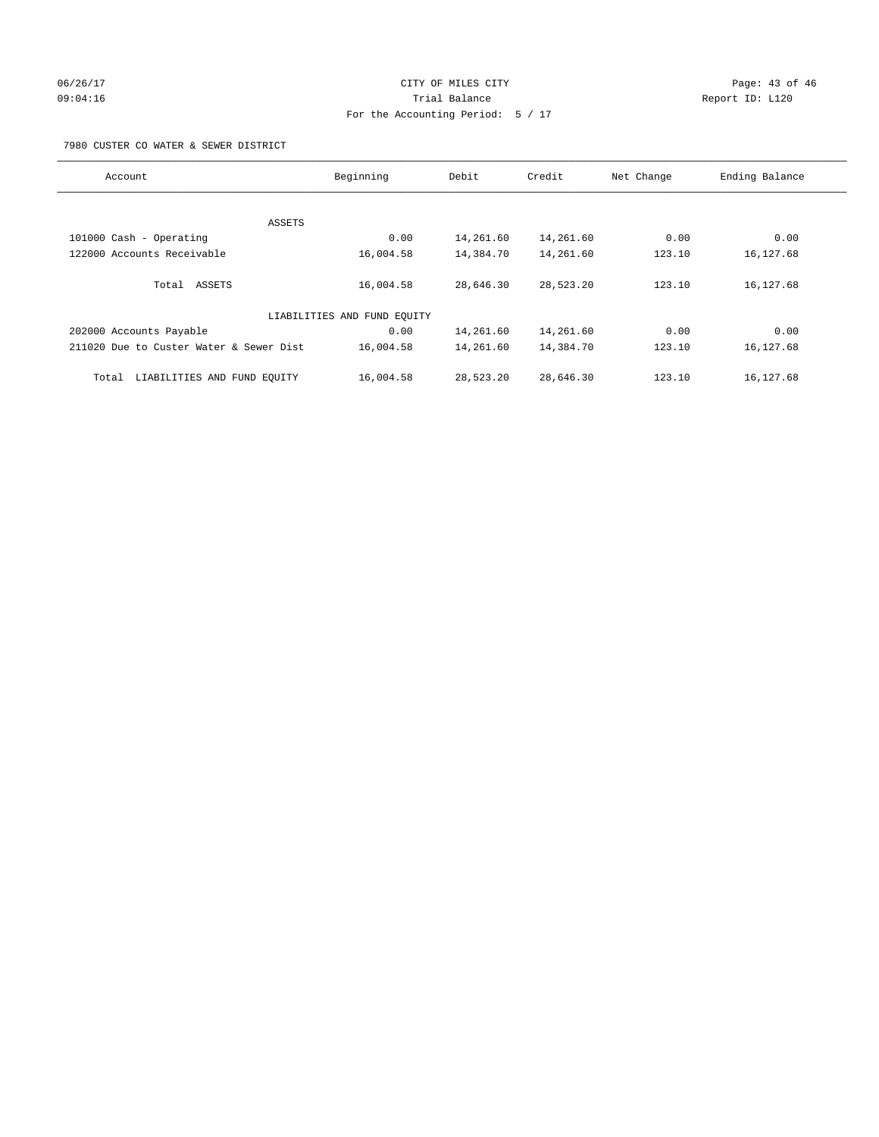## 06/26/17 Page: 43 of 46 09:04:16 Trial Balance Report ID: L120 For the Accounting Period: 5 / 17

7980 CUSTER CO WATER & SEWER DISTRICT

| Account                                 | Beginning                   | Debit     | Credit    | Net Change | Ending Balance |
|-----------------------------------------|-----------------------------|-----------|-----------|------------|----------------|
|                                         |                             |           |           |            |                |
|                                         | ASSETS                      |           |           |            |                |
| 101000 Cash - Operating                 | 0.00                        | 14,261.60 | 14,261.60 | 0.00       | 0.00           |
| 122000 Accounts Receivable              | 16,004.58                   | 14,384.70 | 14,261.60 | 123.10     | 16,127.68      |
| Total ASSETS                            | 16,004.58                   | 28,646.30 | 28,523.20 | 123.10     | 16,127.68      |
|                                         | LIABILITIES AND FUND EQUITY |           |           |            |                |
| 202000 Accounts Payable                 | 0.00                        | 14,261.60 | 14,261.60 | 0.00       | 0.00           |
| 211020 Due to Custer Water & Sewer Dist | 16,004.58                   | 14,261.60 | 14,384.70 | 123.10     | 16,127.68      |
| LIABILITIES AND FUND EQUITY<br>Total    | 16,004.58                   | 28,523.20 | 28,646.30 | 123.10     | 16,127.68      |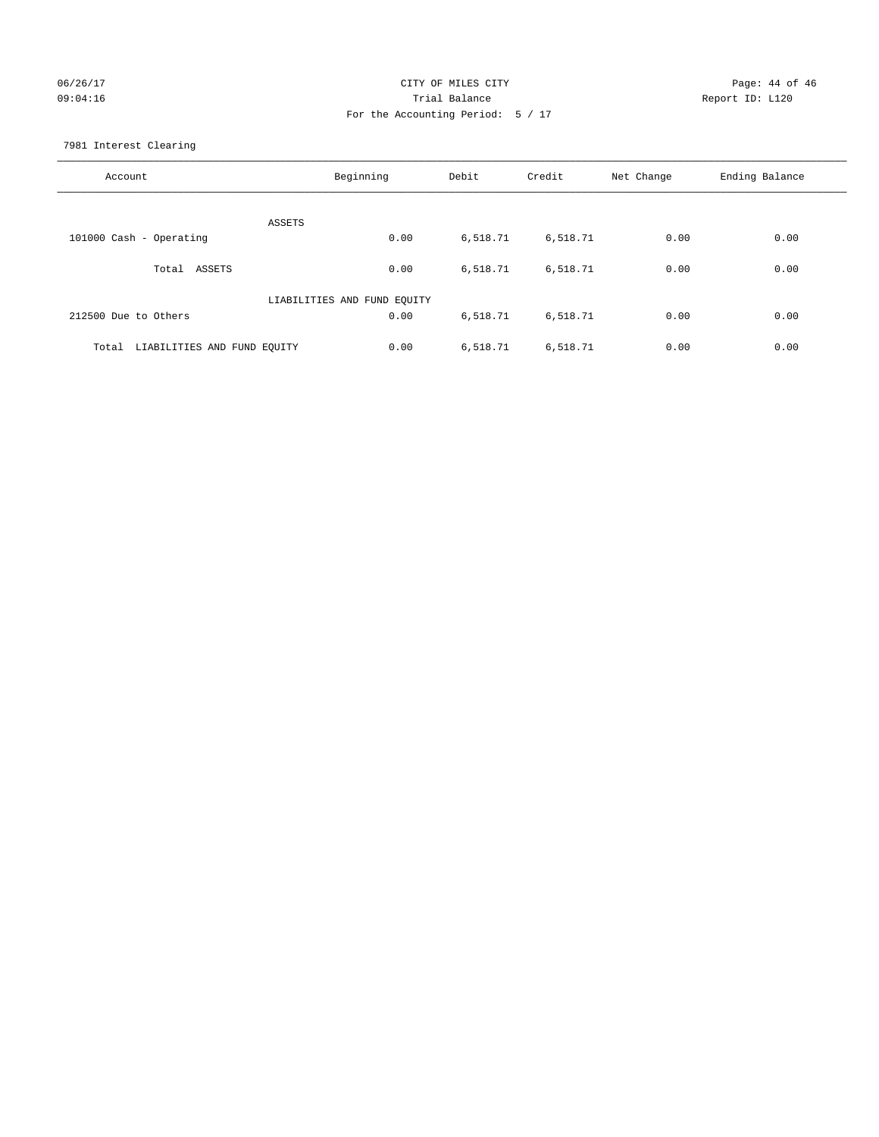# 06/26/17 Page: 44 of 46 09:04:16 Quantity Contract Contract Contract Contract Contract Contract Contract Contract Contract Contract Contract Contract Contract Contract Contract Contract Contra For the Accounting Period: 5 / 17

7981 Interest Clearing

| Account                              | Beginning                   | Debit    | Credit   | Net Change | Ending Balance |
|--------------------------------------|-----------------------------|----------|----------|------------|----------------|
|                                      | <b>ASSETS</b>               |          |          |            |                |
| 101000 Cash - Operating              | 0.00                        | 6,518.71 | 6,518.71 | 0.00       | 0.00           |
| Total ASSETS                         | 0.00                        | 6,518.71 | 6,518.71 | 0.00       | 0.00           |
|                                      | LIABILITIES AND FUND EQUITY |          |          |            |                |
| 212500 Due to Others                 | 0.00                        | 6,518.71 | 6,518.71 | 0.00       | 0.00           |
| LIABILITIES AND FUND EQUITY<br>Total | 0.00                        | 6,518.71 | 6,518.71 | 0.00       | 0.00           |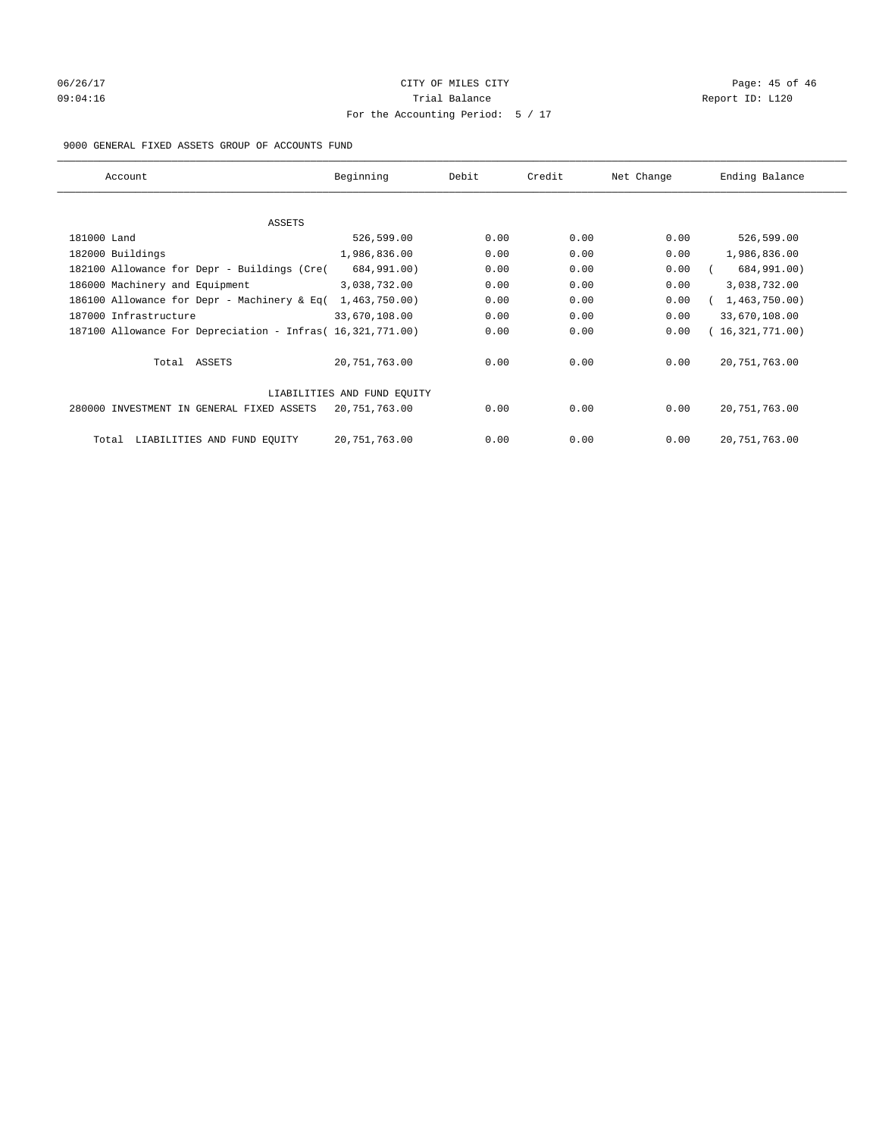# 06/26/17 Page: 45 of 46 09:04:16 Quantity Quantity Contract Contract Contract Contract Contract Contract Contract Contract Contract Contract Contract Contract Contract Contract Contract Contra For the Accounting Period: 5 / 17

#### 9000 GENERAL FIXED ASSETS GROUP OF ACCOUNTS FUND

| Account                                                    | Beginning                   | Debit | Credit | Net Change | Ending Balance  |
|------------------------------------------------------------|-----------------------------|-------|--------|------------|-----------------|
| ASSETS                                                     |                             |       |        |            |                 |
| 181000 Land                                                | 526,599.00                  | 0.00  | 0.00   | 0.00       | 526,599.00      |
| 182000 Buildings                                           | 1,986,836.00                | 0.00  | 0.00   | 0.00       | 1,986,836.00    |
| 182100 Allowance for Depr - Buildings (Cre(                | 684,991.00)                 | 0.00  | 0.00   | 0.00       | 684,991.00)     |
| 186000 Machinery and Equipment                             | 3,038,732.00                | 0.00  | 0.00   | 0.00       | 3,038,732.00    |
| 186100 Allowance for Depr - Machinery & Eq(                | 1,463,750.00)               | 0.00  | 0.00   | 0.00       | 1,463,750.00)   |
| 187000 Infrastructure                                      | 33,670,108.00               | 0.00  | 0.00   | 0.00       | 33,670,108.00   |
| 187100 Allowance For Depreciation - Infras( 16,321,771.00) |                             | 0.00  | 0.00   | 0.00       | 16,321,771.00)  |
| Total ASSETS                                               | 20,751,763.00               | 0.00  | 0.00   | 0.00       | 20, 751, 763.00 |
|                                                            | LIABILITIES AND FUND EQUITY |       |        |            |                 |
| 280000 INVESTMENT IN GENERAL FIXED ASSETS                  | 20,751,763.00               | 0.00  | 0.00   | 0.00       | 20, 751, 763.00 |
| LIABILITIES AND FUND EQUITY<br>Total                       | 20, 751, 763.00             | 0.00  | 0.00   | 0.00       | 20, 751, 763.00 |